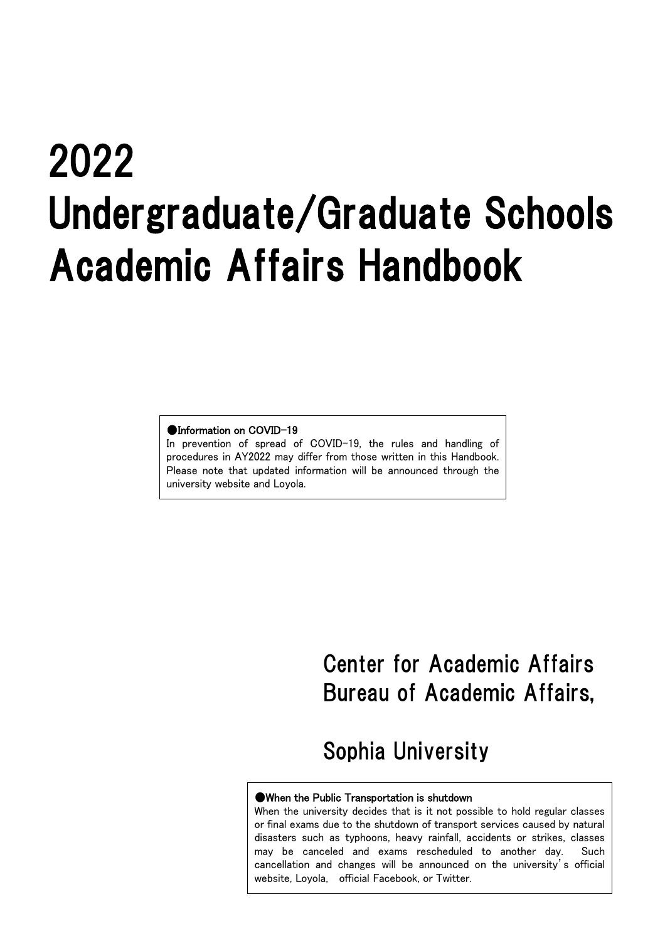# 2022 Undergraduate/Graduate Schools Academic Affairs Handbook

#### ●Information on COVID-19

In prevention of spread of COVID-19, the rules and handling of procedures in AY2022 may differ from those written in this Handbook. Please note that updated information will be announced through the university website and Loyola.

# Center for Academic Affairs Bureau of Academic Affairs,

# Sophia University

#### ●When the Public Transportation is shutdown

When the university decides that is it not possible to hold regular classes or final exams due to the shutdown of transport services caused by natural disasters such as typhoons, heavy rainfall, accidents or strikes, classes may be canceled and exams rescheduled to another day. Such cancellation and changes will be announced on the university's official website, Loyola, official Facebook, or Twitter.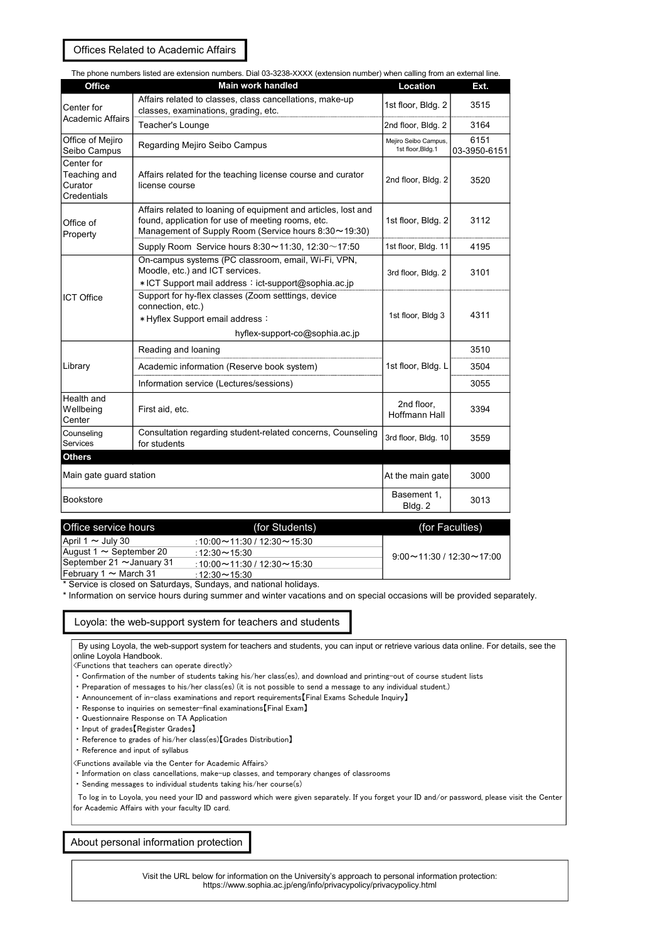Offices Related to Academic Affairs

| The phone numbers listed are extension numbers. Dial 03-3238-XXXX (extension number) when calling from an external line. |                                                                                                                                                                             |                                            |                      |  |  |  |
|--------------------------------------------------------------------------------------------------------------------------|-----------------------------------------------------------------------------------------------------------------------------------------------------------------------------|--------------------------------------------|----------------------|--|--|--|
| <b>Office</b>                                                                                                            | Main work handled                                                                                                                                                           | Location                                   | Ext.                 |  |  |  |
| Center for                                                                                                               | Affairs related to classes, class cancellations, make-up<br>classes, examinations, grading, etc.                                                                            | 1st floor, Bldg. 2                         | 3515                 |  |  |  |
| <b>Academic Affairs</b>                                                                                                  | Teacher's Lounge                                                                                                                                                            | 2nd floor, Bldg. 2                         | 3164                 |  |  |  |
| Office of Mejiro<br>Seibo Campus                                                                                         | Regarding Mejiro Seibo Campus                                                                                                                                               | Mejiro Seibo Campus,<br>1st floor, Bldg. 1 | 6151<br>03-3950-6151 |  |  |  |
| Center for<br>Teaching and<br>Curator<br>Credentials                                                                     | Affairs related for the teaching license course and curator<br>license course                                                                                               | 2nd floor, Bldg. 2                         | 3520                 |  |  |  |
| Office of<br>Property                                                                                                    | Affairs related to loaning of equipment and articles, lost and<br>found, application for use of meeting rooms, etc.<br>Management of Supply Room (Service hours 8:30~19:30) | 1st floor, Bldg. 2                         | 3112                 |  |  |  |
|                                                                                                                          | Supply Room Service hours $8:30 \sim 11:30$ , 12:30 ~ 17:50                                                                                                                 | 1st floor, Bldg. 11                        | 4195                 |  |  |  |
|                                                                                                                          | On-campus systems (PC classroom, email, Wi-Fi, VPN,<br>Moodle, etc.) and ICT services.<br>* ICT Support mail address: ict-support@sophia.ac.jp                              | 3rd floor, Bldg. 2                         | 3101                 |  |  |  |
| <b>ICT Office</b>                                                                                                        | Support for hy-flex classes (Zoom setttings, device<br>connection, etc.)<br>* Hyflex Support email address :<br>hyflex-support-co@sophia.ac.jp                              | 1st floor, Bldg 3                          | 4311                 |  |  |  |
|                                                                                                                          | Reading and loaning                                                                                                                                                         |                                            | 3510                 |  |  |  |
| Library                                                                                                                  | Academic information (Reserve book system)                                                                                                                                  | 1st floor, Bldg. L                         | 3504                 |  |  |  |
|                                                                                                                          | Information service (Lectures/sessions)                                                                                                                                     |                                            | 3055                 |  |  |  |
| Health and<br>Wellbeing<br>First aid, etc.<br>Center                                                                     |                                                                                                                                                                             | 2nd floor,<br><b>Hoffmann Hall</b>         | 3394                 |  |  |  |
| Counseling<br>Services                                                                                                   | Consultation regarding student-related concerns, Counseling<br>for students                                                                                                 | 3rd floor, Bldg. 10                        | 3559                 |  |  |  |
| <b>Others</b>                                                                                                            |                                                                                                                                                                             |                                            |                      |  |  |  |
| Main gate guard station                                                                                                  |                                                                                                                                                                             | At the main gate                           | 3000                 |  |  |  |
| Bookstore                                                                                                                |                                                                                                                                                                             | Basement 1,<br>Bldg. 2                     | 3013                 |  |  |  |

| Office service hours           | (for Students)                                       | (for Faculties)                      |
|--------------------------------|------------------------------------------------------|--------------------------------------|
| April 1 $\sim$ July 30         | $:10:00 \rightarrow 11:30 / 12:30 \rightarrow 15:30$ |                                      |
| August 1 $\sim$ September 20   | $12.30 - 15.30$                                      | $9:00 \sim 11:30 / 12:30 \sim 17:00$ |
| September 21 $\sim$ January 31 | $:10:00 \rightarrow 11:30 / 12:30 \rightarrow 15:30$ |                                      |
| February 1 $\sim$ March 31     | : 12:30 $\sim$ 15:30                                 |                                      |

\* Service is closed on Saturdays, Sundays, and national holidays.

\* Information on service hours during summer and winter vacations and on special occasions will be provided separately.

#### Loyola: the web-support system for teachers and students

By using Loyola, the web-support system for teachers and students, you can input or retrieve various data online. For details, see the online Loyola Handbook.

<Functions that teachers can operate directly>

・ Confirmation of the number of students taking his/her class(es), and download and printing-out of course student lists

- ・ Preparation of messages to his/her class(es) (it is not possible to send a message to any individual student.)
- Announcement of in-class examinations and report requirements [Final Exams Schedule Inquiry]
- ・ Response to inquiries on semester-final examinations【Final Exam】
- ・ Questionnaire Response on TA Application
- ・ Input of grades【Register Grades】
- ・ Reference to grades of his/her class(es)【Grades Distribution】
- ・ Reference and input of syllabus

<Functions available via the Center for Academic Affairs>

・ Information on class cancellations, make-up classes, and temporary changes of classrooms

・ Sending messages to individual students taking his/her course(s)

To log in to Loyola, you need your ID and password which were given separately. If you forget your ID and/or password, please visit the Center for Academic Affairs with your faculty ID card.

About personal information protection

Visit the URL below for information on the University's approach to personal information protection: https://www.sophia.ac.jp/eng/info/privacypolicy/privacypolicy.html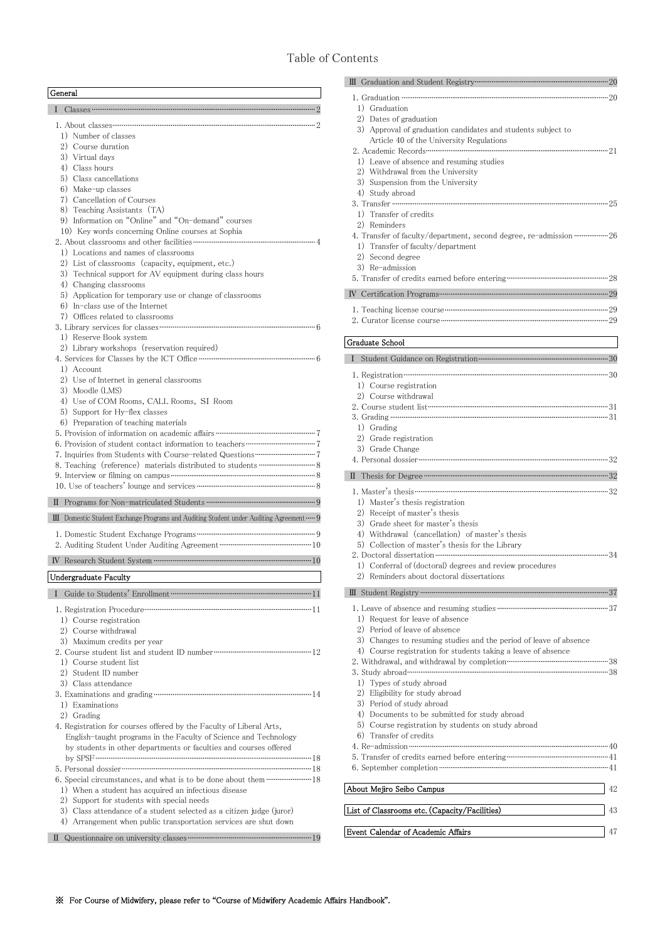# Table of Contents

| General |                                                                                                                                                                                                                                                                                                                           |
|---------|---------------------------------------------------------------------------------------------------------------------------------------------------------------------------------------------------------------------------------------------------------------------------------------------------------------------------|
| L       | $\text{Classes} \text{ \dots} \text{ \dots} \text{ \dots} \text{ \dots} \text{ \dots} \text{ \dots} \text{ \dots} \text{ \dots} \text{ \dots} \text{ \dots} \text{ \dots} \text{ \dots} \text{ \dots} \text{ \dots} \text{ \dots}$                                                                                        |
|         |                                                                                                                                                                                                                                                                                                                           |
|         | 1) Number of classes<br>2) Course duration                                                                                                                                                                                                                                                                                |
|         | 3) Virtual days                                                                                                                                                                                                                                                                                                           |
|         | 4) Class hours                                                                                                                                                                                                                                                                                                            |
|         | 5) Class cancellations                                                                                                                                                                                                                                                                                                    |
|         | 6) Make-up classes                                                                                                                                                                                                                                                                                                        |
|         | 7) Cancellation of Courses                                                                                                                                                                                                                                                                                                |
|         | 8) Teaching Assistants (TA)<br>9) Information on "Online" and "On-demand" courses                                                                                                                                                                                                                                         |
|         | 10) Key words concerning Online courses at Sophia                                                                                                                                                                                                                                                                         |
|         |                                                                                                                                                                                                                                                                                                                           |
|         | 1) Locations and names of classrooms                                                                                                                                                                                                                                                                                      |
|         | 2) List of classrooms (capacity, equipment, etc.)                                                                                                                                                                                                                                                                         |
|         | 3) Technical support for AV equipment during class hours                                                                                                                                                                                                                                                                  |
|         | 4) Changing classrooms                                                                                                                                                                                                                                                                                                    |
|         | 5) Application for temporary use or change of classrooms<br>$6)$ In-class use of the Internet                                                                                                                                                                                                                             |
|         | 7) Offices related to classrooms                                                                                                                                                                                                                                                                                          |
|         |                                                                                                                                                                                                                                                                                                                           |
|         | 1) Reserve Book system                                                                                                                                                                                                                                                                                                    |
|         | 2) Library workshops (reservation required)                                                                                                                                                                                                                                                                               |
|         |                                                                                                                                                                                                                                                                                                                           |
|         | 1) Account                                                                                                                                                                                                                                                                                                                |
|         | 2) Use of Internet in general classrooms<br>3) Moodle (LMS)                                                                                                                                                                                                                                                               |
|         | 4) Use of COM Rooms, CALL Rooms, SI Room                                                                                                                                                                                                                                                                                  |
|         | 5) Support for Hy-flex classes                                                                                                                                                                                                                                                                                            |
|         | 6) Preparation of teaching materials                                                                                                                                                                                                                                                                                      |
|         |                                                                                                                                                                                                                                                                                                                           |
|         |                                                                                                                                                                                                                                                                                                                           |
|         |                                                                                                                                                                                                                                                                                                                           |
|         | 8. Teaching (reference) materials distributed to students ……………………………………………………………<br>9. Interview or filming on campus <b>contract the contract of the contract of the contract of the contract of the contract of the contract of the contract of the contract of the contract of the contract of the contract of th</b> |
|         |                                                                                                                                                                                                                                                                                                                           |
|         |                                                                                                                                                                                                                                                                                                                           |
|         |                                                                                                                                                                                                                                                                                                                           |
|         |                                                                                                                                                                                                                                                                                                                           |
|         | III Domestic Student Exchange Programs and Auditing Student under Auditing Agreement  9                                                                                                                                                                                                                                   |
|         |                                                                                                                                                                                                                                                                                                                           |
|         | 2. Auditing Student Under Auditing Agreement ………………………………………………………… 10                                                                                                                                                                                                                                                    |
|         |                                                                                                                                                                                                                                                                                                                           |
|         | Undergraduate Faculty                                                                                                                                                                                                                                                                                                     |
| L       |                                                                                                                                                                                                                                                                                                                           |
|         |                                                                                                                                                                                                                                                                                                                           |
|         | 1) Course registration                                                                                                                                                                                                                                                                                                    |
|         | 2) Course withdrawal                                                                                                                                                                                                                                                                                                      |
|         | 3) Maximum credits per year                                                                                                                                                                                                                                                                                               |
|         |                                                                                                                                                                                                                                                                                                                           |
|         | 1) Course student list<br>2) Student ID number                                                                                                                                                                                                                                                                            |
|         | 3) Class attendance                                                                                                                                                                                                                                                                                                       |
|         |                                                                                                                                                                                                                                                                                                                           |
|         | 1) Examinations                                                                                                                                                                                                                                                                                                           |
|         | 2) Grading                                                                                                                                                                                                                                                                                                                |
|         | 4. Registration for courses offered by the Faculty of Liberal Arts,                                                                                                                                                                                                                                                       |
|         | English-taught programs in the Faculty of Science and Technology                                                                                                                                                                                                                                                          |
|         | by students in other departments or faculties and courses offered                                                                                                                                                                                                                                                         |
|         |                                                                                                                                                                                                                                                                                                                           |
|         |                                                                                                                                                                                                                                                                                                                           |
|         | 1) When a student has acquired an infectious disease                                                                                                                                                                                                                                                                      |
|         | 2) Support for students with special needs                                                                                                                                                                                                                                                                                |
|         | 3) Class attendance of a student selected as a citizen judge (juror)                                                                                                                                                                                                                                                      |
|         | 4) Arrangement when public transportation services are shut down                                                                                                                                                                                                                                                          |

| 1) Graduation                                                                                                        |
|----------------------------------------------------------------------------------------------------------------------|
| 2) Dates of graduation<br>3) Approval of graduation candidates and students subject to                               |
| Article 40 of the University Regulations                                                                             |
|                                                                                                                      |
| 1) Leave of absence and resuming studies                                                                             |
| 2) Withdrawal from the University                                                                                    |
| 3) Suspension from the University                                                                                    |
| 4) Study abroad                                                                                                      |
| 1) Transfer of credits                                                                                               |
| 2) Reminders                                                                                                         |
| 4. Transfer of faculty/department, second degree, re-admission ……………… 26                                             |
| 1) Transfer of faculty/department                                                                                    |
| 2) Second degree                                                                                                     |
| 3) Re-admission<br>5. Transfer of credits earned before entering <b>contained and all the contained and state</b> 28 |
|                                                                                                                      |
|                                                                                                                      |
|                                                                                                                      |
|                                                                                                                      |
| Graduate School                                                                                                      |
| L                                                                                                                    |
|                                                                                                                      |
| 1) Course registration                                                                                               |
| 2) Course withdrawal                                                                                                 |
|                                                                                                                      |
|                                                                                                                      |
| 1) Grading                                                                                                           |
| 2) Grade registration                                                                                                |
| 3) Grade Change                                                                                                      |
|                                                                                                                      |
|                                                                                                                      |
|                                                                                                                      |
| 1) Master's thesis registration<br>2) Receipt of master's thesis                                                     |
| 3) Grade sheet for master's thesis                                                                                   |
| 4) Withdrawal (cancellation) of master's thesis                                                                      |
| 5) Collection of master's thesis for the Library                                                                     |
|                                                                                                                      |
| 1) Conferral of (doctoral) degrees and review procedures<br>2) Reminders about doctoral dissertations                |
|                                                                                                                      |
|                                                                                                                      |
|                                                                                                                      |
| 1) Request for leave of absence<br>2) Period of leave of absence                                                     |
| 3) Changes to resuming studies and the period of leave of absence                                                    |
| 4) Course registration for students taking a leave of absence                                                        |
|                                                                                                                      |
|                                                                                                                      |
| 1) Types of study abroad                                                                                             |
| 2) Eligibility for study abroad                                                                                      |
| 3) Period of study abroad<br>4) Documents to be submitted for study abroad                                           |
| 5) Course registration by students on study abroad                                                                   |
| 6) Transfer of credits                                                                                               |
|                                                                                                                      |
|                                                                                                                      |
|                                                                                                                      |
| About Mejiro Seibo Campus<br>42                                                                                      |
|                                                                                                                      |
| List of Classrooms etc. (Capacity/Facilities)<br>43                                                                  |
|                                                                                                                      |

Event Calendar of Academic Affairs 47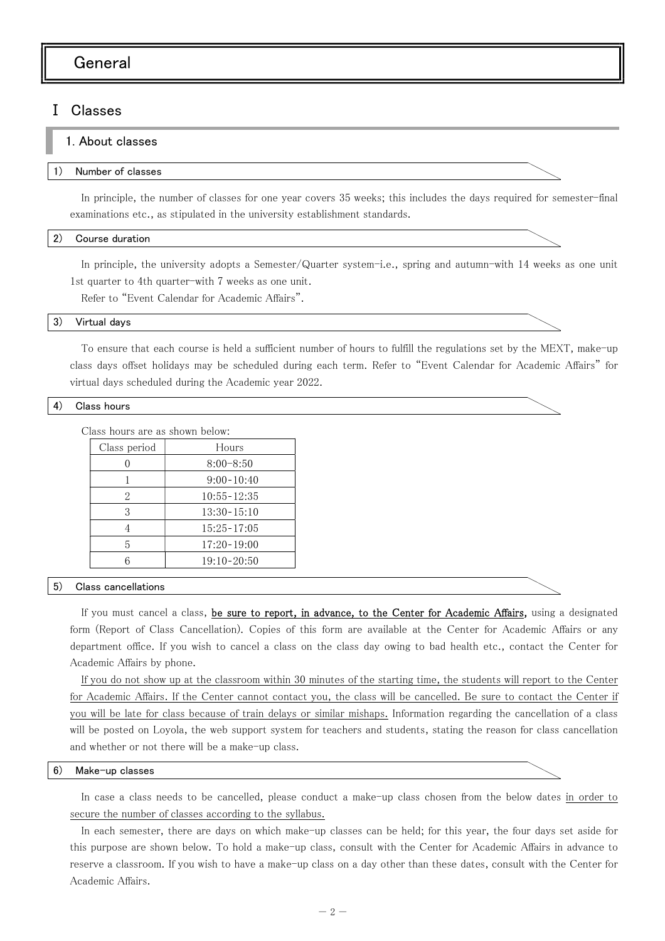# General

# Ⅰ Classes

#### 1. About classes

#### 1) Number of classes

In principle, the number of classes for one year covers 35 weeks; this includes the days required for semester-final examinations etc., as stipulated in the university establishment standards.

#### 2) Course duration

In principle, the university adopts a Semester/Quarter system-i.e., spring and autumn-with 14 weeks as one unit 1st quarter to 4th quarter-with 7 weeks as one unit.

Refer to "Event Calendar for Academic Affairs".

#### 3) Virtual days

To ensure that each course is held a sufficient number of hours to fulfill the regulations set by the MEXT, make-up class days offset holidays may be scheduled during each term. Refer to "Event Calendar for Academic Affairs" for virtual days scheduled during the Academic year 2022.

#### 4) Class hours

Class hours are as shown below:

| Class period | Hours           |
|--------------|-----------------|
|              | $8:00 - 8:50$   |
|              | $9:00-10:40$    |
| 2            | $10:55 - 12:35$ |
| 3            | $13:30 - 15:10$ |
|              | $15:25 - 17:05$ |
| 5            | $17:20 - 19:00$ |
|              | $19:10 - 20:50$ |
|              |                 |

#### 5) Class cancellations

If you must cancel a class, be sure to report, in advance, to the Center for Academic Affairs, using a designated form (Report of Class Cancellation). Copies of this form are available at the Center for Academic Affairs or any department office. If you wish to cancel a class on the class day owing to bad health etc., contact the Center for Academic Affairs by phone.

If you do not show up at the classroom within 30 minutes of the starting time, the students will report to the Center for Academic Affairs. If the Center cannot contact you, the class will be cancelled. Be sure to contact the Center if you will be late for class because of train delays or similar mishaps. Information regarding the cancellation of a class will be posted on Loyola, the web support system for teachers and students, stating the reason for class cancellation and whether or not there will be a make-up class.

#### 6) Make-up classes

In case a class needs to be cancelled, please conduct a make-up class chosen from the below dates in order to secure the number of classes according to the syllabus.

In each semester, there are days on which make-up classes can be held; for this year, the four days set aside for this purpose are shown below. To hold a make-up class, consult with the Center for Academic Affairs in advance to reserve a classroom. If you wish to have a make-up class on a day other than these dates, consult with the Center for Academic Affairs.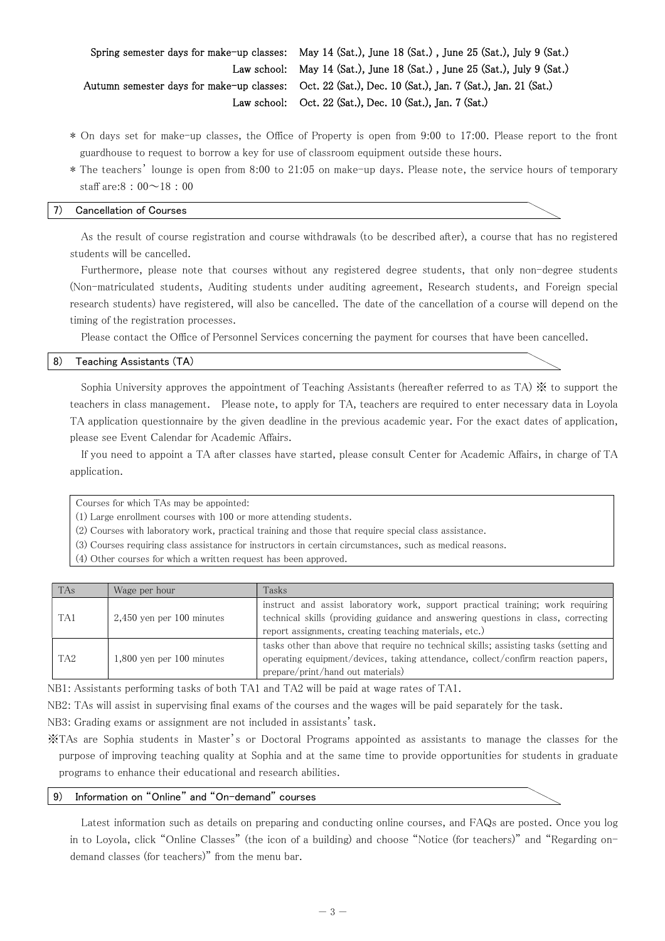Spring semester days for make-up classes: May 14 (Sat.), June 18 (Sat.) , June 25 (Sat.), July 9 (Sat.) Law school: May 14 (Sat.), June 18 (Sat.) , June 25 (Sat.), July 9 (Sat.) Autumn semester days for make-up classes: Oct. 22 (Sat.), Dec. 10 (Sat.), Jan. 7 (Sat.), Jan. 21 (Sat.) Law school: Oct. 22 (Sat.), Dec. 10 (Sat.), Jan. 7 (Sat.)

- \* On days set for make-up classes, the Office of Property is open from 9:00 to 17:00. Please report to the front guardhouse to request to borrow a key for use of classroom equipment outside these hours.
- \* The teachers' lounge is open from 8:00 to 21:05 on make-up days. Please note, the service hours of temporary staff are: $8:00~18:00$

#### 7) Cancellation of Courses

As the result of course registration and course withdrawals (to be described after), a course that has no registered students will be cancelled.

Furthermore, please note that courses without any registered degree students, that only non-degree students (Non-matriculated students, Auditing students under auditing agreement, Research students, and Foreign special research students) have registered, will also be cancelled. The date of the cancellation of a course will depend on the timing of the registration processes.

Please contact the Office of Personnel Services concerning the payment for courses that have been cancelled.

#### 8) Teaching Assistants (TA)

Sophia University approves the appointment of Teaching Assistants (hereafter referred to as TA) ※ to support the teachers in class management. Please note, to apply for TA, teachers are required to enter necessary data in Loyola TA application questionnaire by the given deadline in the previous academic year. For the exact dates of application, please see Event Calendar for Academic Affairs.

If you need to appoint a TA after classes have started, please consult Center for Academic Affairs, in charge of TA application.

Courses for which TAs may be appointed:

(1) Large enrollment courses with 100 or more attending students.

(2) Courses with laboratory work, practical training and those that require special class assistance.

- (3) Courses requiring class assistance for instructors in certain circumstances, such as medical reasons.
- (4) Other courses for which a written request has been approved.

| <b>TAs</b>      | Wage per hour               | Tasks                                                                                                                                                                                                                          |
|-----------------|-----------------------------|--------------------------------------------------------------------------------------------------------------------------------------------------------------------------------------------------------------------------------|
| TA <sub>1</sub> | $2,450$ yen per 100 minutes | instruct and assist laboratory work, support practical training; work requiring<br>technical skills (providing guidance and answering questions in class, correcting<br>report assignments, creating teaching materials, etc.) |
| TA <sub>2</sub> | $1,800$ yen per 100 minutes | tasks other than above that require no technical skills; assisting tasks (setting and<br>operating equipment/devices, taking attendance, collect/confirm reaction papers,<br>prepare/print/hand out materials)                 |

NB1: Assistants performing tasks of both TA1 and TA2 will be paid at wage rates of TA1.

NB2: TAs will assist in supervising final exams of the courses and the wages will be paid separately for the task.

NB3: Grading exams or assignment are not included in assistants' task.

※TAs are Sophia students in Master's or Doctoral Programs appointed as assistants to manage the classes for the purpose of improving teaching quality at Sophia and at the same time to provide opportunities for students in graduate programs to enhance their educational and research abilities.

#### 9) Information on "Online" and "On-demand" courses

Latest information such as details on preparing and conducting online courses, and FAQs are posted. Once you log in to Loyola, click "Online Classes" (the icon of a building) and choose "Notice (for teachers)" and "Regarding ondemand classes (for teachers)" from the menu bar.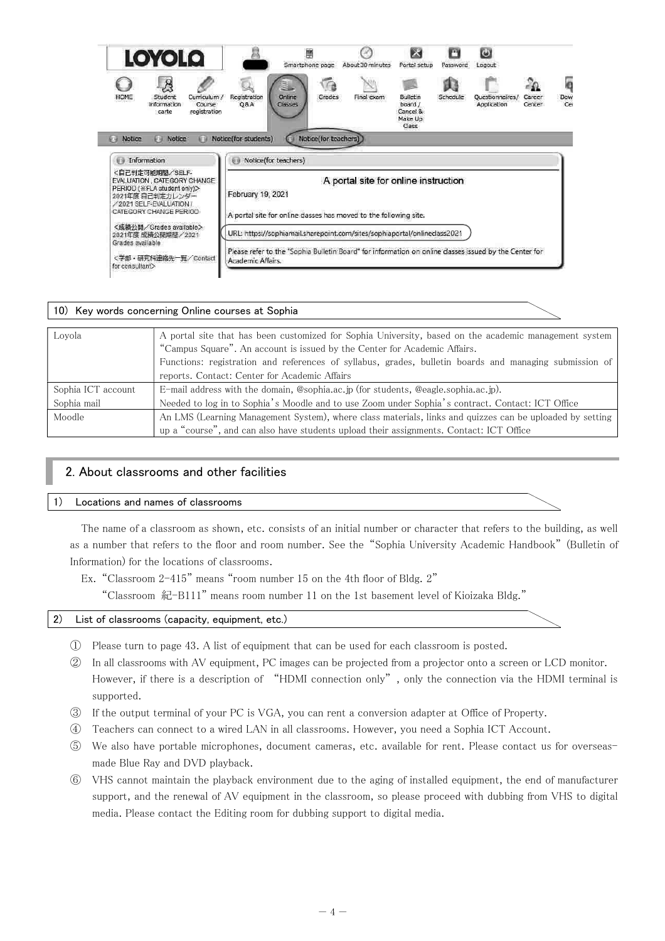| <b>LOYOLQ</b>                                                                                                                                         |                                                                                                                             | Smartphone page       | About 30 minutes                     | Portal setup                                        | n<br>Password | $\mathbf{\Theta}$<br>Logout    |                  |                 |
|-------------------------------------------------------------------------------------------------------------------------------------------------------|-----------------------------------------------------------------------------------------------------------------------------|-----------------------|--------------------------------------|-----------------------------------------------------|---------------|--------------------------------|------------------|-----------------|
| Ŗ<br>Curriculum /<br>HOME<br>Student<br>Information<br>Course<br>carte<br>registration                                                                | Online<br>Registration<br><b>Q&amp;A</b><br>Classes                                                                         | Grades                | Final exam                           | Bulletin<br>board /<br>Cancel &<br>Make Up<br>Class | Schedule      | Questionnaires/<br>Application | Career<br>Center | ō<br>Dow<br>Cer |
| Notice<br>Notice<br>新羅<br>新课                                                                                                                          | Notice(for students)                                                                                                        | Notice(for teachers)) |                                      |                                                     |               |                                |                  |                 |
| Information<br>資店                                                                                                                                     | Notice(for teachers)<br>新建                                                                                                  |                       |                                      |                                                     |               |                                |                  |                 |
| <自己判定可能期間/SELF-<br>EVALUATION, CATEGORY CHANGE<br>PERIOD ( *FLA student only)><br>2021年度自己判定カレンダー<br>2021 SELE-EVALUATION /<br>CATEGORY CHANGE PERIOD | February 19, 2021<br>A portal site for online classes has moved to the following site.                                      |                       | A portal site for online instruction |                                                     |               |                                |                  |                 |
| <成績公開/Grades available><br>2021年度 成績公開期間/2021                                                                                                         | URL: https://sophiamail.sharepoint.com/sites/sophiaportal/onlineciass2021                                                   |                       |                                      |                                                     |               |                                |                  |                 |
| Grades available<br><学部·研究科連絡先一覧/Contact<br>for consultant>                                                                                           | Please refer to the "Sophia Bulletin Board" for information on online classes issued by the Center for<br>Academic Affairs. |                       |                                      |                                                     |               |                                |                  |                 |

|                                   | 10) Key words concerning Online courses at Sophia                                                                                                                                                                                                                                                                                             |
|-----------------------------------|-----------------------------------------------------------------------------------------------------------------------------------------------------------------------------------------------------------------------------------------------------------------------------------------------------------------------------------------------|
| Loyola                            | A portal site that has been customized for Sophia University, based on the academic management system<br>"Campus Square". An account is issued by the Center for Academic Affairs.<br>Functions: registration and references of syllabus, grades, bulletin boards and managing submission of<br>reports. Contact: Center for Academic Affairs |
| Sophia ICT account<br>Sophia mail | E-mail address with the domain, @sophia.ac.jp (for students, @eagle.sophia.ac.jp).<br>Needed to log in to Sophia's Moodle and to use Zoom under Sophia's contract. Contact: ICT Office                                                                                                                                                        |
| Moodle                            | An LMS (Learning Management System), where class materials, links and quizzes can be uploaded by setting<br>up a "course", and can also have students upload their assignments. Contact: ICT Office                                                                                                                                           |

# 2. About classrooms and other facilities

# 1) Locations and names of classrooms

The name of a classroom as shown, etc. consists of an initial number or character that refers to the building, as well as a number that refers to the floor and room number. See the "Sophia University Academic Handbook" (Bulletin of Information) for the locations of classrooms.

Ex. "Classroom 2-415" means "room number 15 on the 4th floor of Bldg. 2"

"Classroom 紀-B111" means room number 11 on the 1st basement level of Kioizaka Bldg."

# 2) List of classrooms (capacity, equipment, etc.)

- ① Please turn to page 43. A list of equipment that can be used for each classroom is posted.
- ② In all classrooms with AV equipment, PC images can be projected from a projector onto a screen or LCD monitor. However, if there is a description of "HDMI connection only", only the connection via the HDMI terminal is supported.
- ③ If the output terminal of your PC is VGA, you can rent a conversion adapter at Office of Property.
- ④ Teachers can connect to a wired LAN in all classrooms. However, you need a Sophia ICT Account.
- ⑤ We also have portable microphones, document cameras, etc. available for rent. Please contact us for overseasmade Blue Ray and DVD playback.
- ⑥ VHS cannot maintain the playback environment due to the aging of installed equipment, the end of manufacturer support, and the renewal of AV equipment in the classroom, so please proceed with dubbing from VHS to digital media. Please contact the Editing room for dubbing support to digital media.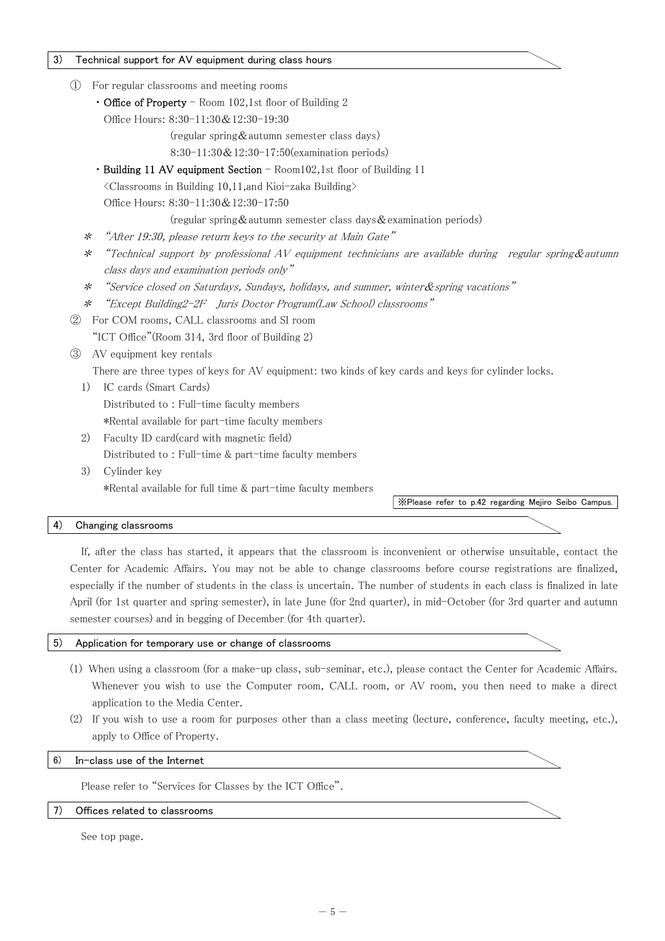#### 3) Technical support for AV equipment during class hours

- ① For regular classrooms and meeting rooms
	- Office of Property Room 102,1st floor of Building 2
		- Office Hours: 8:30-11:30&12:30-19:30
			- (regular spring&autumn semester class days)
			- 8:30-11:30&12:30-17:50(examination periods)
	- Building 11 AV equipment Section Room102,1st floor of Building 11

<Classrooms in Building 10,11,and Kioi-zaka Building>

Office Hours: 8:30-11:30&12:30-17:50

(regular spring & autumn semester class days & examination periods)

- \*"After 19:30, please return keys to the security at Main Gate"
- \*"Technical support by professional AV equipment technicians are available during regular spring & autumn class days and examination periods only"
- \*"Service closed on Saturdays, Sundays, holidays, and summer, winter&spring vacations"
- \* "Except Building2-2F Juris Doctor Program(Law School) classrooms"
- ② For COM rooms, CALL classrooms and SI room "ICT Office"(Room 314, 3rd floor of Building 2)

# ③ AV equipment key rentals

There are three types of keys for AV equipment: two kinds of key cards and keys for cylinder locks.

- 1) IC cards (Smart Cards) Distributed to : Full-time faculty members \*Rental available for part-time faculty members
- 2) Faculty ID card(card with magnetic field) Distributed to : Full-time & part-time faculty members
- 3) Cylinder key \*Rental available for full time & part-time faculty members

※Please refer to p.42 regarding Mejiro Seibo Campus.

#### 4) Changing classrooms

If, after the class has started, it appears that the classroom is inconvenient or otherwise unsuitable, contact the Center for Academic Affairs. You may not be able to change classrooms before course registrations are finalized, especially if the number of students in the class is uncertain. The number of students in each class is finalized in late April (for 1st quarter and spring semester), in late June (for 2nd quarter), in mid-October (for 3rd quarter and autumn semester courses) and in begging of December (for 4th quarter).

#### 5) Application for temporary use or change of classrooms

- (1) When using a classroom (for a make-up class, sub-seminar, etc.), please contact the Center for Academic Affairs. Whenever you wish to use the Computer room, CALL room, or AV room, you then need to make a direct application to the Media Center.
- (2) If you wish to use a room for purposes other than a class meeting (lecture, conference, faculty meeting, etc.), apply to Office of Property.

#### 6) In-class use of the Internet

Please refer to "Services for Classes by the ICT Office".

#### 7) Offices related to classrooms

See top page.

#### $- 5 -$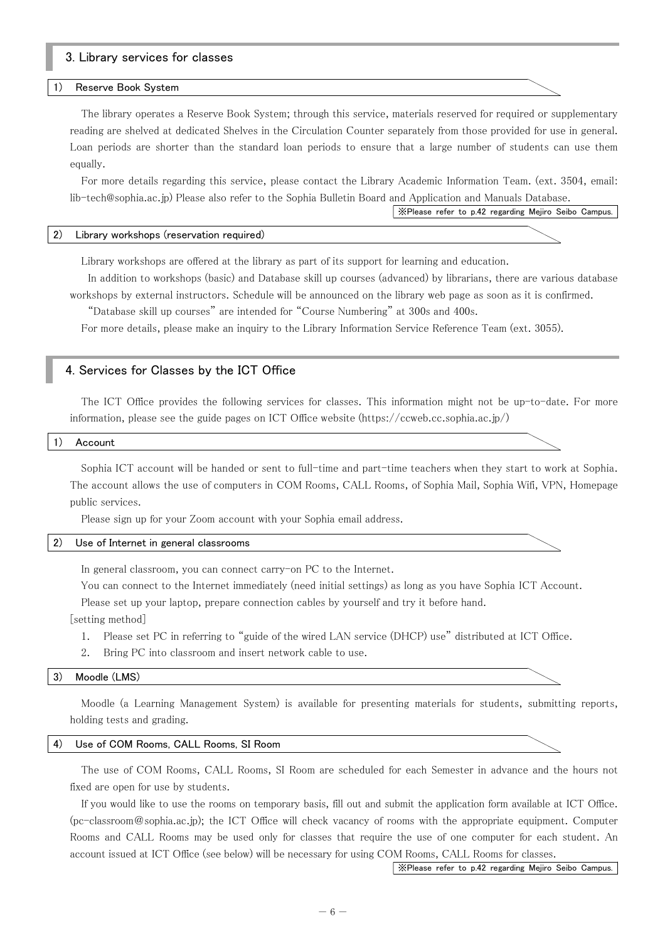# 3. Library services for classes

#### Reserve Book System

The library operates a Reserve Book System; through this service, materials reserved for required or supplementary reading are shelved at dedicated Shelves in the Circulation Counter separately from those provided for use in general. Loan periods are shorter than the standard loan periods to ensure that a large number of students can use them equally.

For more details regarding this service, please contact the Library Academic Information Team. (ext. 3504, email: lib-tech@sophia.ac.jp) Please also refer to the Sophia Bulletin Board and Application and Manuals Database.

※Please refer to p.42 regarding Mejiro Seibo Campus.

#### 2) Library workshops (reservation required)

Library workshops are offered at the library as part of its support for learning and education.

 In addition to workshops (basic) and Database skill up courses (advanced) by librarians, there are various database workshops by external instructors. Schedule will be announced on the library web page as soon as it is confirmed.

"Database skill up courses" are intended for "Course Numbering" at 300s and 400s.

For more details, please make an inquiry to the Library Information Service Reference Team (ext. 3055).

#### 4. Services for Classes by the ICT Office

The ICT Office provides the following services for classes. This information might not be up-to-date. For more information, please see the guide pages on ICT Office website (https://ccweb.cc.sophia.ac.jp/)

#### 1) Account

Sophia ICT account will be handed or sent to full-time and part-time teachers when they start to work at Sophia. The account allows the use of computers in COM Rooms, CALL Rooms, of Sophia Mail, Sophia Wifi, VPN, Homepage public services.

Please sign up for your Zoom account with your Sophia email address.

#### 2) Use of Internet in general classrooms

In general classroom, you can connect carry-on PC to the Internet.

You can connect to the Internet immediately (need initial settings) as long as you have Sophia ICT Account. Please set up your laptop, prepare connection cables by yourself and try it before hand.

[setting method]

- 1. Please set PC in referring to "guide of the wired LAN service (DHCP) use" distributed at ICT Office.
- 2. Bring PC into classroom and insert network cable to use.

#### 3) Moodle (LMS)

Moodle (a Learning Management System) is available for presenting materials for students, submitting reports, holding tests and grading.

#### 4) Use of COM Rooms, CALL Rooms, SI Room

The use of COM Rooms, CALL Rooms, SI Room are scheduled for each Semester in advance and the hours not fixed are open for use by students.

If you would like to use the rooms on temporary basis, fill out and submit the application form available at ICT Office. (pc-classroom@sophia.ac.jp); the ICT Office will check vacancy of rooms with the appropriate equipment. Computer Rooms and CALL Rooms may be used only for classes that require the use of one computer for each student. An account issued at ICT Office (see below) will be necessary for using COM Rooms, CALL Rooms for classes.

※Please refer to p.42 regarding Mejiro Seibo Campus.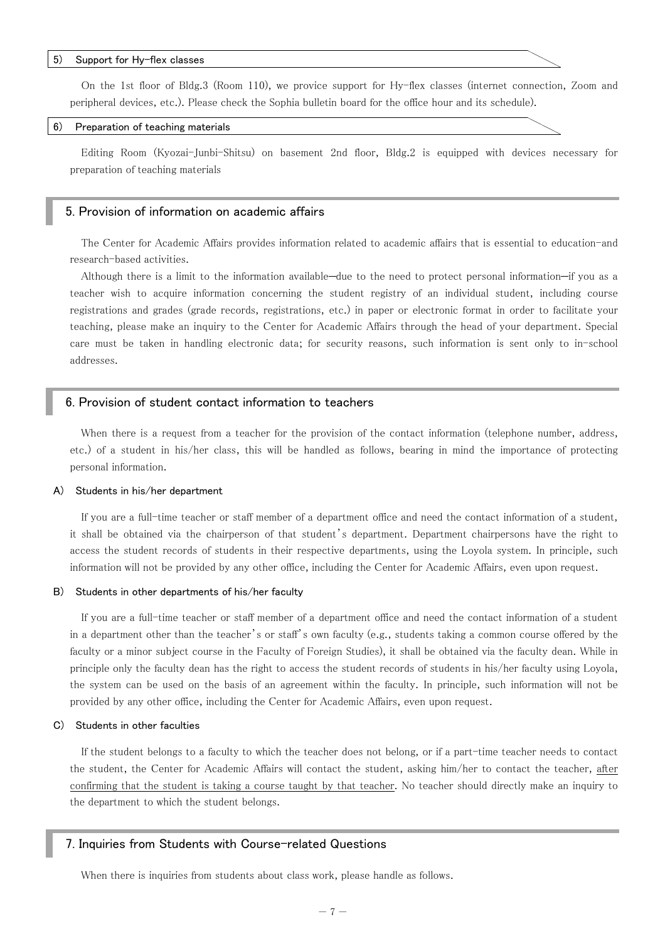#### 5) Support for Hy-flex classes

On the 1st floor of Bldg.3 (Room 110), we provice support for Hy-flex classes (internet connection, Zoom and peripheral devices, etc.). Please check the Sophia bulletin board for the office hour and its schedule).

#### 6) Preparation of teaching materials

Editing Room (Kyozai-Junbi-Shitsu) on basement 2nd floor, Bldg.2 is equipped with devices necessary for preparation of teaching materials

#### 5. Provision of information on academic affairs

The Center for Academic Affairs provides information related to academic affairs that is essential to education-and research-based activities.

Although there is a limit to the information available—due to the need to protect personal information—if you as a teacher wish to acquire information concerning the student registry of an individual student, including course registrations and grades (grade records, registrations, etc.) in paper or electronic format in order to facilitate your teaching, please make an inquiry to the Center for Academic Affairs through the head of your department. Special care must be taken in handling electronic data; for security reasons, such information is sent only to in-school addresses.

# 6. Provision of student contact information to teachers

When there is a request from a teacher for the provision of the contact information (telephone number, address, etc.) of a student in his/her class, this will be handled as follows, bearing in mind the importance of protecting personal information.

#### A) Students in his/her department

If you are a full-time teacher or staff member of a department office and need the contact information of a student, it shall be obtained via the chairperson of that student's department. Department chairpersons have the right to access the student records of students in their respective departments, using the Loyola system. In principle, such information will not be provided by any other office, including the Center for Academic Affairs, even upon request.

#### B) Students in other departments of his/her faculty

If you are a full-time teacher or staff member of a department office and need the contact information of a student in a department other than the teacher's or staff's own faculty (e.g., students taking a common course offered by the faculty or a minor subject course in the Faculty of Foreign Studies), it shall be obtained via the faculty dean. While in principle only the faculty dean has the right to access the student records of students in his/her faculty using Loyola, the system can be used on the basis of an agreement within the faculty. In principle, such information will not be provided by any other office, including the Center for Academic Affairs, even upon request.

#### C) Students in other faculties

If the student belongs to a faculty to which the teacher does not belong, or if a part-time teacher needs to contact the student, the Center for Academic Affairs will contact the student, asking him/her to contact the teacher, after confirming that the student is taking a course taught by that teacher. No teacher should directly make an inquiry to the department to which the student belongs.

#### 7. Inquiries from Students with Course-related Questions

When there is inquiries from students about class work, please handle as follows.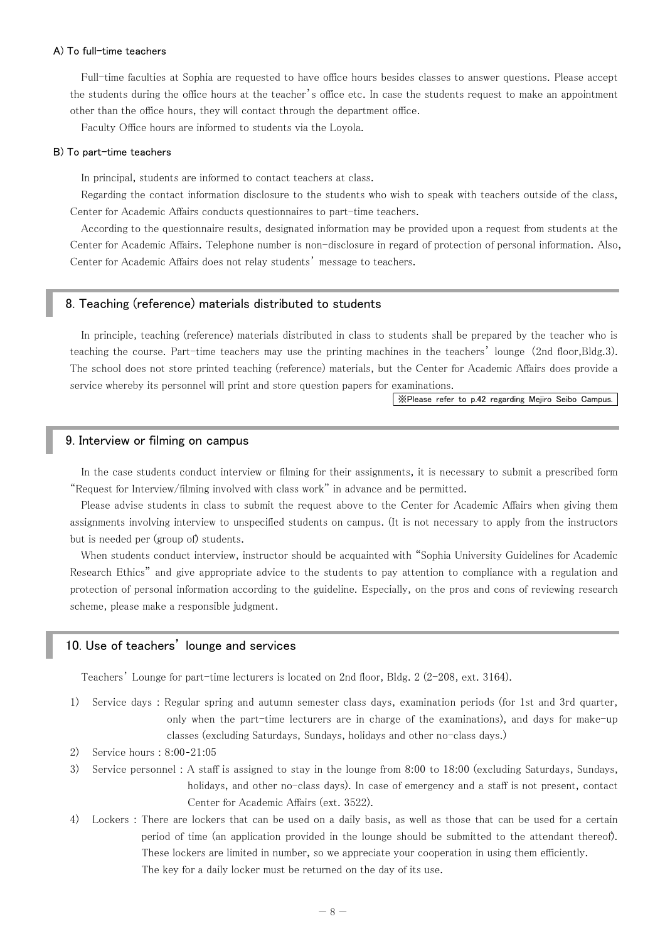#### A) To full-time teachers

Full-time faculties at Sophia are requested to have office hours besides classes to answer questions. Please accept the students during the office hours at the teacher's office etc. In case the students request to make an appointment other than the office hours, they will contact through the department office.

Faculty Office hours are informed to students via the Loyola.

#### B) To part-time teachers

In principal, students are informed to contact teachers at class.

Regarding the contact information disclosure to the students who wish to speak with teachers outside of the class, Center for Academic Affairs conducts questionnaires to part-time teachers.

According to the questionnaire results, designated information may be provided upon a request from students at the Center for Academic Affairs. Telephone number is non-disclosure in regard of protection of personal information. Also, Center for Academic Affairs does not relay students' message to teachers.

### 8. Teaching (reference) materials distributed to students

In principle, teaching (reference) materials distributed in class to students shall be prepared by the teacher who is teaching the course. Part-time teachers may use the printing machines in the teachers' lounge(2nd floor,Bldg.3). The school does not store printed teaching (reference) materials, but the Center for Academic Affairs does provide a service whereby its personnel will print and store question papers for examinations.

※Please refer to p.42 regarding Mejiro Seibo Campus.

#### 9. Interview or filming on campus

In the case students conduct interview or filming for their assignments, it is necessary to submit a prescribed form "Request for Interview/filming involved with class work" in advance and be permitted.

Please advise students in class to submit the request above to the Center for Academic Affairs when giving them assignments involving interview to unspecified students on campus. (It is not necessary to apply from the instructors but is needed per (group of) students.

When students conduct interview, instructor should be acquainted with "Sophia University Guidelines for Academic Research Ethics" and give appropriate advice to the students to pay attention to compliance with a regulation and protection of personal information according to the guideline. Especially, on the pros and cons of reviewing research scheme, please make a responsible judgment.

# 10. Use of teachers' lounge and services

Teachers' Lounge for part-time lecturers is located on 2nd floor, Bldg. 2 (2-208, ext. 3164).

- 1) Service days : Regular spring and autumn semester class days, examination periods (for 1st and 3rd quarter, only when the part-time lecturers are in charge of the examinations), and days for make-up classes (excluding Saturdays, Sundays, holidays and other no-class days.)
- 2) Service hours : 8:00 21:05
- 3) Service personnel : A staff is assigned to stay in the lounge from 8:00 to 18:00 (excluding Saturdays, Sundays, holidays, and other no-class days). In case of emergency and a staff is not present, contact Center for Academic Affairs (ext. 3522).
- 4) Lockers : There are lockers that can be used on a daily basis, as well as those that can be used for a certain period of time (an application provided in the lounge should be submitted to the attendant thereof). These lockers are limited in number, so we appreciate your cooperation in using them efficiently. The key for a daily locker must be returned on the day of its use.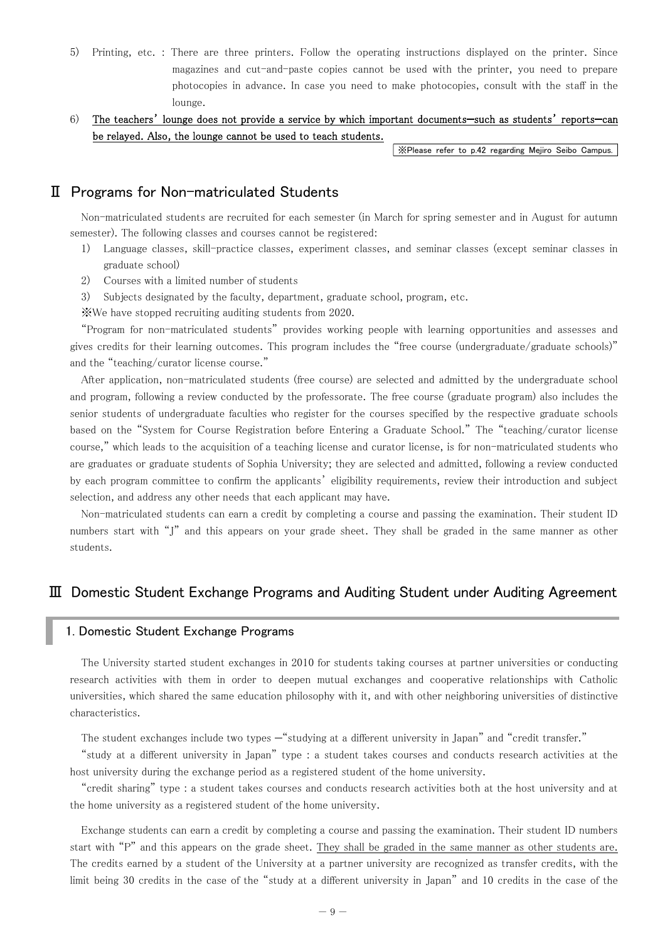5) Printing, etc. : There are three printers. Follow the operating instructions displayed on the printer. Since magazines and cut-and-paste copies cannot be used with the printer, you need to prepare photocopies in advance. In case you need to make photocopies, consult with the staff in the lounge.

# 6) The teachers' lounge does not provide a service by which important documents—such as students' reports—can be relayed. Also, the lounge cannot be used to teach students.

※Please refer to p.42 regarding Mejiro Seibo Campus.

# Ⅱ Programs for Non-matriculated Students

Non-matriculated students are recruited for each semester (in March for spring semester and in August for autumn semester). The following classes and courses cannot be registered:

- 1) Language classes, skill-practice classes, experiment classes, and seminar classes (except seminar classes in graduate school)
- 2) Courses with a limited number of students
- 3) Subjects designated by the faculty, department, graduate school, program, etc.
- ※We have stopped recruiting auditing students from 2020.

"Program for non-matriculated students" provides working people with learning opportunities and assesses and gives credits for their learning outcomes. This program includes the "free course (undergraduate/graduate schools)" and the "teaching/curator license course."

After application, non-matriculated students (free course) are selected and admitted by the undergraduate school and program, following a review conducted by the professorate. The free course (graduate program) also includes the senior students of undergraduate faculties who register for the courses specified by the respective graduate schools based on the "System for Course Registration before Entering a Graduate School." The "teaching/curator license course," which leads to the acquisition of a teaching license and curator license, is for non-matriculated students who are graduates or graduate students of Sophia University; they are selected and admitted, following a review conducted by each program committee to confirm the applicants' eligibility requirements, review their introduction and subject selection, and address any other needs that each applicant may have.

Non-matriculated students can earn a credit by completing a course and passing the examination. Their student ID numbers start with "J" and this appears on your grade sheet. They shall be graded in the same manner as other students.

# Ⅲ Domestic Student Exchange Programs and Auditing Student under Auditing Agreement

# 1. Domestic Student Exchange Programs

The University started student exchanges in 2010 for students taking courses at partner universities or conducting research activities with them in order to deepen mutual exchanges and cooperative relationships with Catholic universities, which shared the same education philosophy with it, and with other neighboring universities of distinctive characteristics.

The student exchanges include two types "studying at a different university in Japan" and "credit transfer."

"study at a different university in Japan" type : a student takes courses and conducts research activities at the host university during the exchange period as a registered student of the home university.

"credit sharing" type : a student takes courses and conducts research activities both at the host university and at the home university as a registered student of the home university.

Exchange students can earn a credit by completing a course and passing the examination. Their student ID numbers start with "P" and this appears on the grade sheet. They shall be graded in the same manner as other students are. The credits earned by a student of the University at a partner university are recognized as transfer credits, with the limit being 30 credits in the case of the "study at a different university in Japan" and 10 credits in the case of the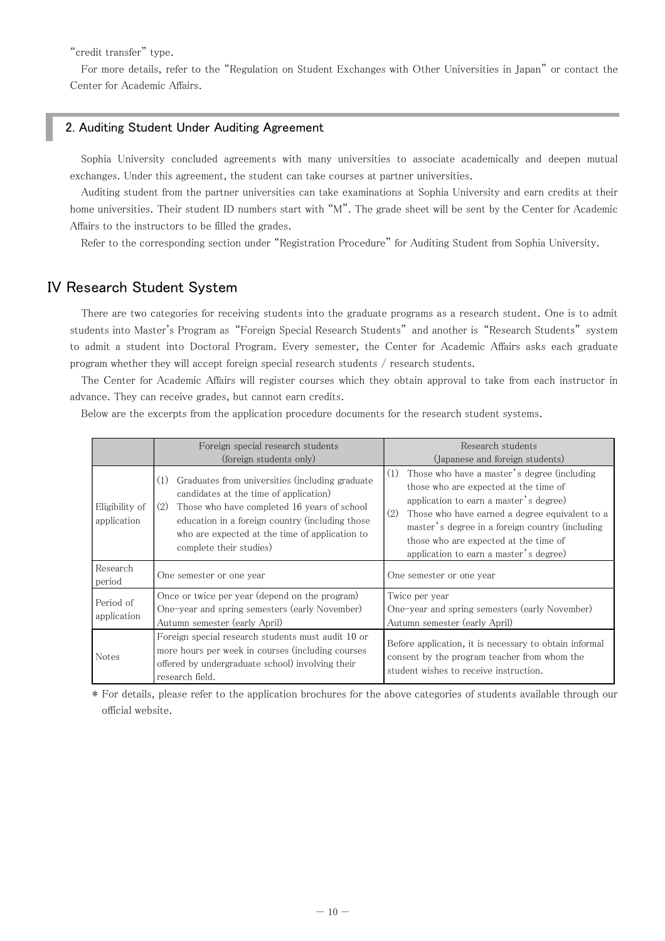"credit transfer" type.

For more details, refer to the "Regulation on Student Exchanges with Other Universities in Japan" or contact the Center for Academic Affairs.

# 2. Auditing Student Under Auditing Agreement

Sophia University concluded agreements with many universities to associate academically and deepen mutual exchanges. Under this agreement, the student can take courses at partner universities.

Auditing student from the partner universities can take examinations at Sophia University and earn credits at their home universities. Their student ID numbers start with "M". The grade sheet will be sent by the Center for Academic Affairs to the instructors to be filled the grades.

Refer to the corresponding section under "Registration Procedure" for Auditing Student from Sophia University.

# IV Research Student System

There are two categories for receiving students into the graduate programs as a research student. One is to admit students into Master's Program as "Foreign Special Research Students" and another is "Research Students" system to admit a student into Doctoral Program. Every semester, the Center for Academic Affairs asks each graduate program whether they will accept foreign special research students / research students.

The Center for Academic Affairs will register courses which they obtain approval to take from each instructor in advance. They can receive grades, but cannot earn credits.

Below are the excerpts from the application procedure documents for the research student systems.

|                               | Foreign special research students<br>(foreign students only)                                                                                                                                                                                                                           | Research students<br>(Japanese and foreign students)                                                                                                                                                                                                                                                                                 |  |  |
|-------------------------------|----------------------------------------------------------------------------------------------------------------------------------------------------------------------------------------------------------------------------------------------------------------------------------------|--------------------------------------------------------------------------------------------------------------------------------------------------------------------------------------------------------------------------------------------------------------------------------------------------------------------------------------|--|--|
| Eligibility of<br>application | Graduates from universities (including graduate<br>(1)<br>candidates at the time of application)<br>Those who have completed 16 years of school<br>(2)<br>education in a foreign country (including those<br>who are expected at the time of application to<br>complete their studies) | Those who have a master's degree (including<br>(1)<br>those who are expected at the time of<br>application to earn a master's degree)<br>(2)<br>Those who have earned a degree equivalent to a<br>master's degree in a foreign country (including<br>those who are expected at the time of<br>application to earn a master's degree) |  |  |
| Research<br>period            | One semester or one year                                                                                                                                                                                                                                                               | One semester or one year                                                                                                                                                                                                                                                                                                             |  |  |
| Period of<br>application      | Once or twice per year (depend on the program)<br>One-year and spring semesters (early November)<br>Autumn semester (early April)                                                                                                                                                      | Twice per year<br>One-year and spring semesters (early November)<br>Autumn semester (early April)                                                                                                                                                                                                                                    |  |  |
| Notes                         | Foreign special research students must audit 10 or<br>more hours per week in courses (including courses<br>offered by undergraduate school) involving their<br>research field.                                                                                                         | Before application, it is necessary to obtain informal<br>consent by the program teacher from whom the<br>student wishes to receive instruction.                                                                                                                                                                                     |  |  |

\* For details, please refer to the application brochures for the above categories of students available through our official website.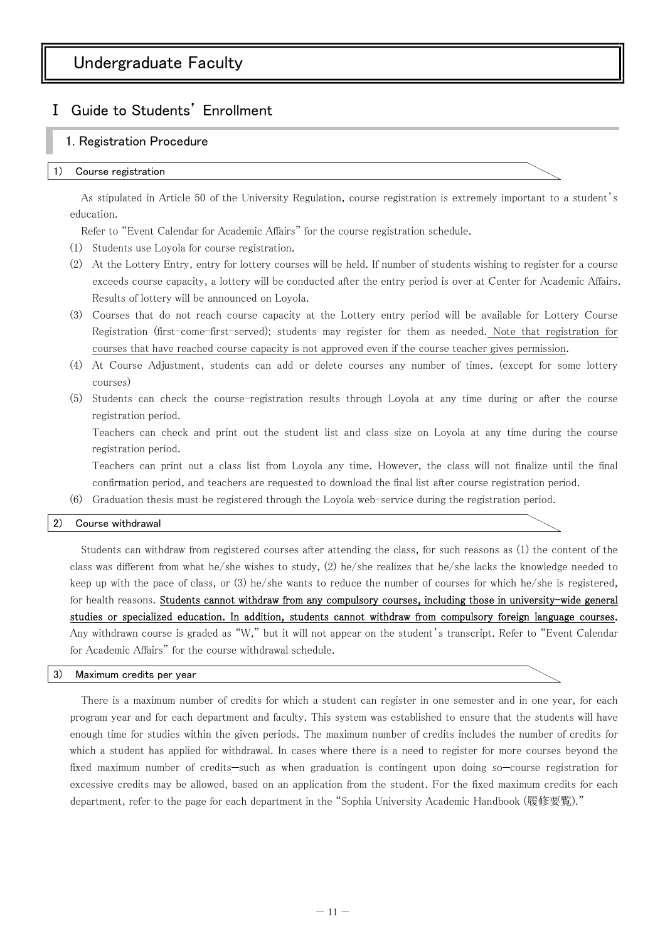# Ⅰ Guide to Students' Enrollment

# 1. Registration Procedure

#### Course registration

As stipulated in Article 50 of the University Regulation, course registration is extremely important to a student's education.

Refer to "Event Calendar for Academic Affairs" for the course registration schedule.

- (1) Students use Loyola for course registration.
- (2) At the Lottery Entry, entry for lottery courses will be held. If number of students wishing to register for a course exceeds course capacity, a lottery will be conducted after the entry period is over at Center for Academic Affairs. Results of lottery will be announced on Loyola.
- (3) Courses that do not reach course capacity at the Lottery entry period will be available for Lottery Course Registration (first-come-first-served); students may register for them as needed. Note that registration for courses that have reached course capacity is not approved even if the course teacher gives permission.
- (4) At Course Adjustment, students can add or delete courses any number of times. (except for some lottery courses)
- (5) Students can check the course-registration results through Loyola at any time during or after the course registration period.

Teachers can check and print out the student list and class size on Loyola at any time during the course registration period.

Teachers can print out a class list from Loyola any time. However, the class will not finalize until the final confirmation period, and teachers are requested to download the final list after course registration period.

(6) Graduation thesis must be registered through the Loyola web-service during the registration period.

#### 2) Course withdrawal

Students can withdraw from registered courses after attending the class, for such reasons as (1) the content of the class was different from what he/she wishes to study, (2) he/she realizes that he/she lacks the knowledge needed to keep up with the pace of class, or (3) he/she wants to reduce the number of courses for which he/she is registered, for health reasons. Students cannot withdraw from any compulsory courses, including those in university-wide general studies or specialized education. In addition, students cannot withdraw from compulsory foreign language courses. Any withdrawn course is graded as "W," but it will not appear on the student's transcript. Refer to "Event Calendar for Academic Affairs" for the course withdrawal schedule.

#### 3) Maximum credits per year

There is a maximum number of credits for which a student can register in one semester and in one year, for each program year and for each department and faculty. This system was established to ensure that the students will have enough time for studies within the given periods. The maximum number of credits includes the number of credits for which a student has applied for withdrawal. In cases where there is a need to register for more courses beyond the fixed maximum number of credits—such as when graduation is contingent upon doing so—course registration for excessive credits may be allowed, based on an application from the student. For the fixed maximum credits for each department, refer to the page for each department in the "Sophia University Academic Handbook (履修要覧)."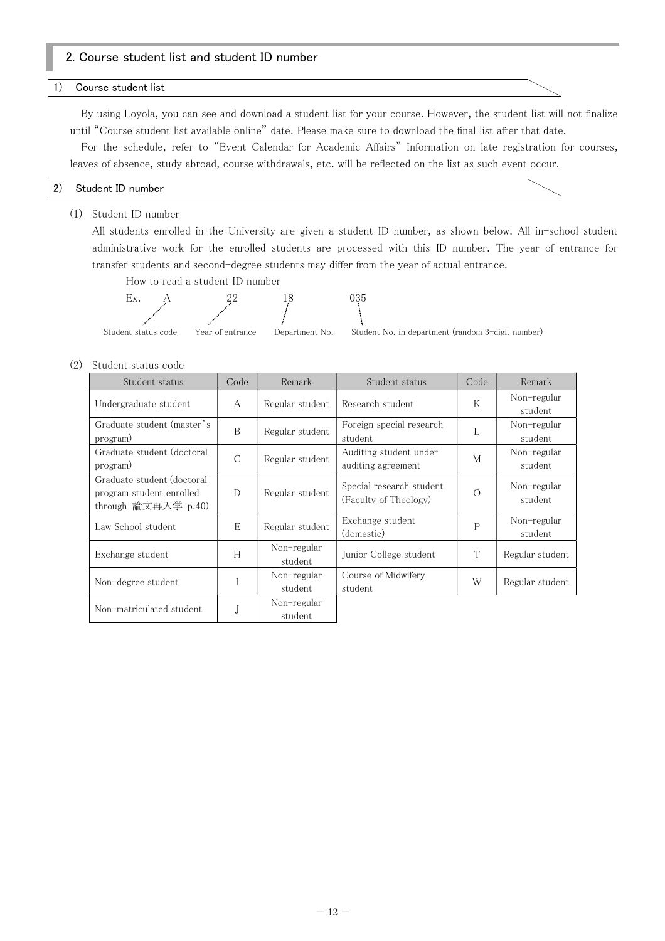# 2. Course student list and student ID number

#### 1) Course student list

By using Loyola, you can see and download a student list for your course. However, the student list will not finalize until "Course student list available online" date. Please make sure to download the final list after that date.

For the schedule, refer to "Event Calendar for Academic Affairs" Information on late registration for courses, leaves of absence, study abroad, course withdrawals, etc. will be reflected on the list as such event occur.

#### 2) Student ID number

(1) Student ID number

All students enrolled in the University are given a student ID number, as shown below. All in-school student administrative work for the enrolled students are processed with this ID number. The year of entrance for transfer students and second-degree students may differ from the year of actual entrance.

How to read a student ID number



(2) Student status code

| Student status                                                                | Code          | Remark                 | Student status                                    | Code         | Remark                 |
|-------------------------------------------------------------------------------|---------------|------------------------|---------------------------------------------------|--------------|------------------------|
| Undergraduate student                                                         | $\mathsf{A}$  | Regular student        | Research student                                  | K            | Non-regular<br>student |
| Graduate student (master's<br>program)                                        | B             | Regular student        | Foreign special research<br>student               | L            | Non-regular<br>student |
| Graduate student (doctoral<br>program)                                        | $\mathcal{C}$ | Regular student        | Auditing student under<br>auditing agreement      | M            | Non-regular<br>student |
| Graduate student (doctoral<br>program student enrolled<br>through 論文再入学 p.40) | D             | Regular student        | Special research student<br>(Faculty of Theology) | $\bigcirc$   | Non-regular<br>student |
| Law School student                                                            | E             | Regular student        | Exchange student<br>(domestic)                    | $\mathsf{P}$ | Non-regular<br>student |
| Exchange student                                                              | H             | Non-regular<br>student | Junior College student                            | T            | Regular student        |
| Non-degree student                                                            |               | Non-regular<br>student | Course of Midwifery<br>student                    | W            | Regular student        |
| Non-matriculated student                                                      |               | Non-regular<br>student |                                                   |              |                        |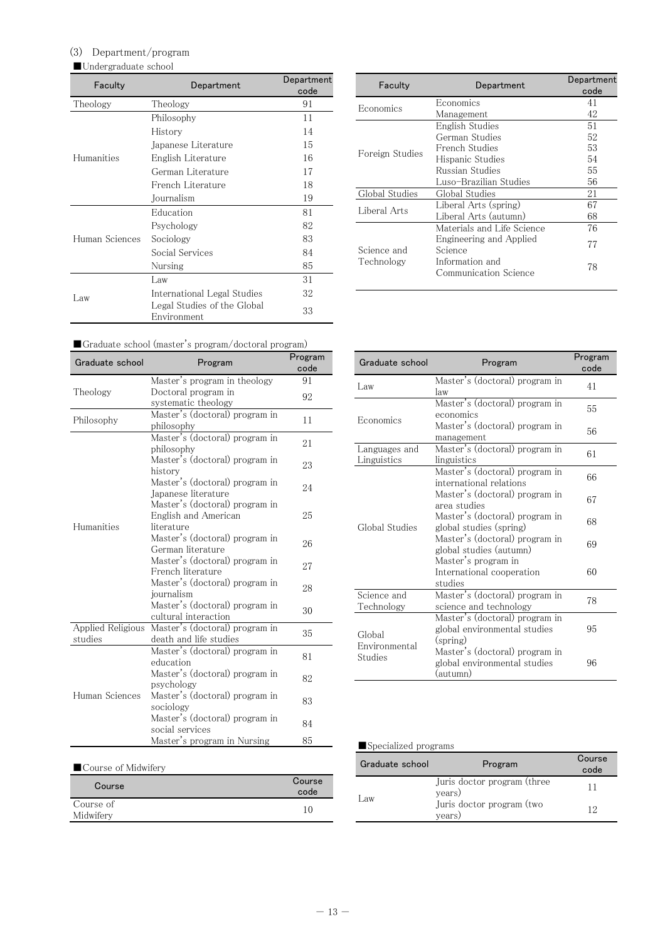# (3) Department/program

# ■Undergraduate school

| Faculty<br>Department |                                            | Department<br>code |
|-----------------------|--------------------------------------------|--------------------|
| Theology              | Theology                                   | 91                 |
|                       | Philosophy                                 | 11                 |
|                       | History                                    | 14                 |
|                       | Japanese Literature                        | 15                 |
| Humanities            | English Literature                         | 16                 |
|                       | German Literature                          | 17                 |
|                       | French Literature                          | 18                 |
|                       | Journalism                                 | 19                 |
|                       | Education                                  | 81                 |
|                       | Psychology                                 | 82                 |
| Human Sciences        | Sociology                                  | 83                 |
|                       | Social Services                            | 84                 |
|                       | Nursing                                    | 85                 |
|                       | Law                                        | 31                 |
| Law                   | International Legal Studies                | 32                 |
|                       | Legal Studies of the Global<br>Environment | 33                 |

| Faculty         | Department                               | Department<br>code |
|-----------------|------------------------------------------|--------------------|
| Economics       | Economics                                | 41                 |
|                 | Management                               | 42                 |
|                 | English Studies                          | 51                 |
|                 | German Studies                           | 52                 |
| Foreign Studies | French Studies                           | 53                 |
|                 | Hispanic Studies                         | 54                 |
|                 | Russian Studies                          | 55                 |
|                 | Luso-Brazilian Studies                   | 56                 |
| Global Studies  | Global Studies                           | 21                 |
| Liberal Arts    | Liberal Arts (spring)                    | 67                 |
|                 | Liberal Arts (autumn)                    | 68                 |
|                 | Materials and Life Science               | 76                 |
| Science and     | Engineering and Applied<br>Science       | 77                 |
| Technology      | Information and<br>Communication Science | 78                 |

| Graduate school (master's program/doctoral program) |  |  |
|-----------------------------------------------------|--|--|
|                                                     |  |  |

| Graduate school              | Program                                                              | Program<br>code |
|------------------------------|----------------------------------------------------------------------|-----------------|
|                              | Master's program in theology                                         | 91              |
| Theology                     | Doctoral program in<br>systematic theology                           | 92              |
| Philosophy                   | Master's (doctoral) program in<br>philosophy                         | 11              |
|                              | Master's (doctoral) program in<br>philosophy                         | 21              |
|                              | Master's (doctoral) program in<br>history                            | 23              |
|                              | Master's (doctoral) program in<br>Japanese literature                | 24              |
| Humanities                   | Master's (doctoral) program in<br>English and American<br>literature | 25              |
|                              | Master's (doctoral) program in<br>German literature                  | 26              |
|                              | Master's (doctoral) program in<br>French literature                  | 27              |
|                              | Master's (doctoral) program in<br>journalism                         | 28              |
|                              | Master's (doctoral) program in<br>cultural interaction               | 30              |
| Applied Religious<br>studies | Master's (doctoral) program in<br>death and life studies             | 35              |
|                              | Master's (doctoral) program in<br>education                          | 81              |
|                              | Master's (doctoral) program in<br>psychology                         | 82              |
| Human Sciences               | Master's (doctoral) program in<br>sociology                          | 83              |
|                              | Master's (doctoral) program in<br>social services                    | 84              |
|                              | Master's program in Nursing                                          | 85              |

| Course                 | Course<br>code |
|------------------------|----------------|
| Course of<br>Midwifery |                |

| Graduate school              | Program                                                                    | Program<br>code |
|------------------------------|----------------------------------------------------------------------------|-----------------|
| Law                          | Master's (doctoral) program in<br>law                                      | 41              |
| Economics                    | Master's (doctoral) program in<br>economics                                | 55              |
|                              | Master's (doctoral) program in<br>management                               | 56              |
| Languages and<br>Linguistics | Master's (doctoral) program in<br>linguistics                              | 61              |
|                              | Master's (doctoral) program in<br>international relations                  | 66              |
|                              | Master's (doctoral) program in<br>area studies                             | 67              |
| Global Studies               | Master's (doctoral) program in<br>global studies (spring)                  | 68              |
|                              | Master's (doctoral) program in<br>global studies (autumn)                  | 69              |
|                              | Master's program in<br>International cooperation<br>studies                | 60              |
| Science and<br>Technology    | Master's (doctoral) program in<br>science and technology                   | 78              |
| Global                       | Master's (doctoral) program in<br>global environmental studies<br>(spring) | 95              |
| Environmental<br>Studies     | Master's (doctoral) program in<br>global environmental studies<br>(autumn) | 96              |

# ■Specialized programs

| Graduate school | Program                               | Course<br>code |
|-----------------|---------------------------------------|----------------|
|                 | Juris doctor program (three<br>years) |                |
| .aw             | Juris doctor program (two<br>years)   | 19             |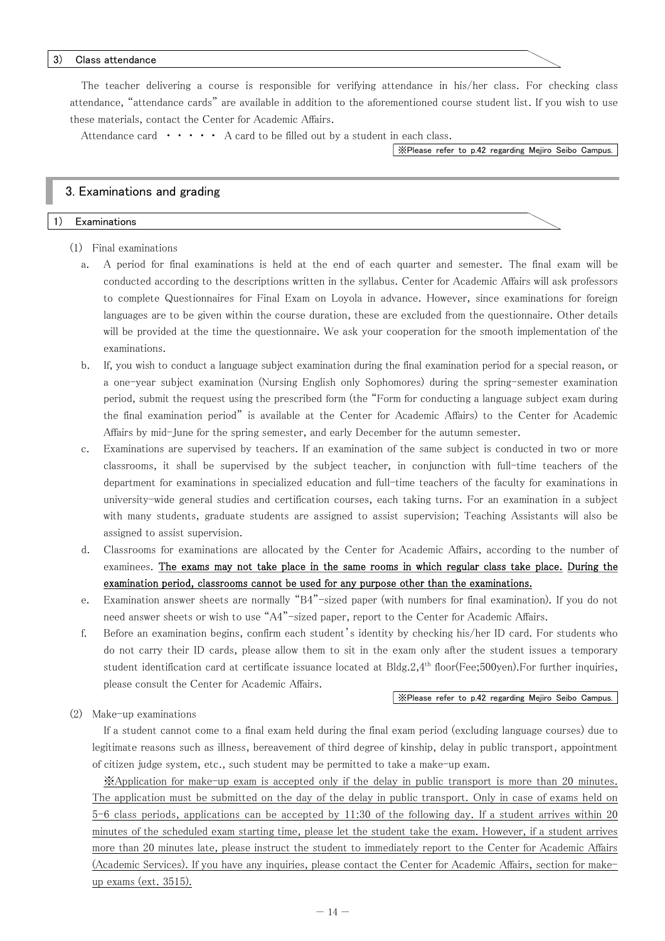#### 3) Class attendance

The teacher delivering a course is responsible for verifying attendance in his/her class. For checking class attendance, "attendance cards" are available in addition to the aforementioned course student list. If you wish to use these materials, contact the Center for Academic Affairs.

Attendance card  $\cdots$   $\cdots$  A card to be filled out by a student in each class.

※Please refer to p.42 regarding Mejiro Seibo Campus.

#### 3. Examinations and grading

#### 1) Examinations

- (1) Final examinations
	- a. A period for final examinations is held at the end of each quarter and semester. The final exam will be conducted according to the descriptions written in the syllabus. Center for Academic Affairs will ask professors to complete Questionnaires for Final Exam on Loyola in advance. However, since examinations for foreign languages are to be given within the course duration, these are excluded from the questionnaire. Other details will be provided at the time the questionnaire. We ask your cooperation for the smooth implementation of the examinations.
	- b. If, you wish to conduct a language subject examination during the final examination period for a special reason, or a one-year subject examination (Nursing English only Sophomores) during the spring-semester examination period, submit the request using the prescribed form (the "Form for conducting a language subject exam during the final examination period" is available at the Center for Academic Affairs) to the Center for Academic Affairs by mid-June for the spring semester, and early December for the autumn semester.
	- c. Examinations are supervised by teachers. If an examination of the same subject is conducted in two or more classrooms, it shall be supervised by the subject teacher, in conjunction with full-time teachers of the department for examinations in specialized education and full-time teachers of the faculty for examinations in university-wide general studies and certification courses, each taking turns. For an examination in a subject with many students, graduate students are assigned to assist supervision; Teaching Assistants will also be assigned to assist supervision.
	- d. Classrooms for examinations are allocated by the Center for Academic Affairs, according to the number of examinees. The exams may not take place in the same rooms in which regular class take place. During the examination period, classrooms cannot be used for any purpose other than the examinations.
	- e. Examination answer sheets are normally "B4"-sized paper (with numbers for final examination). If you do not need answer sheets or wish to use "A4"-sized paper, report to the Center for Academic Affairs.
	- f. Before an examination begins, confirm each student's identity by checking his/her ID card. For students who do not carry their ID cards, please allow them to sit in the exam only after the student issues a temporary student identification card at certificate issuance located at  $B\text{Idg.}2,4^{\text{th}}$  floor(Fee;500yen). For further inquiries, please consult the Center for Academic Affairs.

#### ※Please refer to p.42 regarding Mejiro Seibo Campus.

(2) Make-up examinations

If a student cannot come to a final exam held during the final exam period (excluding language courses) due to legitimate reasons such as illness, bereavement of third degree of kinship, delay in public transport, appointment of citizen judge system, etc., such student may be permitted to take a make-up exam.

※Application for make-up exam is accepted only if the delay in public transport is more than 20 minutes. The application must be submitted on the day of the delay in public transport. Only in case of exams held on 5-6 class periods, applications can be accepted by 11:30 of the following day. If a student arrives within 20 minutes of the scheduled exam starting time, please let the student take the exam. However, if a student arrives more than 20 minutes late, please instruct the student to immediately report to the Center for Academic Affairs (Academic Services). If you have any inquiries, please contact the Center for Academic Affairs, section for makeup exams (ext. 3515).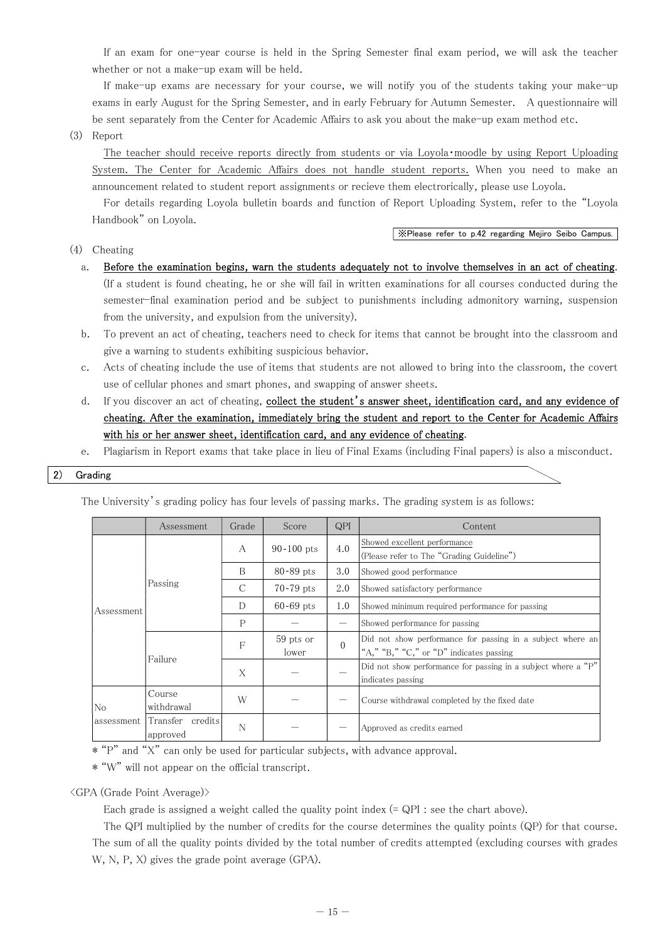If an exam for one-year course is held in the Spring Semester final exam period, we will ask the teacher whether or not a make-up exam will be held.

If make-up exams are necessary for your course, we will notify you of the students taking your make-up exams in early August for the Spring Semester, and in early February for Autumn Semester. A questionnaire will be sent separately from the Center for Academic Affairs to ask you about the make-up exam method etc.

(3) Report

The teacher should receive reports directly from students or via Loyola・moodle by using Report Uploading System. The Center for Academic Affairs does not handle student reports. When you need to make an announcement related to student report assignments or recieve them electrorically, please use Loyola.

For details regarding Loyola bulletin boards and function of Report Uploading System, refer to the "Loyola Handbook" on Loyola.

(4) Cheating

#### ※Please refer to p.42 regarding Mejiro Seibo Campus.

- a. Before the examination begins, warn the students adequately not to involve themselves in an act of cheating. (If a student is found cheating, he or she will fail in written examinations for all courses conducted during the semester-final examination period and be subject to punishments including admonitory warning, suspension from the university, and expulsion from the university).
- b. To prevent an act of cheating, teachers need to check for items that cannot be brought into the classroom and give a warning to students exhibiting suspicious behavior.
- c. Acts of cheating include the use of items that students are not allowed to bring into the classroom, the covert use of cellular phones and smart phones, and swapping of answer sheets.
- d. If you discover an act of cheating, collect the student's answer sheet, identification card, and any evidence of cheating. After the examination, immediately bring the student and report to the Center for Academic Affairs with his or her answer sheet, identification card, and any evidence of cheating.
- e. Plagiarism in Report exams that take place in lieu of Final Exams (including Final papers) is also a misconduct.

2) Grading

The University's grading policy has four levels of passing marks. The grading system is as follows:

|                | Assessment                   | Grade         | Score              | QPI      | Content                                                                                               |  |
|----------------|------------------------------|---------------|--------------------|----------|-------------------------------------------------------------------------------------------------------|--|
|                |                              | A             | $90 - 100$ pts     | 4.0      | Showed excellent performance<br>(Please refer to The "Grading Guideline")                             |  |
|                |                              | B             | $80 - 89$ pts      | 3.0      | Showed good performance                                                                               |  |
|                | Passing                      | $\mathcal{C}$ | $70-79$ pts        | 2.0      | Showed satisfactory performance                                                                       |  |
| Assessment     |                              | D             | $60 - 69$ pts      | 1.0      | Showed minimum required performance for passing                                                       |  |
|                |                              | P             |                    |          | Showed performance for passing                                                                        |  |
|                | Failure                      | F             | 59 pts or<br>lower | $\Omega$ | Did not show performance for passing in a subject where an<br>"A," "B," "C," or "D" indicates passing |  |
|                |                              | X             |                    |          | Did not show performance for passing in a subject where a "P"<br>indicates passing                    |  |
| N <sub>o</sub> | Course<br>withdrawal         | W             |                    |          | Course withdrawal completed by the fixed date                                                         |  |
| assessment     | Transfer credits<br>approved | N             |                    |          | Approved as credits earned                                                                            |  |

\* "P" and "X" can only be used for particular subjects, with advance approval.

\* "W" will not appear on the official transcript.

<GPA (Grade Point Average)>

Each grade is assigned a weight called the quality point index (= QPI : see the chart above).

The QPI multiplied by the number of credits for the course determines the quality points (QP) for that course. The sum of all the quality points divided by the total number of credits attempted (excluding courses with grades W, N, P, X) gives the grade point average (GPA).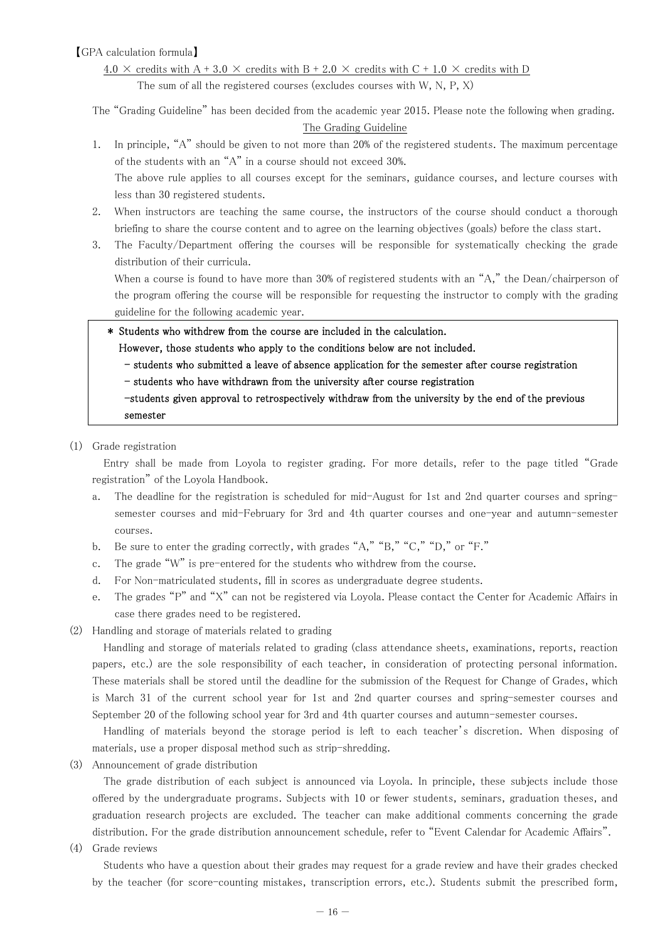# 【GPA calculation formula】

# 4.0  $\times$  credits with A + 3.0  $\times$  credits with B + 2.0  $\times$  credits with C + 1.0  $\times$  credits with D The sum of all the registered courses (excludes courses with W, N, P, X)

The "Grading Guideline" has been decided from the academic year 2015. Please note the following when grading. The Grading Guideline

1. In principle, "A" should be given to not more than 20% of the registered students. The maximum percentage of the students with an "A" in a course should not exceed 30%. The above rule applies to all courses except for the seminars, guidance courses, and lecture courses with

less than 30 registered students.

- 2. When instructors are teaching the same course, the instructors of the course should conduct a thorough briefing to share the course content and to agree on the learning objectives (goals) before the class start.
- 3. The Faculty/Department offering the courses will be responsible for systematically checking the grade distribution of their curricula.

When a course is found to have more than 30% of registered students with an "A," the Dean/chairperson of the program offering the course will be responsible for requesting the instructor to comply with the grading guideline for the following academic year.

\* Students who withdrew from the course are included in the calculation.

#### However, those students who apply to the conditions below are not included.

- students who submitted a leave of absence application for the semester after course registration
- students who have withdrawn from the university after course registration

-students given approval to retrospectively withdraw from the university by the end of the previous semester

(1) Grade registration

Entry shall be made from Loyola to register grading. For more details, refer to the page titled "Grade registration" of the Loyola Handbook.

- a. The deadline for the registration is scheduled for mid-August for 1st and 2nd quarter courses and springsemester courses and mid-February for 3rd and 4th quarter courses and one-year and autumn-semester courses.
- b. Be sure to enter the grading correctly, with grades "A," "B," "C," "D," or "F."
- c. The grade "W" is pre-entered for the students who withdrew from the course.
- d. For Non-matriculated students, fill in scores as undergraduate degree students.
- e. The grades "P" and "X" can not be registered via Loyola. Please contact the Center for Academic Affairs in case there grades need to be registered.
- (2) Handling and storage of materials related to grading

Handling and storage of materials related to grading (class attendance sheets, examinations, reports, reaction papers, etc.) are the sole responsibility of each teacher, in consideration of protecting personal information. These materials shall be stored until the deadline for the submission of the Request for Change of Grades, which is March 31 of the current school year for 1st and 2nd quarter courses and spring-semester courses and September 20 of the following school year for 3rd and 4th quarter courses and autumn-semester courses.

Handling of materials beyond the storage period is left to each teacher's discretion. When disposing of materials, use a proper disposal method such as strip-shredding.

(3) Announcement of grade distribution

The grade distribution of each subject is announced via Loyola. In principle, these subjects include those offered by the undergraduate programs. Subjects with 10 or fewer students, seminars, graduation theses, and graduation research projects are excluded. The teacher can make additional comments concerning the grade distribution. For the grade distribution announcement schedule, refer to "Event Calendar for Academic Affairs".

(4) Grade reviews

Students who have a question about their grades may request for a grade review and have their grades checked by the teacher (for score-counting mistakes, transcription errors, etc.). Students submit the prescribed form,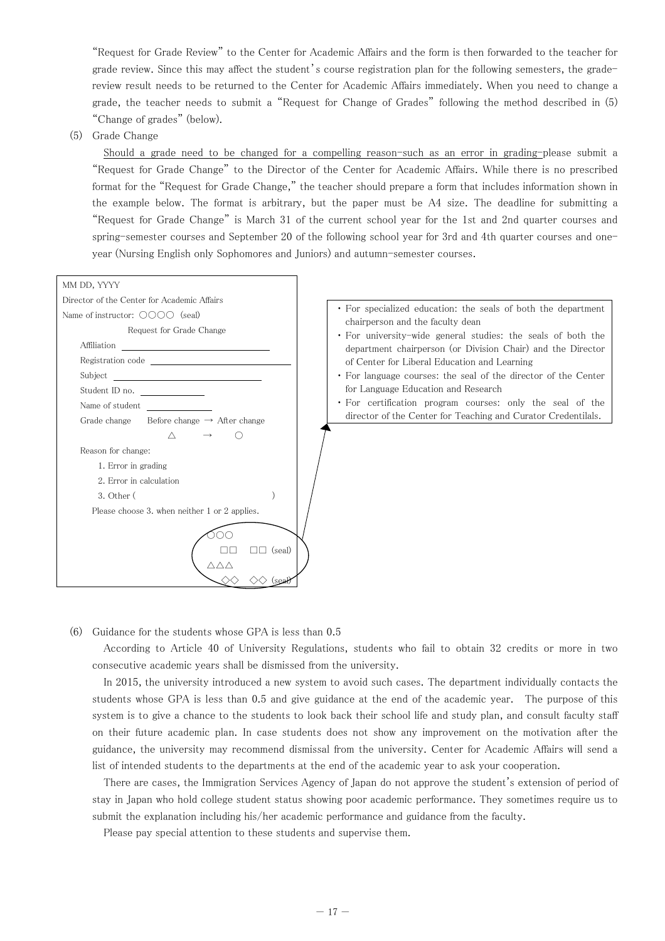"Request for Grade Review" to the Center for Academic Affairs and the form is then forwarded to the teacher for grade review. Since this may affect the student's course registration plan for the following semesters, the gradereview result needs to be returned to the Center for Academic Affairs immediately. When you need to change a grade, the teacher needs to submit a "Request for Change of Grades" following the method described in (5) "Change of grades" (below).

(5) Grade Change

Should a grade need to be changed for a compelling reason-such as an error in grading-please submit a "Request for Grade Change" to the Director of the Center for Academic Affairs. While there is no prescribed format for the "Request for Grade Change," the teacher should prepare a form that includes information shown in the example below. The format is arbitrary, but the paper must be A4 size. The deadline for submitting a "Request for Grade Change" is March 31 of the current school year for the 1st and 2nd quarter courses and spring-semester courses and September 20 of the following school year for 3rd and 4th quarter courses and oneyear (Nursing English only Sophomores and Juniors) and autumn-semester courses.



- ・ For specialized education: the seals of both the department chairperson and the faculty dean
- ・ For university-wide general studies: the seals of both the department chairperson (or Division Chair) and the Director of Center for Liberal Education and Learning
- ・ For language courses: the seal of the director of the Center for Language Education and Research
- ・ For certification program courses: only the seal of the director of the Center for Teaching and Curator Credentilals.

(6) Guidance for the students whose GPA is less than 0.5

According to Article 40 of University Regulations, students who fail to obtain 32 credits or more in two consecutive academic years shall be dismissed from the university.

In 2015, the university introduced a new system to avoid such cases. The department individually contacts the students whose GPA is less than 0.5 and give guidance at the end of the academic year. The purpose of this system is to give a chance to the students to look back their school life and study plan, and consult faculty staff on their future academic plan. In case students does not show any improvement on the motivation after the guidance, the university may recommend dismissal from the university. Center for Academic Affairs will send a list of intended students to the departments at the end of the academic year to ask your cooperation.

There are cases, the Immigration Services Agency of Japan do not approve the student's extension of period of stay in Japan who hold college student status showing poor academic performance. They sometimes require us to submit the explanation including his/her academic performance and guidance from the faculty.

Please pay special attention to these students and supervise them.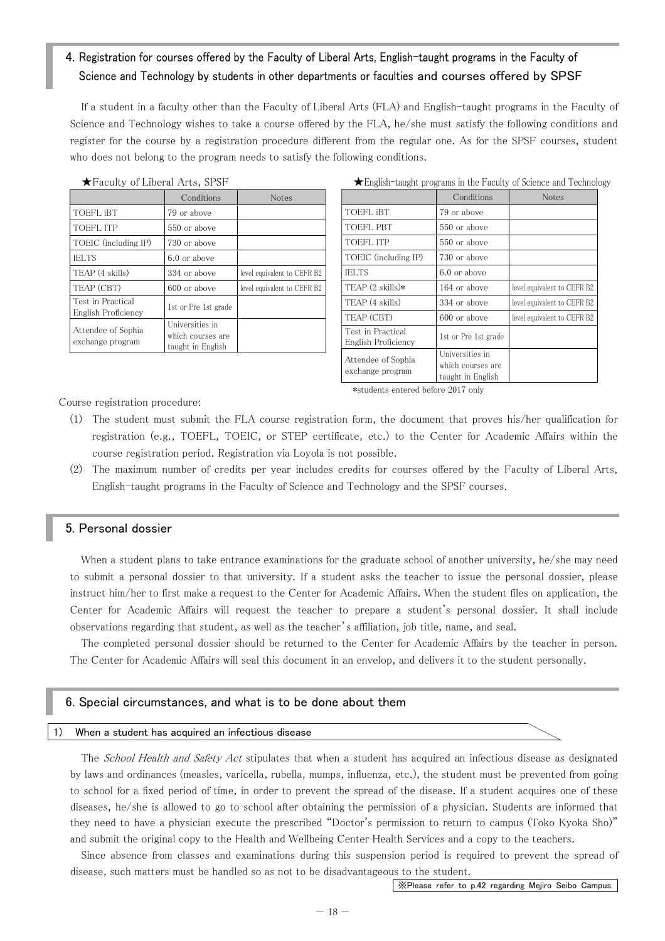# 4. Registration for courses offered by the Faculty of Liberal Arts, English-taught programs in the Faculty of Science and Technology by students in other departments or faculties and courses offered by SPSF

If a student in a faculty other than the Faculty of Liberal Arts (FLA) and English-taught programs in the Faculty of Science and Technology wishes to take a course offered by the FLA, he/she must satisfy the following conditions and register for the course by a registration procedure different from the regular one. As for the SPSF courses, student who does not belong to the program needs to satisfy the following conditions.

|                                          | Conditions                                                | <b>Notes</b>                |
|------------------------------------------|-----------------------------------------------------------|-----------------------------|
| TOEFL <i>iBT</i>                         | 79 or above                                               |                             |
| TOEFL ITP                                | 550 or above                                              |                             |
| TOEIC (including IP)                     | 730 or above                                              |                             |
| <b>IELTS</b>                             | $6.0$ or above                                            |                             |
| TEAP (4 skills)                          | 334 or above                                              | level equivalent to CEFR B2 |
| TEAP (CBT)                               | 600 or above                                              | level equivalent to CEFR B2 |
| Test in Practical<br>English Proficiency | 1st or Pre 1st grade                                      |                             |
| Attendee of Sophia<br>exchange program   | Universities in<br>which courses are<br>taught in English |                             |

#### ★Faculty of Liberal Arts, SPSF

★English-taught programs in the Faculty of Science and Technology

|                                          | Conditions                                                | <b>Notes</b>                |
|------------------------------------------|-----------------------------------------------------------|-----------------------------|
| TOEFL IBT                                | 79 or above                                               |                             |
| <b>TOEFL PBT</b>                         | 550 or above                                              |                             |
| <b>TOEFL ITP</b>                         | 550 or above                                              |                             |
| TOEIC (including IP)                     | 730 or above                                              |                             |
| <b>IELTS</b>                             | 6.0 or above                                              |                             |
| TEAP $(2 \text{ skills})$ *              | 164 or above                                              | level equivalent to CEFR B2 |
| TEAP (4 skills)                          | 334 or above                                              | level equivalent to CEFR B2 |
| TEAP (CBT)                               | 600 or above                                              | level equivalent to CEFR B2 |
| Test in Practical<br>English Proficiency | 1st or Pre 1st grade                                      |                             |
| Attendee of Sophia<br>exchange program   | Universities in<br>which courses are<br>taught in English |                             |

\*students entered before 2017 only

Course registration procedure:

- (1) The student must submit the FLA course registration form, the document that proves his/her qualification for registration (e.g., TOEFL, TOEIC, or STEP certificate, etc.) to the Center for Academic Affairs within the course registration period. Registration via Loyola is not possible.
- (2) The maximum number of credits per year includes credits for courses offered by the Faculty of Liberal Arts, English-taught programs in the Faculty of Science and Technology and the SPSF courses.

#### 5. Personal dossier

When a student plans to take entrance examinations for the graduate school of another university, he/she may need to submit a personal dossier to that university. If a student asks the teacher to issue the personal dossier, please instruct him/her to first make a request to the Center for Academic Affairs. When the student files on application, the Center for Academic Affairs will request the teacher to prepare a student's personal dossier. It shall include observations regarding that student, as well as the teacher's affiliation, job title, name, and seal.

The completed personal dossier should be returned to the Center for Academic Affairs by the teacher in person. The Center for Academic Affairs will seal this document in an envelop, and delivers it to the student personally.

#### 6. Special circumstances, and what is to be done about them

#### 1) When a student has acquired an infectious disease

The School Health and Safety Act stipulates that when a student has acquired an infectious disease as designated by laws and ordinances (measles, varicella, rubella, mumps, influenza, etc.), the student must be prevented from going to school for a fixed period of time, in order to prevent the spread of the disease. If a student acquires one of these diseases, he/she is allowed to go to school after obtaining the permission of a physician. Students are informed that they need to have a physician execute the prescribed "Doctor's permission to return to campus (Toko Kyoka Sho)" and submit the original copy to the Health and Wellbeing Center Health Services and a copy to the teachers.

Since absence from classes and examinations during this suspension period is required to prevent the spread of disease, such matters must be handled so as not to be disadvantageous to the student.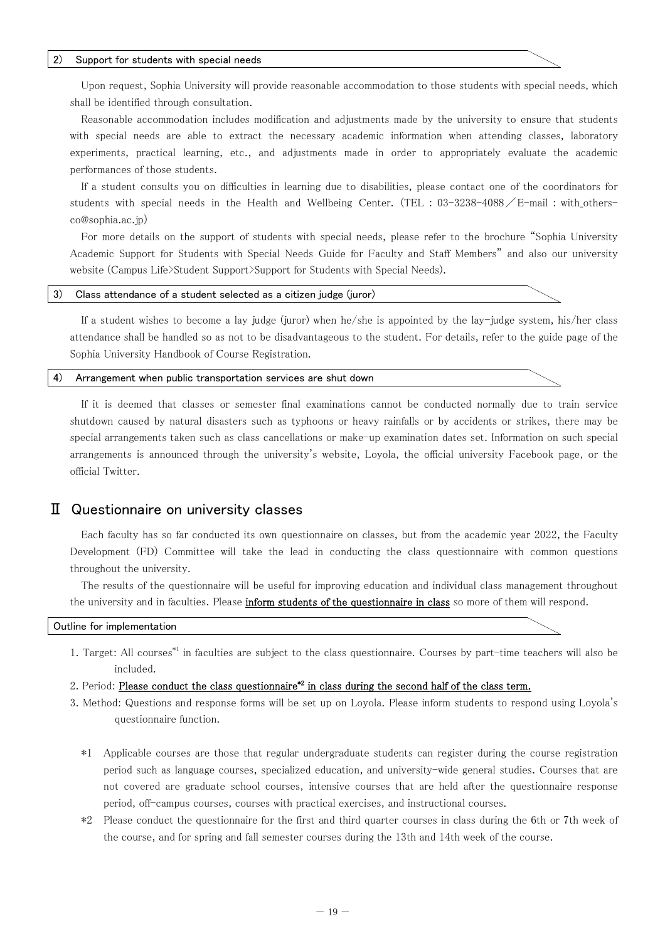#### 2) Support for students with special needs

Upon request, Sophia University will provide reasonable accommodation to those students with special needs, which shall be identified through consultation.

Reasonable accommodation includes modification and adjustments made by the university to ensure that students with special needs are able to extract the necessary academic information when attending classes, laboratory experiments, practical learning, etc., and adjustments made in order to appropriately evaluate the academic performances of those students.

If a student consults you on difficulties in learning due to disabilities, please contact one of the coordinators for students with special needs in the Health and Wellbeing Center. (TEL:  $03-3238-4088$  / E-mail: with othersco@sophia.ac.jp)

For more details on the support of students with special needs, please refer to the brochure "Sophia University Academic Support for Students with Special Needs Guide for Faculty and Staff Members" and also our university website (Campus Life>Student Support>Support for Students with Special Needs).

#### 3) Class attendance of a student selected as a citizen judge (juror)

If a student wishes to become a lay judge (juror) when he/she is appointed by the lay-judge system, his/her class attendance shall be handled so as not to be disadvantageous to the student. For details, refer to the guide page of the Sophia University Handbook of Course Registration.

#### 4) Arrangement when public transportation services are shut down

If it is deemed that classes or semester final examinations cannot be conducted normally due to train service shutdown caused by natural disasters such as typhoons or heavy rainfalls or by accidents or strikes, there may be special arrangements taken such as class cancellations or make-up examination dates set. Information on such special arrangements is announced through the university's website, Loyola, the official university Facebook page, or the official Twitter.

# Ⅱ Questionnaire on university classes

Each faculty has so far conducted its own questionnaire on classes, but from the academic year 2022, the Faculty Development (FD) Committee will take the lead in conducting the class questionnaire with common questions throughout the university.

The results of the questionnaire will be useful for improving education and individual class management throughout the university and in faculties. Please inform students of the questionnaire in class so more of them will respond.

#### Outline for implementation

- 1. Target: All courses\*1 in faculties are subject to the class questionnaire. Courses by part-time teachers will also be included.
- 2. Period: Please conduct the class questionnaire\*2 in class during the second half of the class term.
- 3. Method: Questions and response forms will be set up on Loyola. Please inform students to respond using Loyola's questionnaire function.
	- \*1 Applicable courses are those that regular undergraduate students can register during the course registration period such as language courses, specialized education, and university-wide general studies. Courses that are not covered are graduate school courses, intensive courses that are held after the questionnaire response period, off-campus courses, courses with practical exercises, and instructional courses.
	- \*2 Please conduct the questionnaire for the first and third quarter courses in class during the 6th or 7th week of the course, and for spring and fall semester courses during the 13th and 14th week of the course.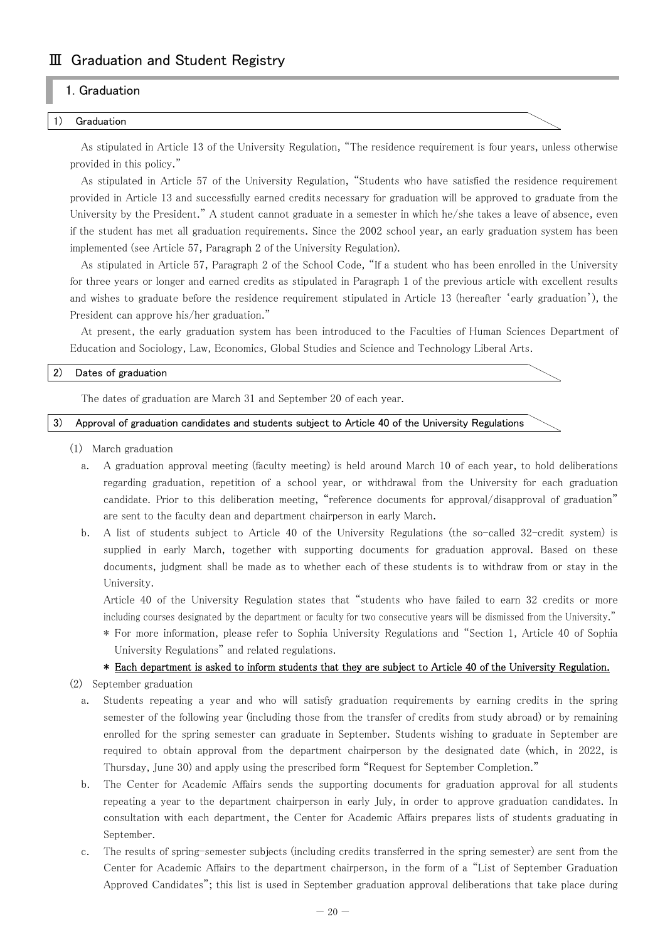# Ⅲ Graduation and Student Registry

# 1. Graduation

#### **Graduation**

As stipulated in Article 13 of the University Regulation, "The residence requirement is four years, unless otherwise provided in this policy."

As stipulated in Article 57 of the University Regulation, "Students who have satisfied the residence requirement provided in Article 13 and successfully earned credits necessary for graduation will be approved to graduate from the University by the President." A student cannot graduate in a semester in which he/she takes a leave of absence, even if the student has met all graduation requirements. Since the 2002 school year, an early graduation system has been implemented (see Article 57, Paragraph 2 of the University Regulation).

As stipulated in Article 57, Paragraph 2 of the School Code, "If a student who has been enrolled in the University for three years or longer and earned credits as stipulated in Paragraph 1 of the previous article with excellent results and wishes to graduate before the residence requirement stipulated in Article 13 (hereafter 'early graduation'), the President can approve his/her graduation."

At present, the early graduation system has been introduced to the Faculties of Human Sciences Department of Education and Sociology, Law, Economics, Global Studies and Science and Technology Liberal Arts.

#### 2) Dates of graduation

The dates of graduation are March 31 and September 20 of each year.

3) Approval of graduation candidates and students subject to Article 40 of the University Regulations

- (1) March graduation
	- a. A graduation approval meeting (faculty meeting) is held around March 10 of each year, to hold deliberations regarding graduation, repetition of a school year, or withdrawal from the University for each graduation candidate. Prior to this deliberation meeting, "reference documents for approval/disapproval of graduation" are sent to the faculty dean and department chairperson in early March.
	- b. A list of students subject to Article 40 of the University Regulations (the so-called 32-credit system) is supplied in early March, together with supporting documents for graduation approval. Based on these documents, judgment shall be made as to whether each of these students is to withdraw from or stay in the University.

 Article 40 of the University Regulation states that "students who have failed to earn 32 credits or more including courses designated by the department or faculty for two consecutive years will be dismissed from the University."

\* For more information, please refer to Sophia University Regulations and "Section 1, Article 40 of Sophia University Regulations" and related regulations.

#### \* Each department is asked to inform students that they are subject to Article 40 of the University Regulation.

(2) September graduation

- a. Students repeating a year and who will satisfy graduation requirements by earning credits in the spring semester of the following year (including those from the transfer of credits from study abroad) or by remaining enrolled for the spring semester can graduate in September. Students wishing to graduate in September are required to obtain approval from the department chairperson by the designated date (which, in 2022, is Thursday, June 30) and apply using the prescribed form "Request for September Completion."
- b. The Center for Academic Affairs sends the supporting documents for graduation approval for all students repeating a year to the department chairperson in early July, in order to approve graduation candidates. In consultation with each department, the Center for Academic Affairs prepares lists of students graduating in September.
- c. The results of spring-semester subjects (including credits transferred in the spring semester) are sent from the Center for Academic Affairs to the department chairperson, in the form of a "List of September Graduation Approved Candidates"; this list is used in September graduation approval deliberations that take place during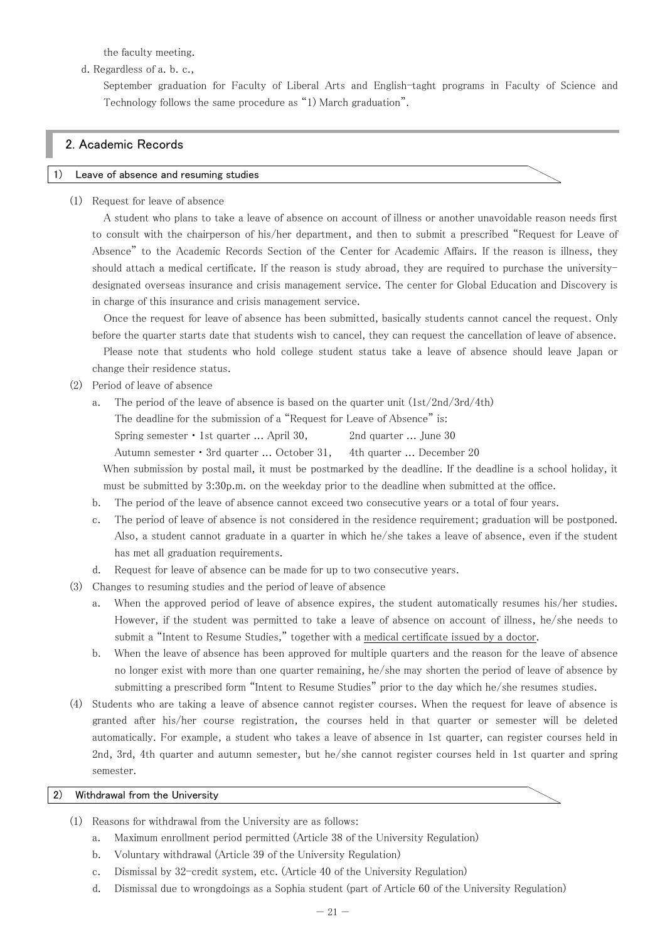the faculty meeting.

d. Regardless of a. b. c.,

September graduation for Faculty of Liberal Arts and English-taght programs in Faculty of Science and Technology follows the same procedure as "1) March graduation".

# 2. Academic Records

#### Leave of absence and resuming studies

(1) Request for leave of absence

A student who plans to take a leave of absence on account of illness or another unavoidable reason needs first to consult with the chairperson of his/her department, and then to submit a prescribed "Request for Leave of Absence" to the Academic Records Section of the Center for Academic Affairs. If the reason is illness, they should attach a medical certificate. If the reason is study abroad, they are required to purchase the universitydesignated overseas insurance and crisis management service. The center for Global Education and Discovery is in charge of this insurance and crisis management service.

Once the request for leave of absence has been submitted, basically students cannot cancel the request. Only before the quarter starts date that students wish to cancel, they can request the cancellation of leave of absence. Please note that students who hold college student status take a leave of absence should leave Japan or change their residence status.

- (2) Period of leave of absence
	- a. The period of the leave of absence is based on the quarter unit  $(1st/2nd/3rd/4th)$ 
		- The deadline for the submission of a "Request for Leave of Absence" is:
		- Spring semester 1st quarter ... April 30, 2nd quarter ... June 30
		- Autumn semester・3rd quarter ... October 31, 4th quarter ... December 20

When submission by postal mail, it must be postmarked by the deadline. If the deadline is a school holiday, it must be submitted by 3:30p.m. on the weekday prior to the deadline when submitted at the office.

- b. The period of the leave of absence cannot exceed two consecutive years or a total of four years.
- c. The period of leave of absence is not considered in the residence requirement; graduation will be postponed. Also, a student cannot graduate in a quarter in which he/she takes a leave of absence, even if the student has met all graduation requirements.
- d. Request for leave of absence can be made for up to two consecutive years.
- (3) Changes to resuming studies and the period of leave of absence
	- a. When the approved period of leave of absence expires, the student automatically resumes his/her studies. However, if the student was permitted to take a leave of absence on account of illness, he/she needs to submit a "Intent to Resume Studies," together with a medical certificate issued by a doctor.
	- b. When the leave of absence has been approved for multiple quarters and the reason for the leave of absence no longer exist with more than one quarter remaining, he/she may shorten the period of leave of absence by submitting a prescribed form "Intent to Resume Studies" prior to the day which he/she resumes studies.
- (4) Students who are taking a leave of absence cannot register courses. When the request for leave of absence is granted after his/her course registration, the courses held in that quarter or semester will be deleted automatically. For example, a student who takes a leave of absence in 1st quarter, can register courses held in 2nd, 3rd, 4th quarter and autumn semester, but he/she cannot register courses held in 1st quarter and spring semester.

#### 2) Withdrawal from the University

- (1) Reasons for withdrawal from the University are as follows:
	- a. Maximum enrollment period permitted (Article 38 of the University Regulation)
	- b. Voluntary withdrawal (Article 39 of the University Regulation)
	- c. Dismissal by 32-credit system, etc. (Article 40 of the University Regulation)
	- d. Dismissal due to wrongdoings as a Sophia student (part of Article 60 of the University Regulation)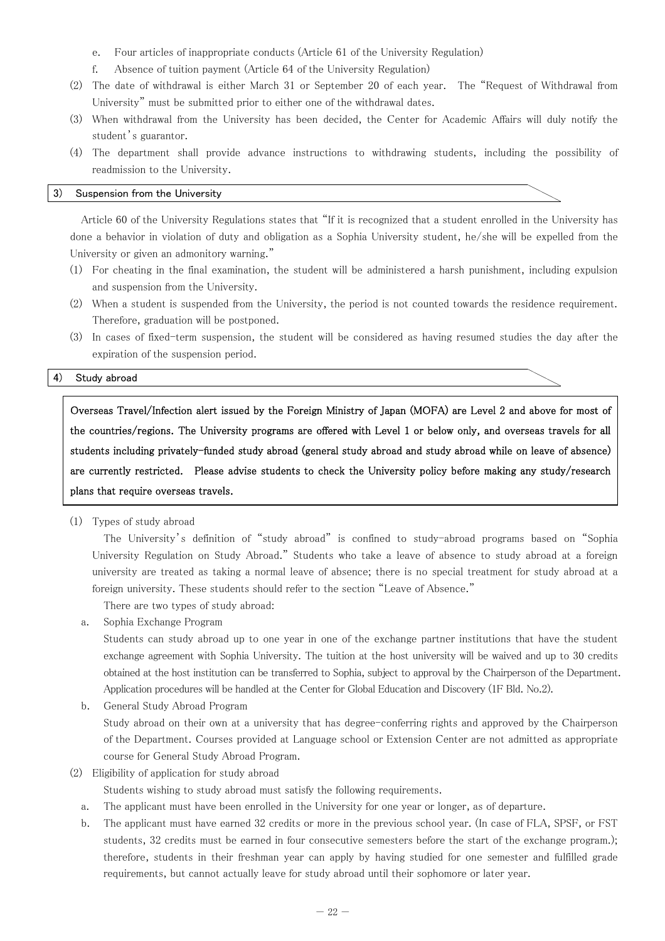- e. Four articles of inappropriate conducts (Article 61 of the University Regulation)
- f. Absence of tuition payment (Article 64 of the University Regulation)
- (2) The date of withdrawal is either March 31 or September 20 of each year. The "Request of Withdrawal from University" must be submitted prior to either one of the withdrawal dates.
- (3) When withdrawal from the University has been decided, the Center for Academic Affairs will duly notify the student's guarantor.
- (4) The department shall provide advance instructions to withdrawing students, including the possibility of readmission to the University.

#### 3) Suspension from the University

Article 60 of the University Regulations states that "If it is recognized that a student enrolled in the University has done a behavior in violation of duty and obligation as a Sophia University student, he/she will be expelled from the University or given an admonitory warning."

- (1) For cheating in the final examination, the student will be administered a harsh punishment, including expulsion and suspension from the University.
- (2) When a student is suspended from the University, the period is not counted towards the residence requirement. Therefore, graduation will be postponed.
- (3) In cases of fixed-term suspension, the student will be considered as having resumed studies the day after the expiration of the suspension period.

#### 4) Study abroad

Overseas Travel/Infection alert issued by the Foreign Ministry of Japan (MOFA) are Level 2 and above for most of the countries/regions. The University programs are offered with Level 1 or below only, and overseas travels for all students including privately-funded study abroad (general study abroad and study abroad while on leave of absence) are currently restricted. Please advise students to check the University policy before making any study/research plans that require overseas travels.

(1) Types of study abroad

The University's definition of "study abroad" is confined to study-abroad programs based on "Sophia University Regulation on Study Abroad." Students who take a leave of absence to study abroad at a foreign university are treated as taking a normal leave of absence; there is no special treatment for study abroad at a foreign university. These students should refer to the section "Leave of Absence."

There are two types of study abroad:

a. Sophia Exchange Program

Students can study abroad up to one year in one of the exchange partner institutions that have the student exchange agreement with Sophia University. The tuition at the host university will be waived and up to 30 credits obtained at the host institution can be transferred to Sophia, subject to approval by the Chairperson of the Department. Application procedures will be handled at the Center for Global Education and Discovery (1F Bld. No.2).

b. General Study Abroad Program

Study abroad on their own at a university that has degree-conferring rights and approved by the Chairperson of the Department. Courses provided at Language school or Extension Center are not admitted as appropriate course for General Study Abroad Program.

(2) Eligibility of application for study abroad

Students wishing to study abroad must satisfy the following requirements.

- a. The applicant must have been enrolled in the University for one year or longer, as of departure.
- b. The applicant must have earned 32 credits or more in the previous school year. (In case of FLA, SPSF, or FST students, 32 credits must be earned in four consecutive semesters before the start of the exchange program.); therefore, students in their freshman year can apply by having studied for one semester and fulfilled grade requirements, but cannot actually leave for study abroad until their sophomore or later year.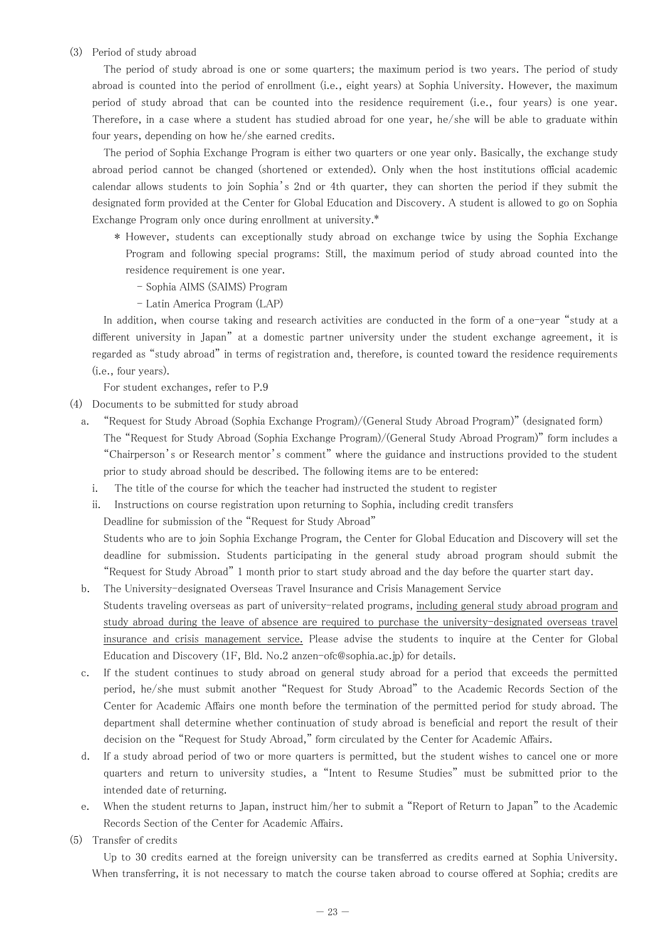#### (3) Period of study abroad

The period of study abroad is one or some quarters; the maximum period is two years. The period of study abroad is counted into the period of enrollment (i.e., eight years) at Sophia University. However, the maximum period of study abroad that can be counted into the residence requirement (i.e., four years) is one year. Therefore, in a case where a student has studied abroad for one year, he/she will be able to graduate within four years, depending on how he/she earned credits.

The period of Sophia Exchange Program is either two quarters or one year only. Basically, the exchange study abroad period cannot be changed (shortened or extended). Only when the host institutions official academic calendar allows students to join Sophia's 2nd or 4th quarter, they can shorten the period if they submit the designated form provided at the Center for Global Education and Discovery. A student is allowed to go on Sophia Exchange Program only once during enrollment at university.\*

- \* However, students can exceptionally study abroad on exchange twice by using the Sophia Exchange Program and following special programs: Still, the maximum period of study abroad counted into the residence requirement is one year.
	- Sophia AIMS (SAIMS) Program
	- Latin America Program (LAP)

In addition, when course taking and research activities are conducted in the form of a one-year "study at a different university in Japan" at a domestic partner university under the student exchange agreement, it is regarded as "study abroad" in terms of registration and, therefore, is counted toward the residence requirements (i.e., four years).

For student exchanges, refer to P.9

- (4) Documents to be submitted for study abroad
	- a. "Request for Study Abroad (Sophia Exchange Program)/(General Study Abroad Program)" (designated form) The "Request for Study Abroad (Sophia Exchange Program)/(General Study Abroad Program)" form includes a "Chairperson's or Research mentor's comment" where the guidance and instructions provided to the student prior to study abroad should be described. The following items are to be entered:
		- i. The title of the course for which the teacher had instructed the student to register
		- ii. Instructions on course registration upon returning to Sophia, including credit transfers

Deadline for submission of the "Request for Study Abroad"

Students who are to join Sophia Exchange Program, the Center for Global Education and Discovery will set the deadline for submission. Students participating in the general study abroad program should submit the "Request for Study Abroad" 1 month prior to start study abroad and the day before the quarter start day.

- b. The University-designated Overseas Travel Insurance and Crisis Management Service Students traveling overseas as part of university-related programs, including general study abroad program and study abroad during the leave of absence are required to purchase the university-designated overseas travel insurance and crisis management service. Please advise the students to inquire at the Center for Global Education and Discovery (1F, Bld. No.2 anzen-ofc@sophia.ac.jp) for details.
- c. If the student continues to study abroad on general study abroad for a period that exceeds the permitted period, he/she must submit another "Request for Study Abroad" to the Academic Records Section of the Center for Academic Affairs one month before the termination of the permitted period for study abroad. The department shall determine whether continuation of study abroad is beneficial and report the result of their decision on the "Request for Study Abroad," form circulated by the Center for Academic Affairs.
- d. If a study abroad period of two or more quarters is permitted, but the student wishes to cancel one or more quarters and return to university studies, a "Intent to Resume Studies" must be submitted prior to the intended date of returning.
- e. When the student returns to Japan, instruct him/her to submit a "Report of Return to Japan" to the Academic Records Section of the Center for Academic Affairs.
- (5) Transfer of credits

Up to 30 credits earned at the foreign university can be transferred as credits earned at Sophia University. When transferring, it is not necessary to match the course taken abroad to course offered at Sophia; credits are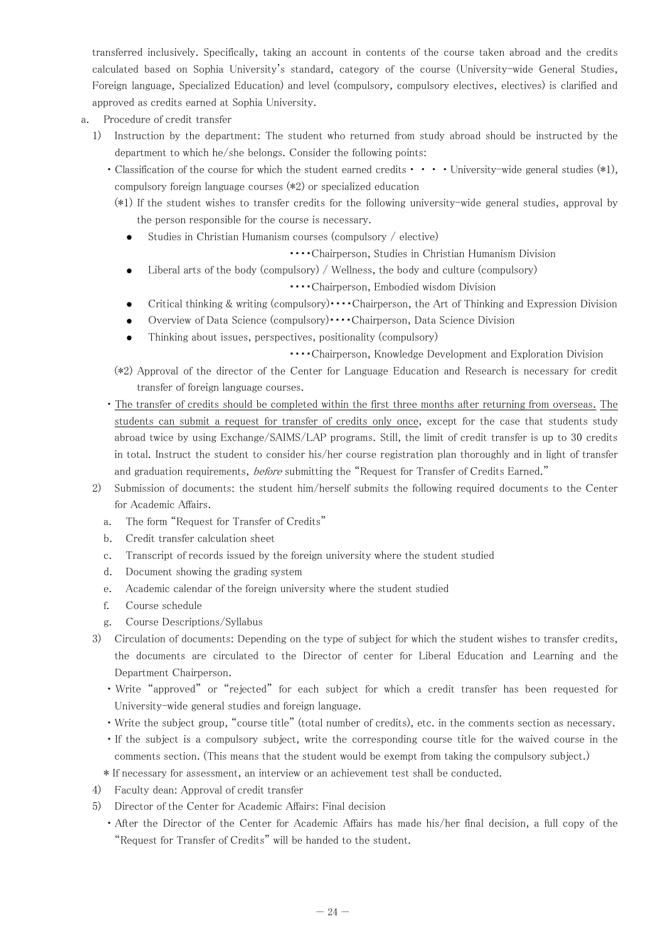transferred inclusively. Specifically, taking an account in contents of the course taken abroad and the credits calculated based on Sophia University's standard, category of the course (University-wide General Studies, Foreign language, Specialized Education) and level (compulsory, compulsory electives, electives) is clarified and approved as credits earned at Sophia University.

- a. Procedure of credit transfer
	- 1) Instruction by the department: The student who returned from study abroad should be instructed by the department to which he/she belongs. Consider the following points:
		- Classification of the course for which the student earned credits • • University-wide general studies (\*1), compulsory foreign language courses (\*2) or specialized education
		- (\*1) If the student wishes to transfer credits for the following university-wide general studies, approval by the person responsible for the course is necessary.
			- Studies in Christian Humanism courses (compulsory / elective)
				- ・・・・Chairperson, Studies in Christian Humanism Division
				- Liberal arts of the body (compulsory) / Wellness, the body and culture (compulsory)

・・・・Chairperson, Embodied wisdom Division

- Critical thinking & writing (compulsory)・・・・Chairperson, the Art of Thinking and Expression Division
- Overview of Data Science (compulsory)・・・・Chairperson, Data Science Division
- Thinking about issues, perspectives, positionality (compulsory)
	- ・・・・Chairperson, Knowledge Development and Exploration Division
- (\*2) Approval of the director of the Center for Language Education and Research is necessary for credit transfer of foreign language courses.
- ・The transfer of credits should be completed within the first three months after returning from overseas. The students can submit a request for transfer of credits only once, except for the case that students study abroad twice by using Exchange/SAIMS/LAP programs. Still, the limit of credit transfer is up to 30 credits in total. Instruct the student to consider his/her course registration plan thoroughly and in light of transfer and graduation requirements, before submitting the "Request for Transfer of Credits Earned."
- 2) Submission of documents: the student him/herself submits the following required documents to the Center for Academic Affairs.
	- a. The form "Request for Transfer of Credits"
	- b. Credit transfer calculation sheet
	- c. Transcript of records issued by the foreign university where the student studied
	- d. Document showing the grading system
	- e. Academic calendar of the foreign university where the student studied
	- f. Course schedule
	- g. Course Descriptions/Syllabus
- 3) Circulation of documents: Depending on the type of subject for which the student wishes to transfer credits, the documents are circulated to the Director of center for Liberal Education and Learning and the Department Chairperson.
	- ・Write "approved" or "rejected" for each subject for which a credit transfer has been requested for University-wide general studies and foreign language.
	- ・Write the subject group, "course title" (total number of credits), etc. in the comments section as necessary.
	- ・If the subject is a compulsory subject, write the corresponding course title for the waived course in the comments section. (This means that the student would be exempt from taking the compulsory subject.)
	- \* If necessary for assessment, an interview or an achievement test shall be conducted.
- 4) Faculty dean: Approval of credit transfer
- 5) Director of the Center for Academic Affairs: Final decision
	- ・After the Director of the Center for Academic Affairs has made his/her final decision, a full copy of the "Request for Transfer of Credits" will be handed to the student.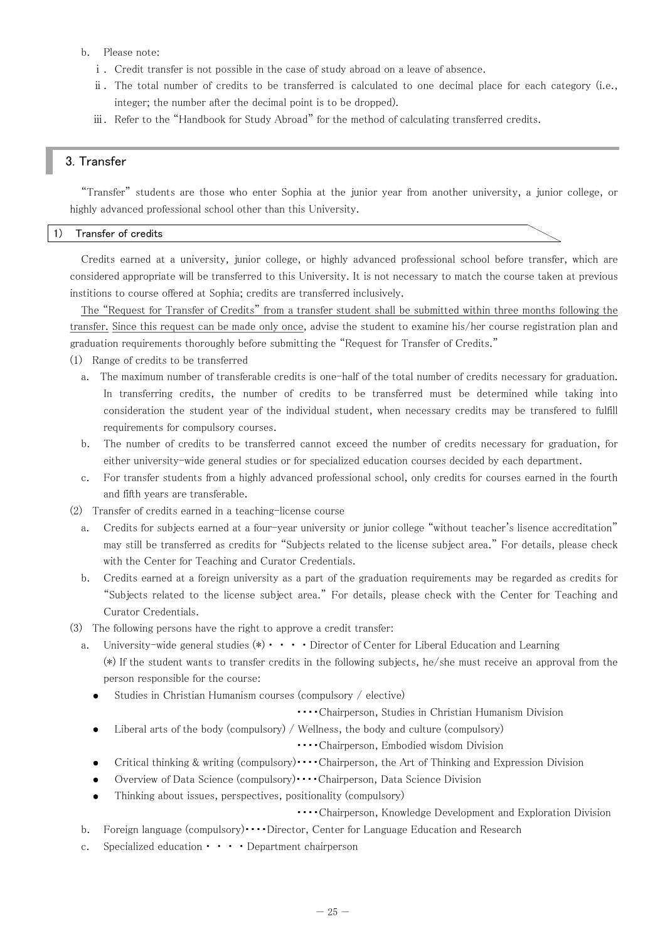- b. Please note:
	- ⅰ. Credit transfer is not possible in the case of study abroad on a leave of absence.
	- ⅱ. The total number of credits to be transferred is calculated to one decimal place for each category (i.e., integer; the number after the decimal point is to be dropped).
	- ⅲ. Refer to the "Handbook for Study Abroad" for the method of calculating transferred credits.

# 3. Transfer

"Transfer" students are those who enter Sophia at the junior year from another university, a junior college, or highly advanced professional school other than this University.

#### 1) Transfer of credits

Credits earned at a university, junior college, or highly advanced professional school before transfer, which are considered appropriate will be transferred to this University. It is not necessary to match the course taken at previous institions to course offered at Sophia; credits are transferred inclusively.

The "Request for Transfer of Credits" from a transfer student shall be submitted within three months following the transfer. Since this request can be made only once, advise the student to examine his/her course registration plan and graduation requirements thoroughly before submitting the "Request for Transfer of Credits."

- (1) Range of credits to be transferred
	- a. The maximum number of transferable credits is one-half of the total number of credits necessary for graduation. In transferring credits, the number of credits to be transferred must be determined while taking into consideration the student year of the individual student, when necessary credits may be transfered to fulfill requirements for compulsory courses.
	- b. The number of credits to be transferred cannot exceed the number of credits necessary for graduation, for either university-wide general studies or for specialized education courses decided by each department.
	- c. For transfer students from a highly advanced professional school, only credits for courses earned in the fourth and fifth years are transferable.
- (2) Transfer of credits earned in a teaching-license course
	- a. Credits for subjects earned at a four-year university or junior college "without teacher's lisence accreditation" may still be transferred as credits for "Subjects related to the license subject area." For details, please check with the Center for Teaching and Curator Credentials.
	- b. Credits earned at a foreign university as a part of the graduation requirements may be regarded as credits for "Subjects related to the license subject area." For details, please check with the Center for Teaching and Curator Credentials.
- (3) The following persons have the right to approve a credit transfer:
	- a. University-wide general studies  $(*) \cdot \cdot \cdot \cdot$  Director of Center for Liberal Education and Learning (\*) If the student wants to transfer credits in the following subjects, he/she must receive an approval from the person responsible for the course:
		- Studies in Christian Humanism courses (compulsory / elective)
			- ・・・・Chairperson, Studies in Christian Humanism Division
		- Liberal arts of the body (compulsory) / Wellness, the body and culture (compulsory)  $\bullet$

・・・・Chairperson, Embodied wisdom Division

- Critical thinking & writing (compulsory) • Chairperson, the Art of Thinking and Expression Division  $\bullet$
- Overview of Data Science (compulsory)・・・・Chairperson, Data Science Division
- Thinking about issues, perspectives, positionality (compulsory)

#### ・・・・Chairperson, Knowledge Development and Exploration Division

- b. Foreign language (compulsory) •••• Director, Center for Language Education and Research
- c. Specialized education・・・・Department chairperson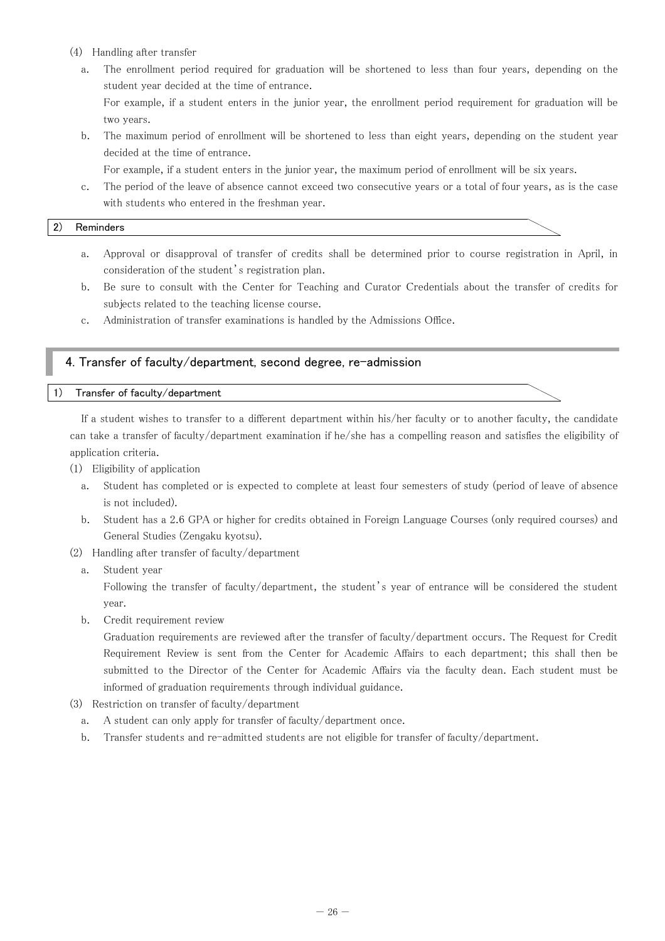- (4) Handling after transfer
	- a. The enrollment period required for graduation will be shortened to less than four years, depending on the student year decided at the time of entrance.

For example, if a student enters in the junior year, the enrollment period requirement for graduation will be two years.

b. The maximum period of enrollment will be shortened to less than eight years, depending on the student year decided at the time of entrance.

For example, if a student enters in the junior year, the maximum period of enrollment will be six years.

c. The period of the leave of absence cannot exceed two consecutive years or a total of four years, as is the case with students who entered in the freshman year.

#### 2) Reminders

- a. Approval or disapproval of transfer of credits shall be determined prior to course registration in April, in consideration of the student's registration plan.
- b. Be sure to consult with the Center for Teaching and Curator Credentials about the transfer of credits for subjects related to the teaching license course.
- c. Administration of transfer examinations is handled by the Admissions Office.

# 4. Transfer of faculty/department, second degree, re-admission

#### 1) Transfer of faculty/department

If a student wishes to transfer to a different department within his/her faculty or to another faculty, the candidate can take a transfer of faculty/department examination if he/she has a compelling reason and satisfies the eligibility of application criteria.

(1) Eligibility of application

- a. Student has completed or is expected to complete at least four semesters of study (period of leave of absence is not included).
- b. Student has a 2.6 GPA or higher for credits obtained in Foreign Language Courses (only required courses) and General Studies (Zengaku kyotsu).
- (2) Handling after transfer of faculty/department
	- a. Student year

Following the transfer of faculty/department, the student's year of entrance will be considered the student year.

b. Credit requirement review

Graduation requirements are reviewed after the transfer of faculty/department occurs. The Request for Credit Requirement Review is sent from the Center for Academic Affairs to each department; this shall then be submitted to the Director of the Center for Academic Affairs via the faculty dean. Each student must be informed of graduation requirements through individual guidance.

- (3) Restriction on transfer of faculty/department
	- a. A student can only apply for transfer of faculty/department once.
	- b. Transfer students and re-admitted students are not eligible for transfer of faculty/department.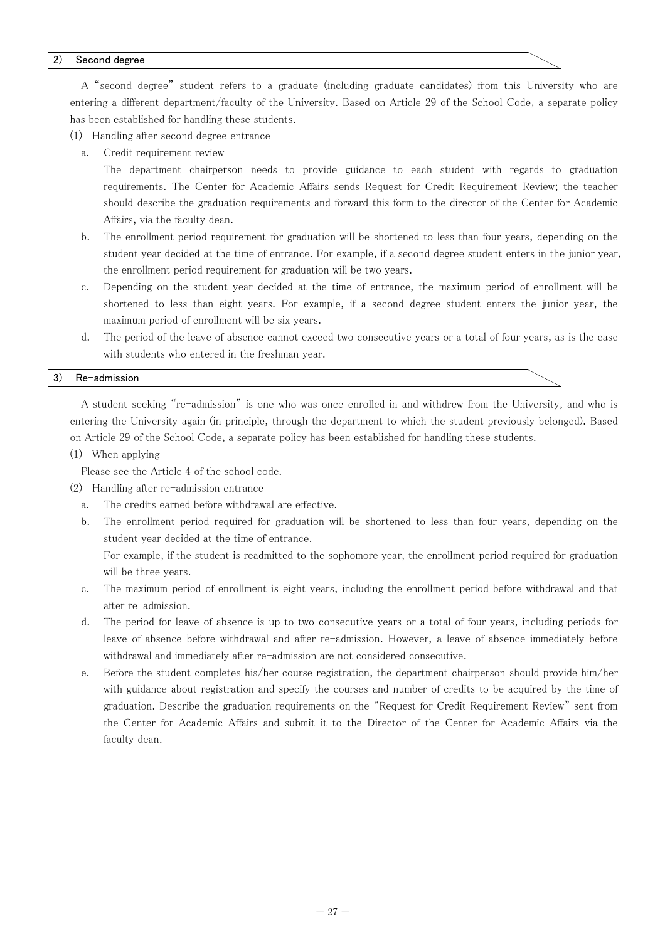#### 2) Second degree

A "second degree" student refers to a graduate (including graduate candidates) from this University who are entering a different department/faculty of the University. Based on Article 29 of the School Code, a separate policy has been established for handling these students.

(1) Handling after second degree entrance

a. Credit requirement review

The department chairperson needs to provide guidance to each student with regards to graduation requirements. The Center for Academic Affairs sends Request for Credit Requirement Review; the teacher should describe the graduation requirements and forward this form to the director of the Center for Academic Affairs, via the faculty dean.

- b. The enrollment period requirement for graduation will be shortened to less than four years, depending on the student year decided at the time of entrance. For example, if a second degree student enters in the junior year, the enrollment period requirement for graduation will be two years.
- c. Depending on the student year decided at the time of entrance, the maximum period of enrollment will be shortened to less than eight years. For example, if a second degree student enters the junior year, the maximum period of enrollment will be six years.
- d. The period of the leave of absence cannot exceed two consecutive years or a total of four years, as is the case with students who entered in the freshman year.

#### 3) Re-admission

A student seeking "re-admission" is one who was once enrolled in and withdrew from the University, and who is entering the University again (in principle, through the department to which the student previously belonged). Based on Article 29 of the School Code, a separate policy has been established for handling these students.

(1) When applying

Please see the Article 4 of the school code.

- (2) Handling after re-admission entrance
	- a. The credits earned before withdrawal are effective.
	- b. The enrollment period required for graduation will be shortened to less than four years, depending on the student year decided at the time of entrance.

For example, if the student is readmitted to the sophomore year, the enrollment period required for graduation will be three years.

- c. The maximum period of enrollment is eight years, including the enrollment period before withdrawal and that after re-admission.
- d. The period for leave of absence is up to two consecutive years or a total of four years, including periods for leave of absence before withdrawal and after re-admission. However, a leave of absence immediately before withdrawal and immediately after re-admission are not considered consecutive.
- e. Before the student completes his/her course registration, the department chairperson should provide him/her with guidance about registration and specify the courses and number of credits to be acquired by the time of graduation. Describe the graduation requirements on the "Request for Credit Requirement Review" sent from the Center for Academic Affairs and submit it to the Director of the Center for Academic Affairs via the faculty dean.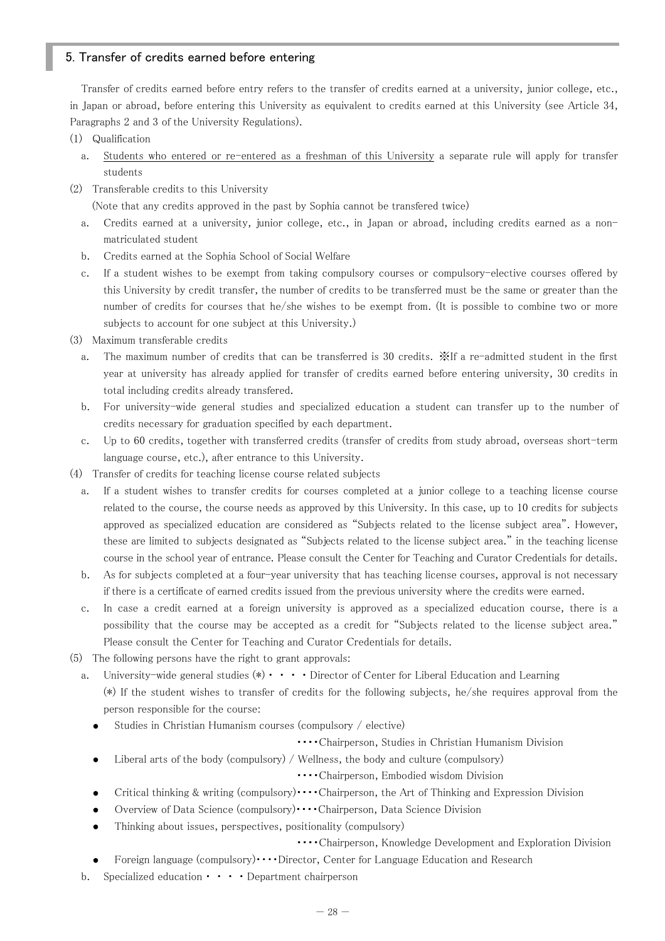# 5. Transfer of credits earned before entering

Transfer of credits earned before entry refers to the transfer of credits earned at a university, junior college, etc., in Japan or abroad, before entering this University as equivalent to credits earned at this University (see Article 34, Paragraphs 2 and 3 of the University Regulations).

- (1) Qualification
	- a. Students who entered or re-entered as a freshman of this University a separate rule will apply for transfer students
- (2) Transferable credits to this University

(Note that any credits approved in the past by Sophia cannot be transfered twice)

- a. Credits earned at a university, junior college, etc., in Japan or abroad, including credits earned as a nonmatriculated student
- b. Credits earned at the Sophia School of Social Welfare
- c. If a student wishes to be exempt from taking compulsory courses or compulsory-elective courses offered by this University by credit transfer, the number of credits to be transferred must be the same or greater than the number of credits for courses that he/she wishes to be exempt from. (It is possible to combine two or more subjects to account for one subject at this University.)
- (3) Maximum transferable credits
	- a. The maximum number of credits that can be transferred is 30 credits. ※If a re-admitted student in the first year at university has already applied for transfer of credits earned before entering university, 30 credits in total including credits already transfered.
	- b. For university-wide general studies and specialized education a student can transfer up to the number of credits necessary for graduation specified by each department.
	- c. Up to 60 credits, together with transferred credits (transfer of credits from study abroad, overseas short-term language course, etc.), after entrance to this University.
- (4) Transfer of credits for teaching license course related subjects
	- a. If a student wishes to transfer credits for courses completed at a junior college to a teaching license course related to the course, the course needs as approved by this University. In this case, up to 10 credits for subjects approved as specialized education are considered as "Subjects related to the license subject area". However, these are limited to subjects designated as "Subjects related to the license subject area." in the teaching license course in the school year of entrance. Please consult the Center for Teaching and Curator Credentials for details.
	- b. As for subjects completed at a four-year university that has teaching license courses, approval is not necessary if there is a certificate of earned credits issued from the previous university where the credits were earned.
	- c. In case a credit earned at a foreign university is approved as a specialized education course, there is a possibility that the course may be accepted as a credit for "Subjects related to the license subject area." Please consult the Center for Teaching and Curator Credentials for details.
- (5) The following persons have the right to grant approvals:
	- a. University-wide general studies  $(*) \cdot \cdot \cdot \cdot$  Director of Center for Liberal Education and Learning (\*) If the student wishes to transfer of credits for the following subjects, he/she requires approval from the
		- person responsible for the course:

 $\bullet$ 

- Studies in Christian Humanism courses (compulsory / elective)
	- ・・・・Chairperson, Studies in Christian Humanism Division
	- Liberal arts of the body (compulsory) / Wellness, the body and culture (compulsory)

・・・・Chairperson, Embodied wisdom Division

- Critical thinking & writing (compulsory)  $\cdots$  Chairperson, the Art of Thinking and Expression Division
- Overview of Data Science (compulsory)・・・・Chairperson, Data Science Division
- Thinking about issues, perspectives, positionality (compulsory)
	- ・・・・Chairperson, Knowledge Development and Exploration Division
- Foreign language (compulsory) •••• Director, Center for Language Education and Research
- b. Specialized education・・・・Department chairperson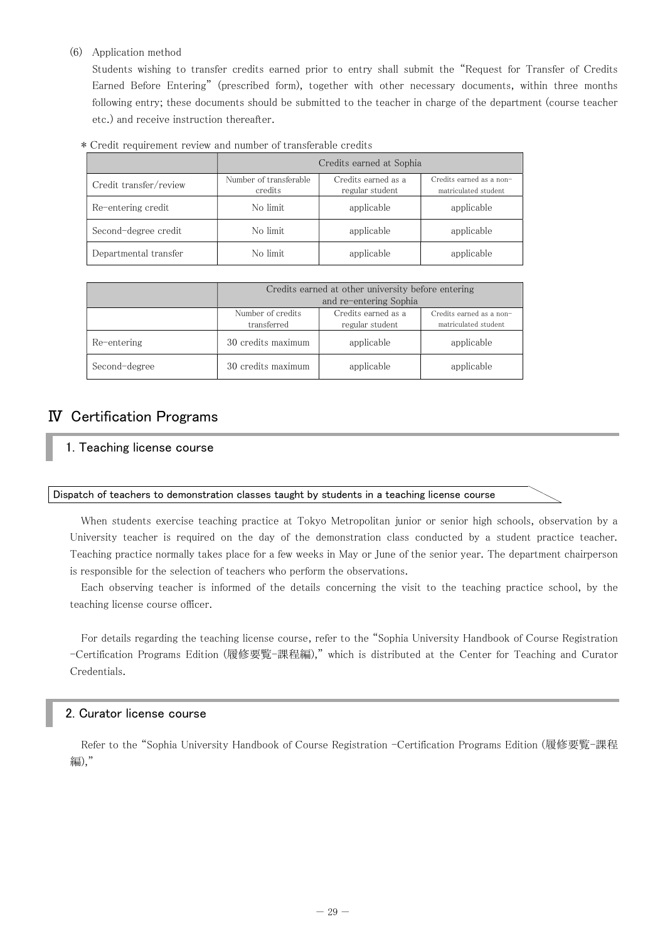(6) Application method

Students wishing to transfer credits earned prior to entry shall submit the "Request for Transfer of Credits Earned Before Entering" (prescribed form), together with other necessary documents, within three months following entry; these documents should be submitted to the teacher in charge of the department (course teacher etc.) and receive instruction thereafter.

|  |  | * Credit requirement review and number of transferable credits |  |  |  |  |  |  |
|--|--|----------------------------------------------------------------|--|--|--|--|--|--|
|--|--|----------------------------------------------------------------|--|--|--|--|--|--|

|                        | Credits earned at Sophia          |                                        |                                                  |  |  |
|------------------------|-----------------------------------|----------------------------------------|--------------------------------------------------|--|--|
| Credit transfer/review | Number of transferable<br>credits | Credits earned as a<br>regular student | Credits earned as a non-<br>matriculated student |  |  |
| Re-entering credit     | No limit                          | applicable                             | applicable                                       |  |  |
| Second-degree credit   | No limit                          | applicable                             | applicable                                       |  |  |
| Departmental transfer  | No limit                          | applicable                             | applicable                                       |  |  |

|               |                                  | Credits earned at other university before entering |                                                  |
|---------------|----------------------------------|----------------------------------------------------|--------------------------------------------------|
|               |                                  | and re-entering Sophia                             |                                                  |
|               | Number of credits<br>transferred | Credits earned as a<br>regular student             | Credits earned as a non-<br>matriculated student |
| Re-entering   | 30 credits maximum               | applicable                                         | applicable                                       |
| Second-degree | 30 credits maximum               | applicable                                         | applicable                                       |

# Ⅳ Certification Programs

1. Teaching license course

#### Dispatch of teachers to demonstration classes taught by students in a teaching license course

When students exercise teaching practice at Tokyo Metropolitan junior or senior high schools, observation by a University teacher is required on the day of the demonstration class conducted by a student practice teacher. Teaching practice normally takes place for a few weeks in May or June of the senior year. The department chairperson is responsible for the selection of teachers who perform the observations.

Each observing teacher is informed of the details concerning the visit to the teaching practice school, by the teaching license course officer.

For details regarding the teaching license course, refer to the "Sophia University Handbook of Course Registration -Certification Programs Edition (履修要覧-課程編)," which is distributed at the Center for Teaching and Curator Credentials.

# 2. Curator license course

Refer to the "Sophia University Handbook of Course Registration -Certification Programs Edition (履修要覧-課程 編),"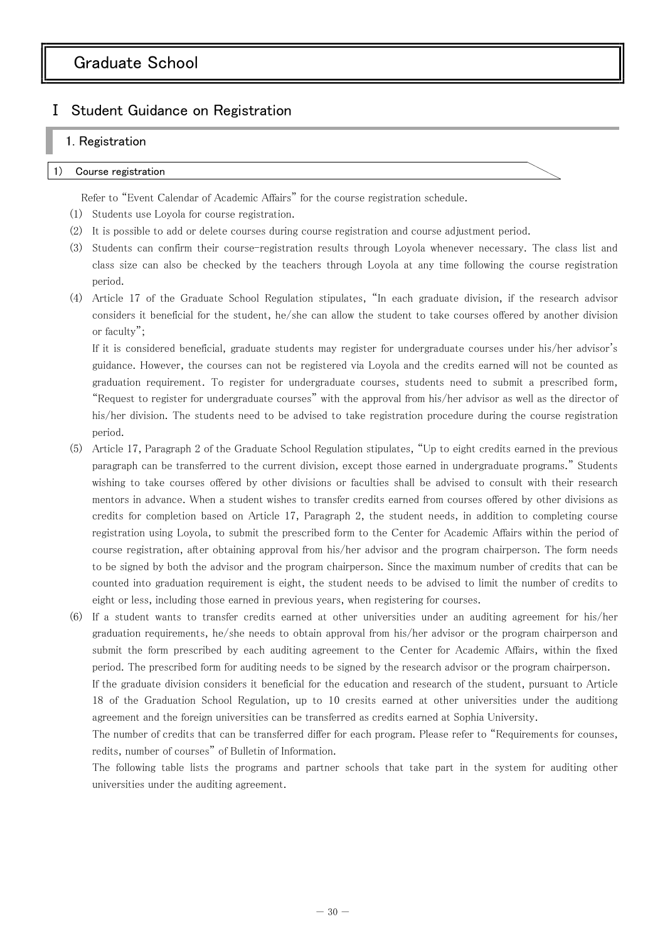# Graduate School

# Ⅰ Student Guidance on Registration

# 1. Registration

#### Course registration

Refer to "Event Calendar of Academic Affairs" for the course registration schedule.

- (1) Students use Loyola for course registration.
- (2) It is possible to add or delete courses during course registration and course adjustment period.
- (3) Students can confirm their course-registration results through Loyola whenever necessary. The class list and class size can also be checked by the teachers through Loyola at any time following the course registration period.
- (4) Article 17 of the Graduate School Regulation stipulates, "In each graduate division, if the research advisor considers it beneficial for the student, he/she can allow the student to take courses offered by another division or faculty";

If it is considered beneficial, graduate students may register for undergraduate courses under his/her advisor's guidance. However, the courses can not be registered via Loyola and the credits earned will not be counted as graduation requirement. To register for undergraduate courses, students need to submit a prescribed form, "Request to register for undergraduate courses" with the approval from his/her advisor as well as the director of his/her division. The students need to be advised to take registration procedure during the course registration period.

(5) Article 17, Paragraph 2 of the Graduate School Regulation stipulates, "Up to eight credits earned in the previous paragraph can be transferred to the current division, except those earned in undergraduate programs." Students wishing to take courses offered by other divisions or faculties shall be advised to consult with their research mentors in advance. When a student wishes to transfer credits earned from courses offered by other divisions as credits for completion based on Article 17, Paragraph 2, the student needs, in addition to completing course registration using Loyola, to submit the prescribed form to the Center for Academic Affairs within the period of course registration, after obtaining approval from his/her advisor and the program chairperson. The form needs to be signed by both the advisor and the program chairperson. Since the maximum number of credits that can be counted into graduation requirement is eight, the student needs to be advised to limit the number of credits to eight or less, including those earned in previous years, when registering for courses.

(6) If a student wants to transfer credits earned at other universities under an auditing agreement for his/her graduation requirements, he/she needs to obtain approval from his/her advisor or the program chairperson and submit the form prescribed by each auditing agreement to the Center for Academic Affairs, within the fixed period. The prescribed form for auditing needs to be signed by the research advisor or the program chairperson.

If the graduate division considers it beneficial for the education and research of the student, pursuant to Article 18 of the Graduation School Regulation, up to 10 cresits earned at other universities under the auditiong agreement and the foreign universities can be transferred as credits earned at Sophia University.

The number of credits that can be transferred differ for each program. Please refer to "Requirements for counses, redits, number of courses" of Bulletin of Information.

The following table lists the programs and partner schools that take part in the system for auditing other universities under the auditing agreement.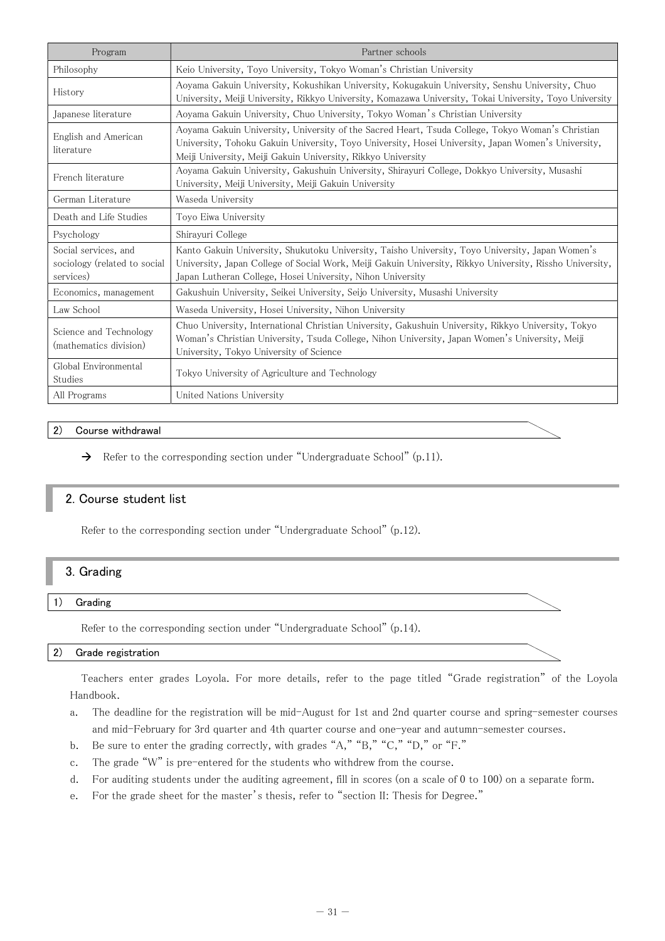| Program                                                           | Partner schools                                                                                                                                                                                                                                                            |
|-------------------------------------------------------------------|----------------------------------------------------------------------------------------------------------------------------------------------------------------------------------------------------------------------------------------------------------------------------|
| Philosophy                                                        | Keio University, Toyo University, Tokyo Woman's Christian University                                                                                                                                                                                                       |
| History                                                           | Aoyama Gakuin University, Kokushikan University, Kokugakuin University, Senshu University, Chuo<br>University, Meiji University, Rikkyo University, Komazawa University, Tokai University, Toyo University                                                                 |
| Japanese literature                                               | Aoyama Gakuin University, Chuo University, Tokyo Woman's Christian University                                                                                                                                                                                              |
| English and American<br>literature                                | Aoyama Gakuin University, University of the Sacred Heart, Tsuda College, Tokyo Woman's Christian<br>University, Tohoku Gakuin University, Toyo University, Hosei University, Japan Women's University,<br>Meiji University, Meiji Gakuin University, Rikkyo University     |
| French literature                                                 | Aoyama Gakuin University, Gakushuin University, Shirayuri College, Dokkyo University, Musashi<br>University, Meiji University, Meiji Gakuin University                                                                                                                     |
| German Literature                                                 | Waseda University                                                                                                                                                                                                                                                          |
| Death and Life Studies                                            | Toyo Eiwa University                                                                                                                                                                                                                                                       |
| Psychology                                                        | Shirayuri College                                                                                                                                                                                                                                                          |
| Social services, and<br>sociology (related to social<br>services) | Kanto Gakuin University, Shukutoku University, Taisho University, Toyo University, Japan Women's<br>University, Japan College of Social Work, Meiji Gakuin University, Rikkyo University, Rissho University,<br>Japan Lutheran College, Hosei University, Nihon University |
| Economics, management                                             | Gakushuin University, Seikei University, Seijo University, Musashi University                                                                                                                                                                                              |
| Law School                                                        | Waseda University, Hosei University, Nihon University                                                                                                                                                                                                                      |
| Science and Technology<br>(mathematics division)                  | Chuo University, International Christian University, Gakushuin University, Rikkyo University, Tokyo<br>Woman's Christian University, Tsuda College, Nihon University, Japan Women's University, Meiji<br>University, Tokyo University of Science                           |
| Global Environmental<br>Studies                                   | Tokyo University of Agriculture and Technology                                                                                                                                                                                                                             |
| All Programs                                                      | United Nations University                                                                                                                                                                                                                                                  |

# 2) Course withdrawal

 $\rightarrow$  Refer to the corresponding section under "Undergraduate School" (p.11).

# 2. Course student list

Refer to the corresponding section under "Undergraduate School" (p.12).

# 3. Grading

#### 1) Grading

Refer to the corresponding section under "Undergraduate School" (p.14).

#### 2) Grade registration

Teachers enter grades Loyola. For more details, refer to the page titled "Grade registration" of the Loyola Handbook.

- a. The deadline for the registration will be mid-August for 1st and 2nd quarter course and spring-semester courses and mid-February for 3rd quarter and 4th quarter course and one-year and autumn-semester courses.
- b. Be sure to enter the grading correctly, with grades "A," "B," "C," "D," or "F."
- c. The grade "W" is pre-entered for the students who withdrew from the course.
- d. For auditing students under the auditing agreement, fill in scores (on a scale of 0 to 100) on a separate form.
- e. For the grade sheet for the master's thesis, refer to "section II: Thesis for Degree."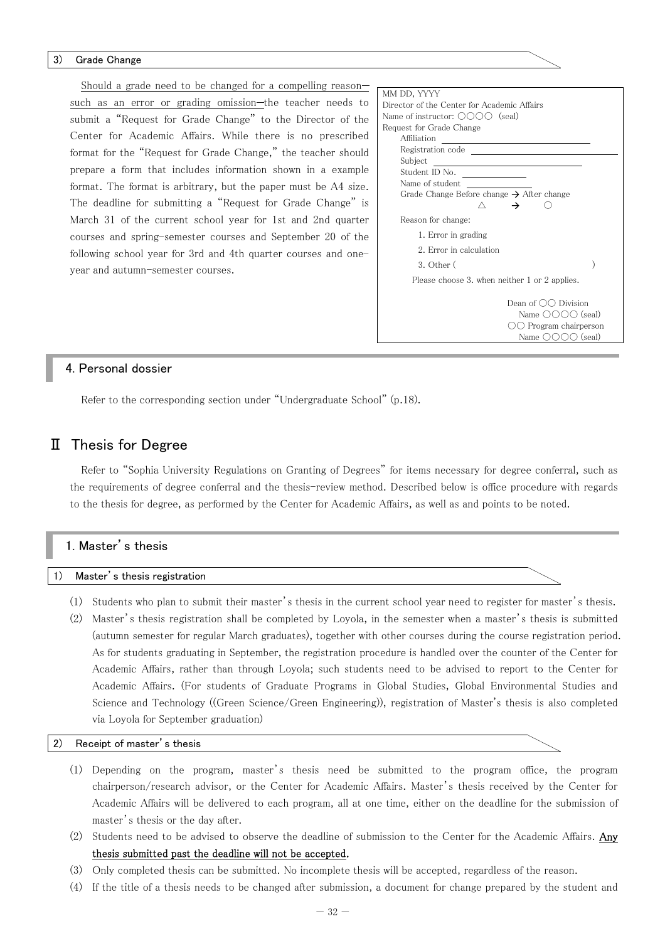#### 3) Grade Change

Should a grade need to be changed for a compelling reason such as an error or grading omission-the teacher needs to submit a "Request for Grade Change" to the Director of the Center for Academic Affairs. While there is no prescribed format for the "Request for Grade Change," the teacher should prepare a form that includes information shown in a example format. The format is arbitrary, but the paper must be A4 size. The deadline for submitting a "Request for Grade Change" is March 31 of the current school year for 1st and 2nd quarter courses and spring-semester courses and September 20 of the following school year for 3rd and 4th quarter courses and oneyear and autumn-semester courses.

| MM DD, YYYY                                                 |  |
|-------------------------------------------------------------|--|
| Director of the Center for Academic Affairs                 |  |
| Name of instructor: $\bigcirc$ $\bigcirc$ $\bigcirc$ (seal) |  |
| Request for Grade Change                                    |  |
| <b>Affiliation</b>                                          |  |
| Registration code                                           |  |
| Subject                                                     |  |
| Student ID No.                                              |  |
| Name of student                                             |  |
| Grade Change Before change $\rightarrow$ After change       |  |
|                                                             |  |
| Reason for change:                                          |  |
| 1. Error in grading                                         |  |
| 2. Error in calculation                                     |  |
| $3.$ Other $($                                              |  |
| Please choose 3. when neither 1 or 2 applies.               |  |
|                                                             |  |
| Dean of $\bigcirc$ Division                                 |  |
| Name $\bigcirc$ $\bigcirc$ $\bigcirc$ $\bigcirc$ (seal)     |  |
| $\bigcirc$ Program chairperson                              |  |
| Name $\bigcirc$ $\bigcirc$ $\bigcirc$ $\bigcirc$ (seal)     |  |

# 4. Personal dossier

Refer to the corresponding section under "Undergraduate School" (p.18).

# Ⅱ Thesis for Degree

Refer to "Sophia University Regulations on Granting of Degrees" for items necessary for degree conferral, such as the requirements of degree conferral and the thesis-review method. Described below is office procedure with regards to the thesis for degree, as performed by the Center for Academic Affairs, as well as and points to be noted.

| 1. Master's thesis |  |  |  |
|--------------------|--|--|--|
|                    |  |  |  |

1) Master's thesis registration

- (1) Students who plan to submit their master's thesis in the current school year need to register for master's thesis.
- (2) Master's thesis registration shall be completed by Loyola, in the semester when a master's thesis is submitted (autumn semester for regular March graduates), together with other courses during the course registration period. As for students graduating in September, the registration procedure is handled over the counter of the Center for Academic Affairs, rather than through Loyola; such students need to be advised to report to the Center for Academic Affairs. (For students of Graduate Programs in Global Studies, Global Environmental Studies and Science and Technology ((Green Science/Green Engineering)), registration of Master's thesis is also completed via Loyola for September graduation)

#### 2) Receipt of master's thesis

- (1) Depending on the program, master's thesis need be submitted to the program office, the program chairperson/research advisor, or the Center for Academic Affairs. Master's thesis received by the Center for Academic Affairs will be delivered to each program, all at one time, either on the deadline for the submission of master's thesis or the day after.
- (2) Students need to be advised to observe the deadline of submission to the Center for the Academic Affairs. Any thesis submitted past the deadline will not be accepted.
- (3) Only completed thesis can be submitted. No incomplete thesis will be accepted, regardless of the reason.
- (4) If the title of a thesis needs to be changed after submission, a document for change prepared by the student and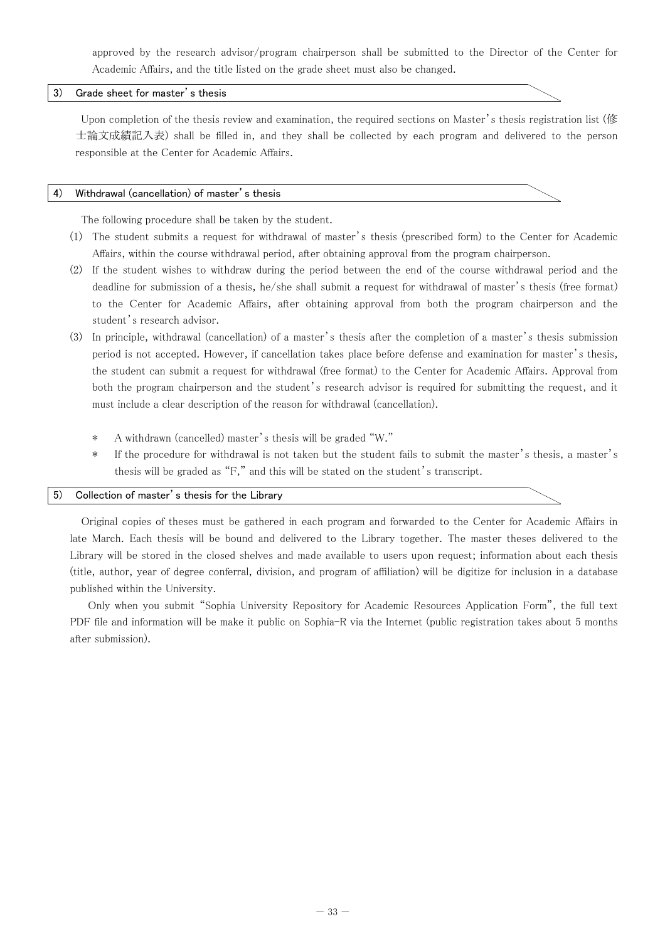approved by the research advisor/program chairperson shall be submitted to the Director of the Center for Academic Affairs, and the title listed on the grade sheet must also be changed.

# 3) Grade sheet for master's thesis

Upon completion of the thesis review and examination, the required sections on Master's thesis registration list (修 士論文成績記入表) shall be filled in, and they shall be collected by each program and delivered to the person responsible at the Center for Academic Affairs.

#### 4) Withdrawal (cancellation) of master's thesis

The following procedure shall be taken by the student.

- (1) The student submits a request for withdrawal of master's thesis (prescribed form) to the Center for Academic Affairs, within the course withdrawal period, after obtaining approval from the program chairperson.
- (2) If the student wishes to withdraw during the period between the end of the course withdrawal period and the deadline for submission of a thesis, he/she shall submit a request for withdrawal of master's thesis (free format) to the Center for Academic Affairs, after obtaining approval from both the program chairperson and the student's research advisor.
- (3) In principle, withdrawal (cancellation) of a master's thesis after the completion of a master's thesis submission period is not accepted. However, if cancellation takes place before defense and examination for master's thesis, the student can submit a request for withdrawal (free format) to the Center for Academic Affairs. Approval from both the program chairperson and the student's research advisor is required for submitting the request, and it must include a clear description of the reason for withdrawal (cancellation).
	- \* A withdrawn (cancelled) master's thesis will be graded "W."
	- \* If the procedure for withdrawal is not taken but the student fails to submit the master's thesis, a master's thesis will be graded as "F," and this will be stated on the student's transcript.

#### 5) Collection of master's thesis for the Library

Original copies of theses must be gathered in each program and forwarded to the Center for Academic Affairs in late March. Each thesis will be bound and delivered to the Library together. The master theses delivered to the Library will be stored in the closed shelves and made available to users upon request; information about each thesis (title, author, year of degree conferral, division, and program of affiliation) will be digitize for inclusion in a database published within the University.

 Only when you submit "Sophia University Repository for Academic Resources Application Form", the full text PDF file and information will be make it public on Sophia-R via the Internet (public registration takes about 5 months after submission).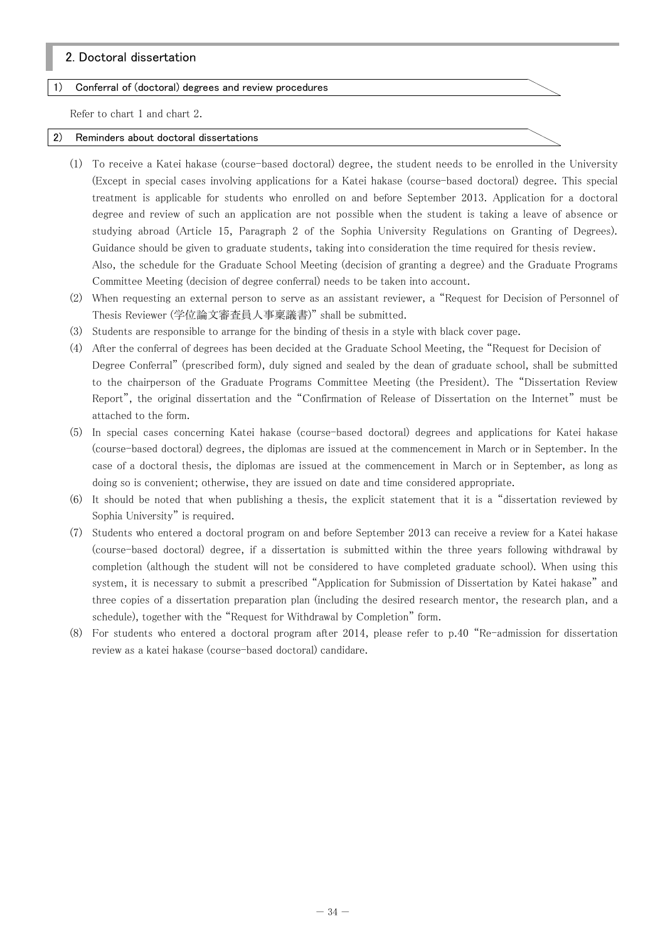# 2. Doctoral dissertation

#### 1) Conferral of (doctoral) degrees and review procedures

Refer to chart 1 and chart 2.

#### 2) Reminders about doctoral dissertations

- (1) To receive a Katei hakase (course-based doctoral) degree, the student needs to be enrolled in the University (Except in special cases involving applications for a Katei hakase (course-based doctoral) degree. This special treatment is applicable for students who enrolled on and before September 2013. Application for a doctoral degree and review of such an application are not possible when the student is taking a leave of absence or studying abroad (Article 15, Paragraph 2 of the Sophia University Regulations on Granting of Degrees). Guidance should be given to graduate students, taking into consideration the time required for thesis review. Also, the schedule for the Graduate School Meeting (decision of granting a degree) and the Graduate Programs Committee Meeting (decision of degree conferral) needs to be taken into account.
- (2) When requesting an external person to serve as an assistant reviewer, a "Request for Decision of Personnel of Thesis Reviewer (学位論文審査員人事稟議書)" shall be submitted.
- (3) Students are responsible to arrange for the binding of thesis in a style with black cover page.
- (4) After the conferral of degrees has been decided at the Graduate School Meeting, the "Request for Decision of Degree Conferral" (prescribed form), duly signed and sealed by the dean of graduate school, shall be submitted to the chairperson of the Graduate Programs Committee Meeting (the President). The "Dissertation Review Report", the original dissertation and the "Confirmation of Release of Dissertation on the Internet" must be attached to the form.
- (5) In special cases concerning Katei hakase (course-based doctoral) degrees and applications for Katei hakase (course-based doctoral) degrees, the diplomas are issued at the commencement in March or in September. In the case of a doctoral thesis, the diplomas are issued at the commencement in March or in September, as long as doing so is convenient; otherwise, they are issued on date and time considered appropriate.
- (6) It should be noted that when publishing a thesis, the explicit statement that it is a "dissertation reviewed by Sophia University" is required.
- (7) Students who entered a doctoral program on and before September 2013 can receive a review for a Katei hakase (course-based doctoral) degree, if a dissertation is submitted within the three years following withdrawal by completion (although the student will not be considered to have completed graduate school). When using this system, it is necessary to submit a prescribed "Application for Submission of Dissertation by Katei hakase" and three copies of a dissertation preparation plan (including the desired research mentor, the research plan, and a schedule), together with the "Request for Withdrawal by Completion" form.
- (8) For students who entered a doctoral program after 2014, please refer to p.40 "Re-admission for dissertation review as a katei hakase (course-based doctoral) candidare.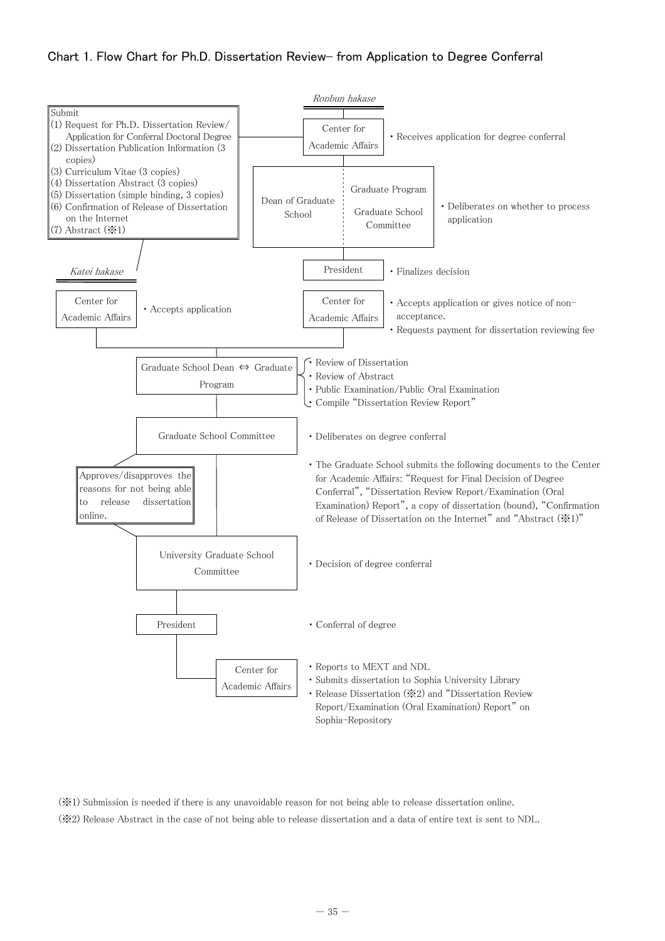# Chart 1. Flow Chart for Ph.D. Dissertation Review-from Application to Degree Conferral



(※1) Submission is needed if there is any unavoidable reason for not being able to release dissertation online.

(※2) Release Abstract in the case of not being able to release dissertation and a data of entire text is sent to NDL.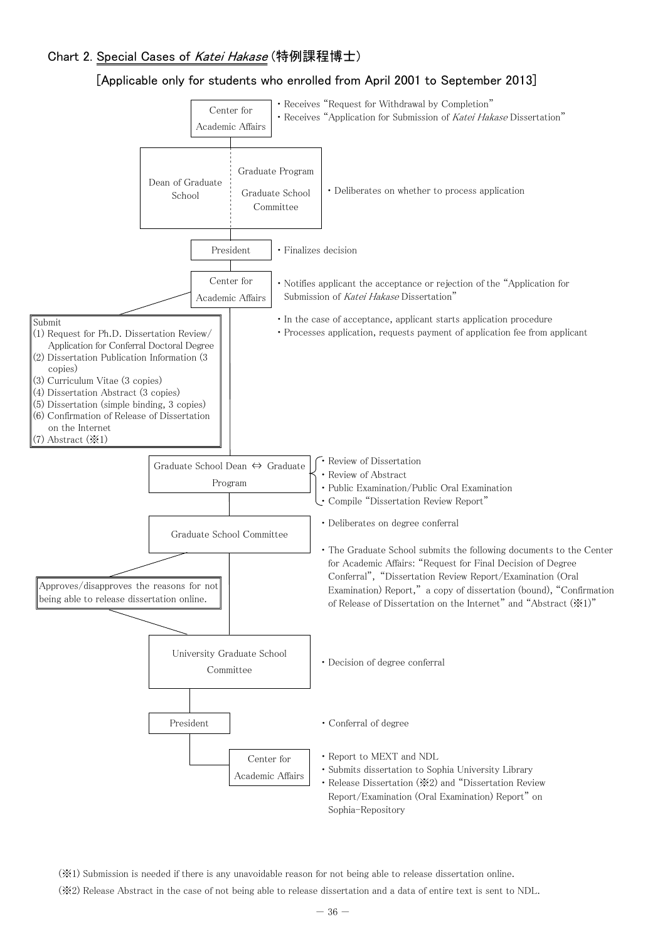# Chart 2. Special Cases of Katei Hakase (特例課程博士)

# [Applicable only for students who enrolled from April 2001 to September 2013]



(※1) Submission is needed if there is any unavoidable reason for not being able to release dissertation online.

(※2) Release Abstract in the case of not being able to release dissertation and a data of entire text is sent to NDL.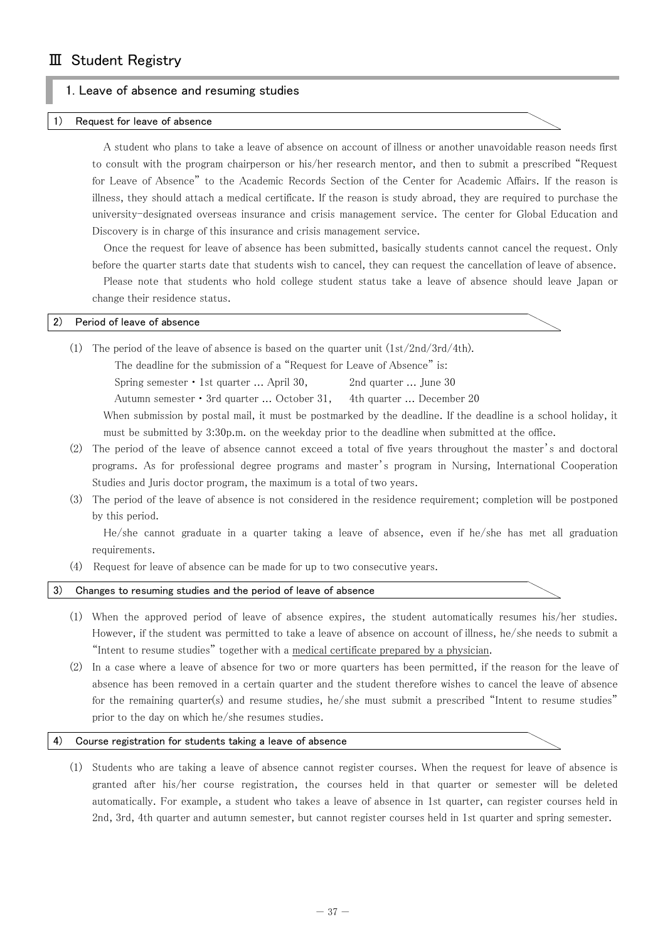# 1. Leave of absence and resuming studies

#### Request for leave of absence

A student who plans to take a leave of absence on account of illness or another unavoidable reason needs first to consult with the program chairperson or his/her research mentor, and then to submit a prescribed "Request for Leave of Absence" to the Academic Records Section of the Center for Academic Affairs. If the reason is illness, they should attach a medical certificate. If the reason is study abroad, they are required to purchase the university-designated overseas insurance and crisis management service. The center for Global Education and Discovery is in charge of this insurance and crisis management service.

Once the request for leave of absence has been submitted, basically students cannot cancel the request. Only before the quarter starts date that students wish to cancel, they can request the cancellation of leave of absence. Please note that students who hold college student status take a leave of absence should leave Japan or change their residence status.

#### 2) Period of leave of absence

(1) The period of the leave of absence is based on the quarter unit  $(1st/2nd/3rd/4th)$ .

The deadline for the submission of a "Request for Leave of Absence" is: Spring semester • 1st quarter ... April 30, 2nd quarter ... June 30 Autumn semester・3rd quarter ... October 31, 4th quarter ... December 20 When submission by postal mail, it must be postmarked by the deadline. If the deadline is a school holiday, it

must be submitted by 3:30p.m. on the weekday prior to the deadline when submitted at the office.

- (2) The period of the leave of absence cannot exceed a total of five years throughout the master's and doctoral programs. As for professional degree programs and master's program in Nursing, International Cooperation Studies and Juris doctor program, the maximum is a total of two years.
- (3) The period of the leave of absence is not considered in the residence requirement; completion will be postponed by this period.

He/she cannot graduate in a quarter taking a leave of absence, even if he/she has met all graduation requirements.

(4) Request for leave of absence can be made for up to two consecutive years.

#### 3) Changes to resuming studies and the period of leave of absence

- (1) When the approved period of leave of absence expires, the student automatically resumes his/her studies. However, if the student was permitted to take a leave of absence on account of illness, he/she needs to submit a "Intent to resume studies" together with a medical certificate prepared by a physician.
- (2) In a case where a leave of absence for two or more quarters has been permitted, if the reason for the leave of absence has been removed in a certain quarter and the student therefore wishes to cancel the leave of absence for the remaining quarter(s) and resume studies, he/she must submit a prescribed "Intent to resume studies" prior to the day on which he/she resumes studies.

#### 4) Course registration for students taking a leave of absence

(1) Students who are taking a leave of absence cannot register courses. When the request for leave of absence is granted after his/her course registration, the courses held in that quarter or semester will be deleted automatically. For example, a student who takes a leave of absence in 1st quarter, can register courses held in 2nd, 3rd, 4th quarter and autumn semester, but cannot register courses held in 1st quarter and spring semester.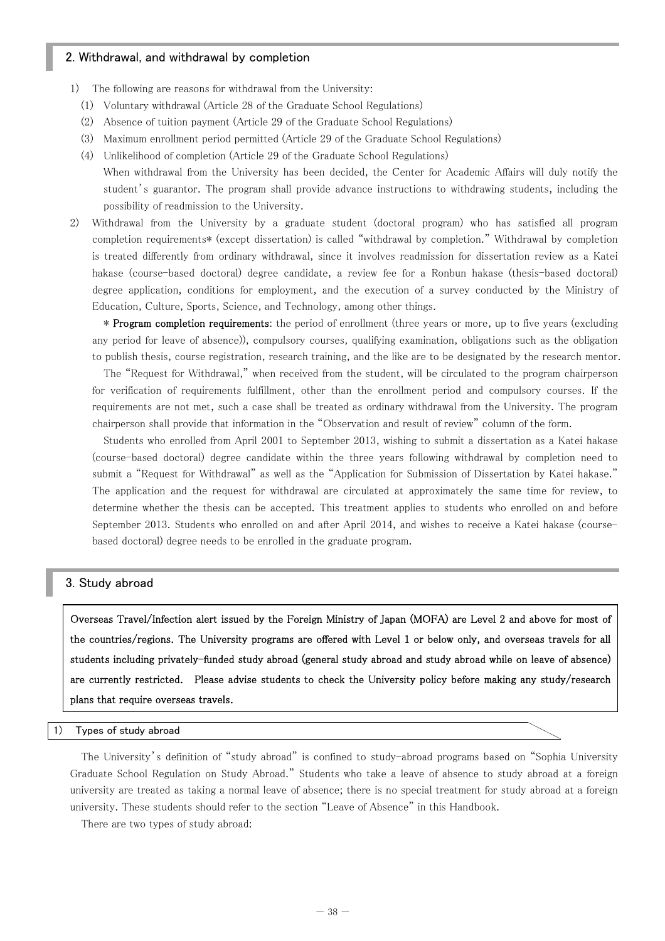# 2. Withdrawal, and withdrawal by completion

- 1) The following are reasons for withdrawal from the University:
	- (1) Voluntary withdrawal (Article 28 of the Graduate School Regulations)
	- (2) Absence of tuition payment (Article 29 of the Graduate School Regulations)
	- (3) Maximum enrollment period permitted (Article 29 of the Graduate School Regulations)
	- (4) Unlikelihood of completion (Article 29 of the Graduate School Regulations) When withdrawal from the University has been decided, the Center for Academic Affairs will duly notify the student's guarantor. The program shall provide advance instructions to withdrawing students, including the possibility of readmission to the University.
- 2) Withdrawal from the University by a graduate student (doctoral program) who has satisfied all program completion requirements\* (except dissertation) is called "withdrawal by completion." Withdrawal by completion is treated differently from ordinary withdrawal, since it involves readmission for dissertation review as a Katei hakase (course-based doctoral) degree candidate, a review fee for a Ronbun hakase (thesis-based doctoral) degree application, conditions for employment, and the execution of a survey conducted by the Ministry of Education, Culture, Sports, Science, and Technology, among other things.

\* Program completion requirements: the period of enrollment (three years or more, up to five years (excluding any period for leave of absence)), compulsory courses, qualifying examination, obligations such as the obligation to publish thesis, course registration, research training, and the like are to be designated by the research mentor.

The "Request for Withdrawal," when received from the student, will be circulated to the program chairperson for verification of requirements fulfillment, other than the enrollment period and compulsory courses. If the requirements are not met, such a case shall be treated as ordinary withdrawal from the University. The program chairperson shall provide that information in the "Observation and result of review" column of the form.

Students who enrolled from April 2001 to September 2013, wishing to submit a dissertation as a Katei hakase (course-based doctoral) degree candidate within the three years following withdrawal by completion need to submit a "Request for Withdrawal" as well as the "Application for Submission of Dissertation by Katei hakase." The application and the request for withdrawal are circulated at approximately the same time for review, to determine whether the thesis can be accepted. This treatment applies to students who enrolled on and before September 2013. Students who enrolled on and after April 2014, and wishes to receive a Katei hakase (coursebased doctoral) degree needs to be enrolled in the graduate program.

# 3. Study abroad

Overseas Travel/Infection alert issued by the Foreign Ministry of Japan (MOFA) are Level 2 and above for most of the countries/regions. The University programs are offered with Level 1 or below only, and overseas travels for all students including privately-funded study abroad (general study abroad and study abroad while on leave of absence) are currently restricted. Please advise students to check the University policy before making any study/research plans that require overseas travels.

#### 1) Types of study abroad

The University's definition of "study abroad" is confined to study-abroad programs based on "Sophia University Graduate School Regulation on Study Abroad." Students who take a leave of absence to study abroad at a foreign university are treated as taking a normal leave of absence; there is no special treatment for study abroad at a foreign university. These students should refer to the section "Leave of Absence" in this Handbook.

There are two types of study abroad: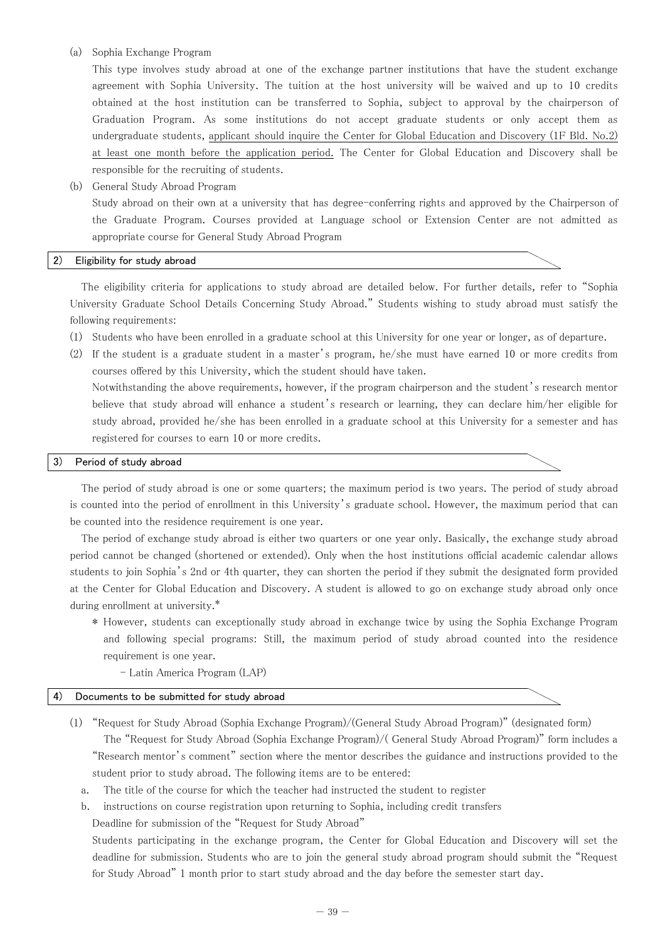#### (a) Sophia Exchange Program

This type involves study abroad at one of the exchange partner institutions that have the student exchange agreement with Sophia University. The tuition at the host university will be waived and up to 10 credits obtained at the host institution can be transferred to Sophia, subject to approval by the chairperson of Graduation Program. As some institutions do not accept graduate students or only accept them as undergraduate students, applicant should inquire the Center for Global Education and Discovery (1F Bld. No.2) at least one month before the application period. The Center for Global Education and Discovery shall be responsible for the recruiting of students.

(b) General Study Abroad Program Study abroad on their own at a university that has degree-conferring rights and approved by the Chairperson of the Graduate Program. Courses provided at Language school or Extension Center are not admitted as appropriate course for General Study Abroad Program

#### 2) Eligibility for study abroad

The eligibility criteria for applications to study abroad are detailed below. For further details, refer to "Sophia University Graduate School Details Concerning Study Abroad." Students wishing to study abroad must satisfy the following requirements:

- (1) Students who have been enrolled in a graduate school at this University for one year or longer, as of departure.
- (2) If the student is a graduate student in a master's program, he/she must have earned 10 or more credits from courses offered by this University, which the student should have taken. Notwithstanding the above requirements, however, if the program chairperson and the student's research mentor believe that study abroad will enhance a student's research or learning, they can declare him/her eligible for study abroad, provided he/she has been enrolled in a graduate school at this University for a semester and has registered for courses to earn 10 or more credits.

#### 3) Period of study abroad

The period of study abroad is one or some quarters; the maximum period is two years. The period of study abroad is counted into the period of enrollment in this University's graduate school. However, the maximum period that can be counted into the residence requirement is one year.

The period of exchange study abroad is either two quarters or one year only. Basically, the exchange study abroad period cannot be changed (shortened or extended). Only when the host institutions official academic calendar allows students to join Sophia's 2nd or 4th quarter, they can shorten the period if they submit the designated form provided at the Center for Global Education and Discovery. A student is allowed to go on exchange study abroad only once during enrollment at university.\*

- \* However, students can exceptionally study abroad in exchange twice by using the Sophia Exchange Program and following special programs: Still, the maximum period of study abroad counted into the residence requirement is one year.
	- Latin America Program (LAP)

#### 4) Documents to be submitted for study abroad

- (1) "Request for Study Abroad (Sophia Exchange Program)/(General Study Abroad Program)" (designated form) The "Request for Study Abroad (Sophia Exchange Program)/( General Study Abroad Program)" form includes a "Research mentor's comment" section where the mentor describes the guidance and instructions provided to the student prior to study abroad. The following items are to be entered:
	- a. The title of the course for which the teacher had instructed the student to register
	- b. instructions on course registration upon returning to Sophia, including credit transfers

Deadline for submission of the "Request for Study Abroad"

Students participating in the exchange program, the Center for Global Education and Discovery will set the deadline for submission. Students who are to join the general study abroad program should submit the "Request for Study Abroad" 1 month prior to start study abroad and the day before the semester start day.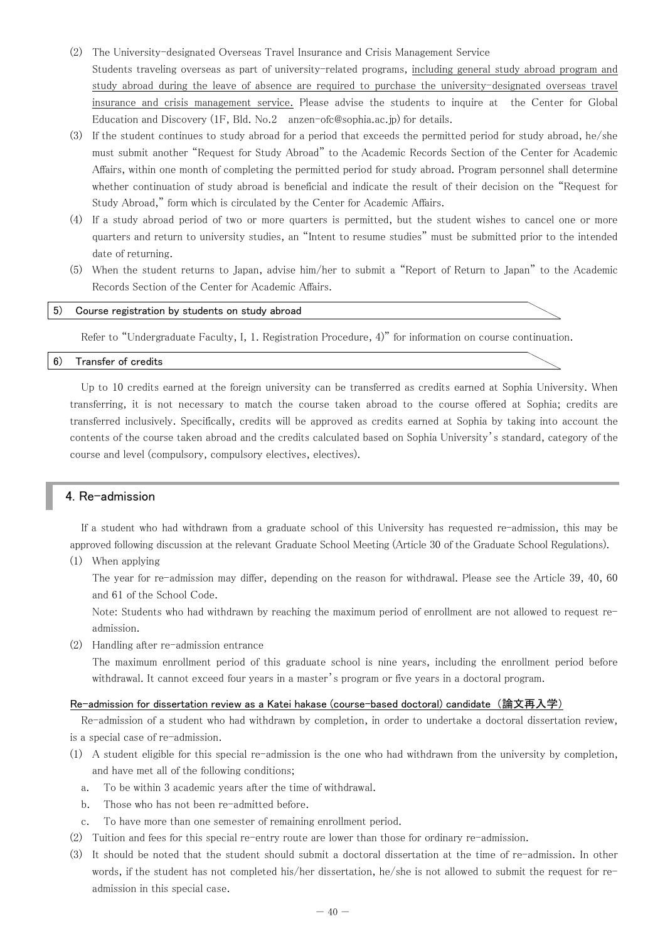- (2) The University-designated Overseas Travel Insurance and Crisis Management Service Students traveling overseas as part of university-related programs, including general study abroad program and study abroad during the leave of absence are required to purchase the university-designated overseas travel insurance and crisis management service. Please advise the students to inquire at the Center for Global Education and Discovery (1F, Bld. No.2 anzen-ofc@sophia.ac.jp) for details.
- (3) If the student continues to study abroad for a period that exceeds the permitted period for study abroad, he/she must submit another "Request for Study Abroad" to the Academic Records Section of the Center for Academic Affairs, within one month of completing the permitted period for study abroad. Program personnel shall determine whether continuation of study abroad is beneficial and indicate the result of their decision on the "Request for Study Abroad," form which is circulated by the Center for Academic Affairs.
- (4) If a study abroad period of two or more quarters is permitted, but the student wishes to cancel one or more quarters and return to university studies, an "Intent to resume studies" must be submitted prior to the intended date of returning.
- (5) When the student returns to Japan, advise him/her to submit a "Report of Return to Japan" to the Academic Records Section of the Center for Academic Affairs.

#### 5) Course registration by students on study abroad

Refer to "Undergraduate Faculty, I, 1. Registration Procedure, 4)" for information on course continuation.

#### 6) Transfer of credits

Up to 10 credits earned at the foreign university can be transferred as credits earned at Sophia University. When transferring, it is not necessary to match the course taken abroad to the course offered at Sophia; credits are transferred inclusively. Specifically, credits will be approved as credits earned at Sophia by taking into account the contents of the course taken abroad and the credits calculated based on Sophia University's standard, category of the course and level (compulsory, compulsory electives, electives).

# 4. Re-admission

If a student who had withdrawn from a graduate school of this University has requested re-admission, this may be approved following discussion at the relevant Graduate School Meeting (Article 30 of the Graduate School Regulations).

(1) When applying

The year for re-admission may differ, depending on the reason for withdrawal. Please see the Article 39, 40, 60 and 61 of the School Code.

Note: Students who had withdrawn by reaching the maximum period of enrollment are not allowed to request readmission.

(2) Handling after re-admission entrance

The maximum enrollment period of this graduate school is nine years, including the enrollment period before withdrawal. It cannot exceed four years in a master's program or five years in a doctoral program.

#### Re-admission for dissertation review as a Katei hakase (course-based doctoral) candidate (論文再入学)

Re-admission of a student who had withdrawn by completion, in order to undertake a doctoral dissertation review, is a special case of re-admission.

- (1) A student eligible for this special re-admission is the one who had withdrawn from the university by completion, and have met all of the following conditions;
	- a. To be within 3 academic years after the time of withdrawal.
	- b. Those who has not been re-admitted before.
	- c. To have more than one semester of remaining enrollment period.
- (2) Tuition and fees for this special re-entry route are lower than those for ordinary re-admission.
- (3) It should be noted that the student should submit a doctoral dissertation at the time of re-admission. In other words, if the student has not completed his/her dissertation, he/she is not allowed to submit the request for readmission in this special case.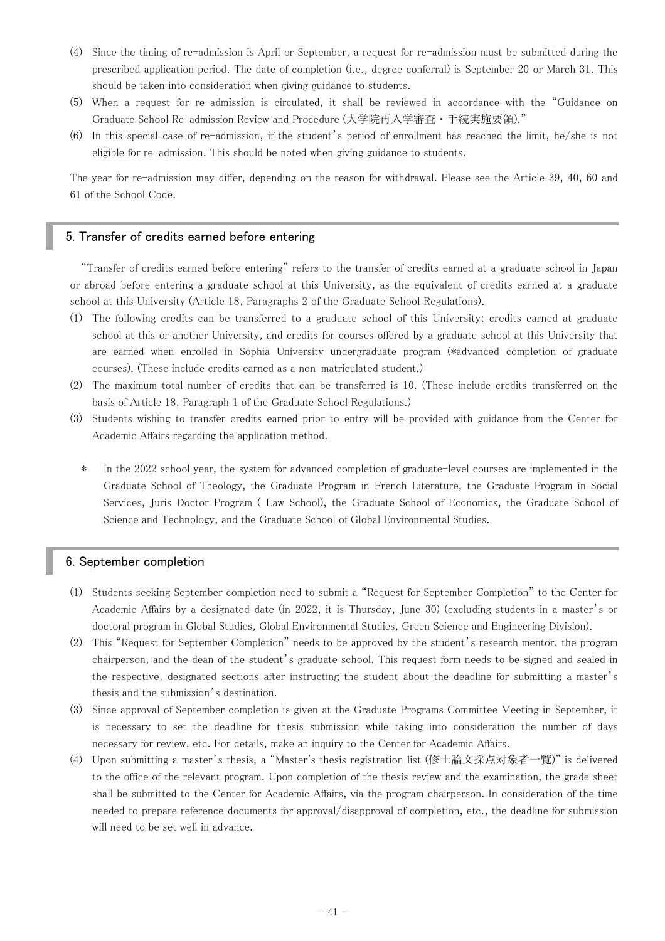- (4) Since the timing of re-admission is April or September, a request for re-admission must be submitted during the prescribed application period. The date of completion (i.e., degree conferral) is September 20 or March 31. This should be taken into consideration when giving guidance to students.
- (5) When a request for re-admission is circulated, it shall be reviewed in accordance with the "Guidance on Graduate School Re-admission Review and Procedure (大学院再入学審査・手続実施要領)."
- (6) In this special case of re-admission, if the student's period of enrollment has reached the limit, he/she is not eligible for re-admission. This should be noted when giving guidance to students.

The year for re-admission may differ, depending on the reason for withdrawal. Please see the Article 39, 40, 60 and 61 of the School Code.

# 5. Transfer of credits earned before entering

"Transfer of credits earned before entering" refers to the transfer of credits earned at a graduate school in Japan or abroad before entering a graduate school at this University, as the equivalent of credits earned at a graduate school at this University (Article 18, Paragraphs 2 of the Graduate School Regulations).

- (1) The following credits can be transferred to a graduate school of this University: credits earned at graduate school at this or another University, and credits for courses offered by a graduate school at this University that are earned when enrolled in Sophia University undergraduate program (\*advanced completion of graduate courses). (These include credits earned as a non-matriculated student.)
- (2) The maximum total number of credits that can be transferred is 10. (These include credits transferred on the basis of Article 18, Paragraph 1 of the Graduate School Regulations.)
- (3) Students wishing to transfer credits earned prior to entry will be provided with guidance from the Center for Academic Affairs regarding the application method.
	- \* In the 2022 school year, the system for advanced completion of graduate-level courses are implemented in the Graduate School of Theology, the Graduate Program in French Literature, the Graduate Program in Social Services, Juris Doctor Program ( Law School), the Graduate School of Economics, the Graduate School of Science and Technology, and the Graduate School of Global Environmental Studies.

#### 6. September completion

- (1) Students seeking September completion need to submit a "Request for September Completion" to the Center for Academic Affairs by a designated date (in 2022, it is Thursday, June 30) (excluding students in a master's or doctoral program in Global Studies, Global Environmental Studies, Green Science and Engineering Division).
- (2) This "Request for September Completion" needs to be approved by the student's research mentor, the program chairperson, and the dean of the student's graduate school. This request form needs to be signed and sealed in the respective, designated sections after instructing the student about the deadline for submitting a master's thesis and the submission's destination.
- (3) Since approval of September completion is given at the Graduate Programs Committee Meeting in September, it is necessary to set the deadline for thesis submission while taking into consideration the number of days necessary for review, etc. For details, make an inquiry to the Center for Academic Affairs.
- (4) Upon submitting a master's thesis, a "Master's thesis registration list (修士論文採点対象者一覧)" is delivered to the office of the relevant program. Upon completion of the thesis review and the examination, the grade sheet shall be submitted to the Center for Academic Affairs, via the program chairperson. In consideration of the time needed to prepare reference documents for approval/disapproval of completion, etc., the deadline for submission will need to be set well in advance.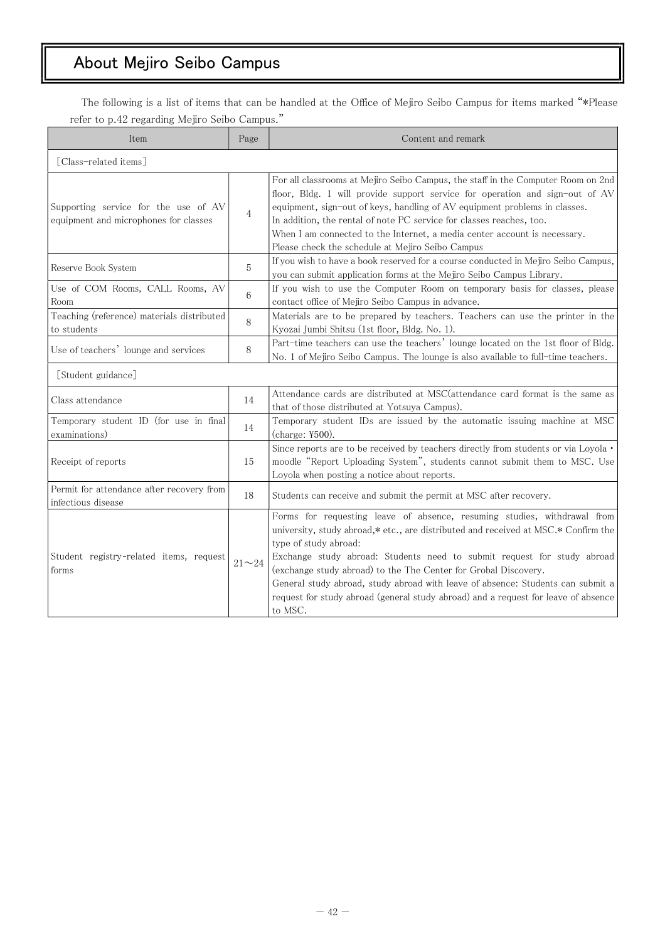# About Mejiro Seibo Campus

The following is a list of items that can be handled at the Office of Mejiro Seibo Campus for items marked "\*Please refer to p.42 regarding Mejiro Seibo Campus."

| Item                                                                          | Page           | Content and remark                                                                                                                                                                                                                                                                                                                                                                                                                                                                                                        |
|-------------------------------------------------------------------------------|----------------|---------------------------------------------------------------------------------------------------------------------------------------------------------------------------------------------------------------------------------------------------------------------------------------------------------------------------------------------------------------------------------------------------------------------------------------------------------------------------------------------------------------------------|
| [Class-related items]                                                         |                |                                                                                                                                                                                                                                                                                                                                                                                                                                                                                                                           |
| Supporting service for the use of AV<br>equipment and microphones for classes | $\overline{4}$ | For all classrooms at Mejiro Seibo Campus, the staff in the Computer Room on 2nd<br>floor, Bldg. 1 will provide support service for operation and sign-out of AV<br>equipment, sign-out of keys, handling of AV equipment problems in classes.<br>In addition, the rental of note PC service for classes reaches, too.<br>When I am connected to the Internet, a media center account is necessary.<br>Please check the schedule at Mejiro Seibo Campus                                                                   |
| Reserve Book System                                                           | 5              | If you wish to have a book reserved for a course conducted in Mejiro Seibo Campus,<br>you can submit application forms at the Mejiro Seibo Campus Library.                                                                                                                                                                                                                                                                                                                                                                |
| Use of COM Rooms, CALL Rooms, AV<br>Room                                      | 6              | If you wish to use the Computer Room on temporary basis for classes, please<br>contact office of Mejiro Seibo Campus in advance.                                                                                                                                                                                                                                                                                                                                                                                          |
| Teaching (reference) materials distributed<br>to students                     | 8              | Materials are to be prepared by teachers. Teachers can use the printer in the<br>Kyozai Jumbi Shitsu (1st floor, Bldg. No. 1).                                                                                                                                                                                                                                                                                                                                                                                            |
| Use of teachers' lounge and services                                          | 8              | Part-time teachers can use the teachers' lounge located on the 1st floor of Bldg.<br>No. 1 of Mejiro Seibo Campus. The lounge is also available to full-time teachers.                                                                                                                                                                                                                                                                                                                                                    |
| [Student guidance]                                                            |                |                                                                                                                                                                                                                                                                                                                                                                                                                                                                                                                           |
| Class attendance                                                              | 14             | Attendance cards are distributed at MSC (attendance card format is the same as<br>that of those distributed at Yotsuya Campus).                                                                                                                                                                                                                                                                                                                                                                                           |
| Temporary student ID (for use in final<br>examinations)                       | 14             | Temporary student IDs are issued by the automatic issuing machine at MSC<br>(charge: ¥500).                                                                                                                                                                                                                                                                                                                                                                                                                               |
| Receipt of reports                                                            | 15             | Since reports are to be received by teachers directly from students or via Loyola .<br>moodle "Report Uploading System", students cannot submit them to MSC. Use<br>Loyola when posting a notice about reports.                                                                                                                                                                                                                                                                                                           |
| Permit for attendance after recovery from<br>infectious disease               | 18             | Students can receive and submit the permit at MSC after recovery.                                                                                                                                                                                                                                                                                                                                                                                                                                                         |
| Student registry-related items, request<br>forms                              | $21 - 24$      | Forms for requesting leave of absence, resuming studies, withdrawal from<br>university, study abroad,* etc., are distributed and received at MSC.* Confirm the<br>type of study abroad:<br>Exchange study abroad: Students need to submit request for study abroad<br>(exchange study abroad) to the The Center for Grobal Discovery.<br>General study abroad, study abroad with leave of absence: Students can submit a<br>request for study abroad (general study abroad) and a request for leave of absence<br>to MSC. |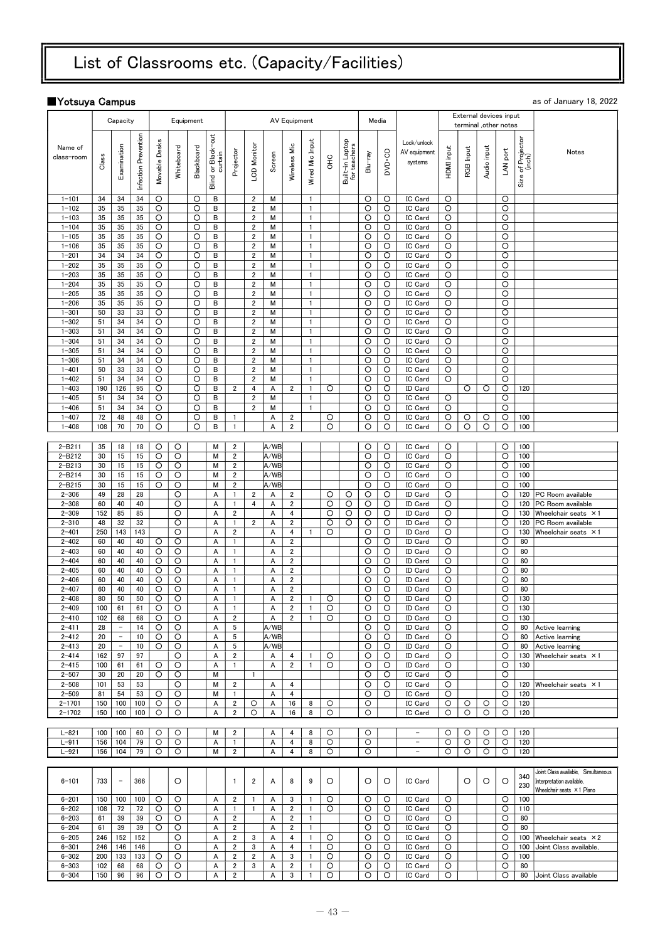# List of Classrooms etc. (Capacity/Facilities)

# ■Yotsuya Campus as of January 18, 2022

|                          |            | Capacity                       |                      |               |            | Equipment  |                    |                                            |                                  |              | <b>AV Equipment</b>              |                                |         |                                 |              | Media        |                           |                   |           | External devices input |              |                             |                                                       |
|--------------------------|------------|--------------------------------|----------------------|---------------|------------|------------|--------------------|--------------------------------------------|----------------------------------|--------------|----------------------------------|--------------------------------|---------|---------------------------------|--------------|--------------|---------------------------|-------------------|-----------|------------------------|--------------|-----------------------------|-------------------------------------------------------|
|                          |            |                                |                      |               |            |            |                    |                                            |                                  |              |                                  |                                |         |                                 |              |              |                           |                   |           | terminal ,other notes  |              |                             |                                                       |
|                          |            |                                | Infection Prevention |               |            |            | Blind or Black-out |                                            |                                  |              |                                  | Input                          |         | Built-in Laptop<br>for teachers |              |              | Lock/unlock               |                   |           |                        |              | Size of Projector<br>(inch) |                                                       |
| Name of<br>class-room    |            | Examination                    |                      | Movable Desks | Whiteboard | Blackboard |                    | Projector                                  | LCD Monitor                      |              | Wireless Mic                     |                                |         |                                 |              | DVD-CD       | AV equipment              | <b>HDMI</b> input | RGB Input | Audio input            | LAN port     |                             | Notes                                                 |
|                          | Class      |                                |                      |               |            |            | curtain            |                                            |                                  | Screen       |                                  |                                | ЭHО     |                                 | Blu-ray      |              | systems                   |                   |           |                        |              |                             |                                                       |
|                          |            |                                |                      |               |            |            |                    |                                            |                                  |              |                                  | Wired Mic                      |         |                                 |              |              |                           |                   |           |                        |              |                             |                                                       |
|                          |            |                                |                      |               |            |            |                    |                                            |                                  |              |                                  |                                |         |                                 |              |              |                           |                   |           |                        |              |                             |                                                       |
| $1 - 101$                | 34         | 34                             | 34                   | O             |            | O          | B                  |                                            | $\overline{2}$                   | М            |                                  | $\mathbf{1}$                   |         |                                 | O            | O            | IC Card                   | O                 |           |                        | O            |                             |                                                       |
| $1 - 102$                | 35         | 35                             | 35                   | $\circ$       |            | O          | В                  |                                            | $\overline{2}$                   | М            |                                  | $\mathbf{1}$                   |         |                                 | O            | O            | IC Card                   | O                 |           |                        | O            |                             |                                                       |
| $1 - 103$                | 35         | 35                             | 35                   | O             |            | O          | В                  |                                            | $\overline{2}$                   | М            |                                  | $\mathbf{1}$                   |         |                                 | O            | O            | IC Card                   | O                 |           |                        | O            |                             |                                                       |
| $1 - 104$                | 35         | 35                             | 35                   | O             |            | O          | В                  |                                            | $\overline{\mathbf{c}}$          | М            |                                  | $\mathbf{1}$<br>$\overline{1}$ |         |                                 | O            | O            | IC Card                   | O                 |           |                        | O            |                             |                                                       |
| $1 - 105$<br>$1 - 106$   | 35<br>35   | 35<br>35                       | 35<br>35             | O<br>O        |            | O<br>O     | в<br>в             |                                            | $\overline{2}$<br>$\overline{2}$ | М<br>М       |                                  | $\mathbf{1}$                   |         |                                 | O<br>O       | O<br>O       | IC Card<br>IC Card        | O<br>O            |           |                        | O<br>O       |                             |                                                       |
| $1 - 201$                | 34         | 34                             | 34                   | O             |            | O          | в                  |                                            | $\overline{2}$                   | М            |                                  | $\mathbf{1}$                   |         |                                 | $\circ$      | O            | IC Card                   | $\circ$           |           |                        | $\circ$      |                             |                                                       |
| $1 - 202$                | 35         | 35                             | 35                   | $\circ$       |            | O          | в                  |                                            | $\overline{2}$                   | М            |                                  | $\mathbf{1}$                   |         |                                 | O            | O            | IC Card                   | O                 |           |                        | O            |                             |                                                       |
| $1 - 203$                | 35         | 35                             | 35                   | O             |            | O          | в                  |                                            | $\overline{\mathbf{2}}$          | М            |                                  | $\mathbf{1}$                   |         |                                 | O            | O            | IC Card                   | O                 |           |                        | O            |                             |                                                       |
| $1 - 204$                | 35         | 35                             | 35                   | O             |            | O          | В                  |                                            | $\overline{2}$                   | М            |                                  |                                |         |                                 | O            | O            | IC Card                   | O                 |           |                        | O            |                             |                                                       |
| $1 - 205$                | 35         | 35                             | 35                   | O             |            | O          | в                  |                                            | $\overline{2}$                   | M            |                                  | $\mathbf{1}$                   |         |                                 | O            | O            | IC Card                   | O                 |           |                        | O            |                             |                                                       |
| $1 - 206$                | 35         | 35                             | 35                   | O             |            | O          | в                  |                                            | $\overline{2}$                   | М            |                                  | $\mathbf{1}$                   |         |                                 | O            | O            | IC Card                   | O                 |           |                        | O            |                             |                                                       |
| $1 - 301$                | 50         | 33                             | 33                   | O             |            | O          | В                  |                                            | $\overline{\mathbf{2}}$          | м            |                                  | $\mathbf{1}$                   |         |                                 | O            | O            | IC Card                   | O                 |           |                        | O            |                             |                                                       |
| $1 - 302$                | 51         | 34                             | 34                   | O             |            | O          | в                  |                                            | $\overline{2}$                   | М            |                                  | $\mathbf{1}$                   |         |                                 | O            | O            | IC Card                   | O                 |           |                        | O            |                             |                                                       |
| $1 - 303$                | 51         | 34                             | 34                   | O             |            | O          | в                  |                                            | $\overline{\mathbf{2}}$          | М            |                                  | -1                             |         |                                 | O            | O            | IC Card                   | O                 |           |                        | O            |                             |                                                       |
| $1 - 304$                | 51<br>51   | 34<br>34                       | 34<br>34             | O<br>O        |            | O<br>O     | В<br>в             |                                            | $\overline{2}$<br>$\overline{2}$ | M<br>М       |                                  | $\overline{1}$<br>$\mathbf{1}$ |         |                                 | O<br>O       | O<br>O       | IC Card<br>IC Card        | O<br>O            |           |                        | O<br>O       |                             |                                                       |
| $1 - 305$<br>$1 - 306$   | 51         | 34                             | 34                   | O             |            | O          | в                  |                                            | $\overline{2}$                   | М            |                                  | $\mathbf{1}$                   |         |                                 | O            | O            | IC Card                   | O                 |           |                        | O            |                             |                                                       |
| $1 - 401$                | 50         | 33                             | 33                   | O             |            | O          | В                  |                                            | $\overline{\mathbf{2}}$          | м            |                                  | $\mathbf{1}$                   |         |                                 | $\circ$      | $\circ$      | IC Card                   | O                 |           |                        | O            |                             |                                                       |
| $1 - 402$                | 51         | 34                             | 34                   | O             |            | O          | В                  |                                            | $\overline{2}$                   | М            |                                  | $\mathbf{1}$                   |         |                                 | O            | O            | IC Card                   | O                 |           |                        | O            |                             |                                                       |
| $1 - 403$                | 190        | 126                            | 95                   | O             |            | O          | В                  | $\overline{2}$                             | 4                                | Α            | 2                                | $\mathbf{1}$                   | O       |                                 | O            | O            | ID Card                   |                   | O         | O                      | O            | 120                         |                                                       |
| $1 - 405$                | 51         | 34                             | 34                   | O             |            | O          | в                  |                                            | $\overline{2}$                   | М            |                                  | $\mathbf{1}$                   |         |                                 | O            | O            | IC Card                   | O                 |           |                        | O            |                             |                                                       |
| $1 - 406$                | 51         | 34                             | 34                   | O             |            | O          | В                  |                                            | $\overline{2}$                   | M            |                                  | $\mathbf{1}$                   |         |                                 | O            | O            | IC Card                   | O                 |           |                        | O            |                             |                                                       |
| $1 - 407$                | 72         | 48                             | 48                   | O             |            | O          | в                  | 1                                          |                                  | A            | $\overline{\mathbf{2}}$          |                                | O       |                                 | O            | O            | IC Card                   | O                 | O         | O                      | O            | 100                         |                                                       |
| $1 - 408$                | 108        | 70                             | 70                   | O             |            | O          | B                  | $\mathbf{1}$                               |                                  | A            | $\overline{2}$                   |                                | O       |                                 | O            | O            | IC Card                   | $\circ$           | O         | O                      | O            | 100                         |                                                       |
|                          |            |                                |                      |               |            |            |                    |                                            |                                  |              |                                  |                                |         |                                 |              |              |                           |                   |           |                        |              |                             |                                                       |
| $2 - B211$               | 35         | 18                             | 18                   | $\circ$       | O          |            | М                  | $\overline{\mathbf{c}}$                    |                                  | A/WB         |                                  |                                |         |                                 | O            | O            | IC Card                   | $\circ$           |           |                        | O            | 100                         |                                                       |
| $2 - B212$<br>$2 - B213$ | 30<br>30   | 15<br>15                       | 15<br>15             | $\circ$<br>O  | O<br>O     |            | М<br>м             | $\overline{2}$<br>$\overline{2}$           |                                  | A/WB<br>A/WB |                                  |                                |         |                                 | $\circ$<br>O | $\circ$<br>O | IC Card<br>IC Card        | O<br>O            |           |                        | $\circ$<br>O | 100<br>100                  |                                                       |
| $2 - B214$               | 30         | 15                             | 15                   | O             | O          |            | М                  | $\overline{\mathbf{c}}$                    |                                  | A/WB         |                                  |                                |         |                                 | O            | O            | IC Card                   | O                 |           |                        | O            | 100                         |                                                       |
| $2 - B215$               | 30         | 15                             | 15                   | O             | O          |            | м                  | $\overline{2}$                             |                                  | A/WB         |                                  |                                |         |                                 | O            | O            | IC Card                   | O                 |           |                        | O            | 100                         |                                                       |
| $2 - 306$                | 49         | 28                             | 28                   |               | O          |            | A                  | $\mathbf{1}$                               | $\overline{2}$                   | Α            | $\overline{2}$                   |                                | O       | O                               | O            | O            | ID Card                   | O                 |           |                        | O            | 120                         | PC Room available                                     |
| $2 - 308$                | 60         | 40                             | 40                   |               | O          |            | A                  | $\mathbf{1}$                               | $\overline{4}$                   | Α            | $\overline{2}$                   |                                | O       | O                               | $\circ$      | O            | <b>ID Card</b>            | $\circ$           |           |                        | $\circ$      | 120                         | PC Room available                                     |
| $2 - 309$                | 152        | 85                             | 85                   |               | O          |            | A                  | $\overline{2}$                             |                                  | А            | 4                                |                                | O       | O                               | O            | O            | <b>ID Card</b>            | O                 |           |                        | O            | 130                         | Wheelchair seats ×1                                   |
| $2 - 310$                | 48         | 32                             | 32                   |               | O          |            | Α                  | 1                                          | $\overline{2}$                   | Α            | $\overline{2}$                   |                                | O       | O                               | O            | O            | ID Card                   | O                 |           |                        | O            | 120                         | PC Room available                                     |
| $2 - 401$                | 250        | 143                            | 143                  |               | O          |            | А                  | $\overline{\mathbf{c}}$                    |                                  | A            | 4                                |                                | O       |                                 | O            | O            | <b>ID Card</b>            | O                 |           |                        | O            | 130                         | Wheelchair seats × 1                                  |
| $2 - 402$                | 60         | 40                             | 40                   | O             | O          |            | A                  | $\mathbf{1}$                               |                                  | A            | $\overline{2}$                   |                                |         |                                 | O            | O            | ID Card                   | O                 |           |                        | O            | 80                          |                                                       |
| $2 - 403$<br>$2 - 404$   | 60<br>60   | 40<br>40                       | 40<br>40             | O<br>O        | O<br>O     |            | A<br>Α             | $\mathbf{1}$<br>1                          |                                  | A<br>Α       | $\overline{2}$<br>$\overline{2}$ |                                |         |                                 | O<br>O       | O<br>O       | ID Card<br><b>ID Card</b> | O<br>O            |           |                        | O<br>O       | 80<br>80                    |                                                       |
| $2 - 405$                | 60         | 40                             | 40                   | $\circ$       | O          |            | А                  | $\mathbf{1}$                               |                                  | A            | $\overline{2}$                   |                                |         |                                 | O            | O            | <b>ID Card</b>            | O                 |           |                        | O            | 80                          |                                                       |
| $2 - 406$                | 60         | 40                             | 40                   | O             | O          |            | А                  | 1                                          |                                  | Α            | $\overline{2}$                   |                                |         |                                 | O            | O            | ID Card                   | O                 |           |                        | O            | 80                          |                                                       |
| $2 - 407$                | 60         | 40                             | 40                   | O             | O          |            | A                  |                                            |                                  | A            | $\sqrt{2}$                       |                                |         |                                 | O            | O            | ID Card                   | O                 |           |                        | O            | 80                          |                                                       |
| $2 - 408$                | 80         | 50                             | 50                   | O             | O          |            | A                  | 1                                          |                                  | A            | $\overline{2}$                   | $\mathbf{1}$                   | O       |                                 | O            | O            | ID Card                   | O                 |           |                        | O            | 130                         |                                                       |
| $2 - 409$                | 100        | 61                             | 61                   | $\circ$       | O          |            | A                  | $\mathbf{1}$                               |                                  | A            | $\overline{2}$                   | $\mathbf{1}$                   | $\circ$ |                                 | $\circ$      | O            | <b>ID Card</b>            | O                 |           |                        | O            | 130                         |                                                       |
| $2 - 410$                | 102        | 68                             | 68                   | O             | O          |            | Α                  | $\overline{2}$                             |                                  | Α            | 2                                | $\mathbf{1}$                   | O       |                                 | O            | O            | <b>ID Card</b>            | O                 |           |                        | O            | 130                         |                                                       |
| $2 - 411$                | 28         | $\overline{\phantom{a}}$       | 14                   | O             | O          |            | А                  | 5                                          |                                  | A/WB         |                                  |                                |         |                                 | O            | O            | ID Card                   | O                 |           |                        | O            | 80                          | Active learning                                       |
| $2 - 412$                | 20         | $\overline{\phantom{a}}$       | 10                   | $\circ$       | O          |            | Α                  | 5                                          |                                  | A/WB         |                                  |                                |         |                                 | O            | O            | <b>ID</b> Card            | O                 |           |                        | O            | 80                          | Active learning                                       |
| $2 - 413$<br>$2 - 414$   | 20<br>162  | $\overline{\phantom{a}}$<br>97 | 10<br>97             | O             | O<br>O     |            | А<br>A             | $5\phantom{.0}$<br>$\overline{\mathbf{c}}$ |                                  | A/WB<br>А    | 4                                | $\mathbf{1}$                   | O       |                                 | O<br>O       | O<br>O       | <b>ID Card</b><br>ID Card | O<br>O            |           |                        | O<br>O       | 80<br>130                   | Active learning                                       |
| $2 - 415$                | 100        | 61                             | 61                   | O             | O          |            | Α                  | $\mathbf{1}$                               |                                  | А            | $\overline{2}$                   | $\mathbf{1}$                   | O       |                                 | O            | O            | <b>ID</b> Card            | O                 |           |                        | O            | 130                         | Wheelchair seats × 1                                  |
| $2 - 507$                | 30         | 20                             | 20                   | O             | O          |            | М                  |                                            | $\mathbf{1}$                     |              |                                  |                                |         |                                 | O            | O            | <b>IC Card</b>            | O                 |           |                        | O            |                             |                                                       |
| $2 - 508$                | 101        | 53                             | 53                   |               | O          |            | М                  | $\overline{2}$                             |                                  | Α            | 4                                |                                |         |                                 | O            | O            | IC Card                   | O                 |           |                        | O            | 120                         | Wheelchair seats × 1                                  |
| $2 - 509$                | 81         | 54                             | 53                   | O             | O          |            | м                  | $\mathbf{1}$                               |                                  | Α            | 4                                |                                |         |                                 | O            | O            | <b>IC Card</b>            | O                 |           |                        | O            | 120                         |                                                       |
| $2 - 1701$               | 150        | 100                            | 100                  | O             | О          |            | Α                  | 2                                          | O                                | Α            | 16                               | 8                              | O       |                                 | O            |              | IC Card                   | O                 | O         | O                      | O            | 120                         |                                                       |
| $2 - 1702$               | 150        | 100                            | 100                  | O             | O          |            | А                  | $\overline{2}$                             | O                                | Α            | 16                               | 8                              | O       |                                 | O            |              | IC Card                   | O                 | O         | O                      | O            | 120                         |                                                       |
|                          |            |                                |                      |               |            |            |                    |                                            |                                  |              |                                  |                                |         |                                 |              |              |                           |                   |           |                        |              |                             |                                                       |
| $L - 821$                | 100        | 100<br>104                     | 60                   | $\circ$       | O          |            | М                  | 2                                          |                                  | Α            | 4                                | 8                              | O       |                                 | O            |              | $\qquad \qquad -$         | O                 | O         | O                      | $\circ$      | 120                         |                                                       |
| $L - 911$<br>$L - 921$   | 156<br>156 | 104                            | 79<br>79             | O<br>O        | O<br>O     |            | Α<br>М             | $\mathbf{1}$<br>$\overline{\mathbf{c}}$    |                                  | Α<br>Α       | 4<br>4                           | 8<br>8                         | O<br>O  |                                 | O<br>O       |              | $\overline{\phantom{0}}$  | O<br>O            | O<br>O    | O<br>$\circ$           | O<br>O       | 120<br>120                  |                                                       |
|                          |            |                                |                      |               |            |            |                    |                                            |                                  |              |                                  |                                |         |                                 |              |              |                           |                   |           |                        |              |                             |                                                       |
|                          |            |                                |                      |               |            |            |                    |                                            |                                  |              |                                  |                                |         |                                 |              |              |                           |                   |           |                        |              |                             | Joint Class available, Simultaneous                   |
| $6 - 101$                | 733        | $\qquad \qquad -$              | 366                  |               | O          |            |                    | $\mathbf{1}$                               | $\overline{2}$                   | A            | 8                                | 9                              | O       |                                 | O            | $\circ$      | IC Card                   |                   | O         | O                      | O            | 340                         | Interpretation available,                             |
|                          |            |                                |                      |               |            |            |                    |                                            |                                  |              |                                  |                                |         |                                 |              |              |                           |                   |           |                        |              | 230                         | Wheelchair seats × 1 Piano                            |
| $6 - 201$                | 150        | 100                            | 100                  | O             | O          |            | Α                  | 2                                          | $\mathbf{1}$                     | Α            | 3                                | 1                              | O       |                                 | O            | O            | IC Card                   | O                 |           |                        | O            | 100                         |                                                       |
| $6 - 202$                | 108        | 72                             | 72                   | O             | O          |            | Α                  | 1                                          | $\mathbf{1}$                     | Α            | $\overline{2}$                   | $\mathbf{1}$                   | O       |                                 | O            | O            | <b>IC Card</b>            | O                 |           |                        | O            | 110                         |                                                       |
| $6 - 203$                | 61         | 39                             | 39                   | O             | O          |            | Α                  | $\overline{2}$                             |                                  | Α            | $\overline{2}$                   | 1                              |         |                                 | O            | O            | IC Card                   | O                 |           |                        | O            | 80                          |                                                       |
| $6 - 204$<br>$6 - 205$   | 61<br>246  | 39<br>152                      | 39                   | O             | O<br>O     |            | Α<br>Α             | $\overline{2}$                             | 3                                | Α            | 2<br>4                           | 1<br>$\mathbf{1}$              | O       |                                 | O            | O            | IC Card                   | O<br>O            |           |                        | O<br>O       | 80<br>100                   |                                                       |
| $6 - 301$                | 246        | 146                            | 152<br>146           |               | O          |            | Α                  | $\overline{2}$<br>$\overline{2}$           | 3                                | Α<br>Α       | 4                                | $\mathbf{1}$                   | O       |                                 | O<br>O       | O<br>O       | IC Card<br>IC Card        | O                 |           |                        | O            | 100                         | Wheelchair seats $\times 2$<br>Joint Class available, |
| $6 - 302$                | 200        | 133                            | 133                  | O             | O          |            | Α                  | $\overline{\mathbf{c}}$                    | $\overline{\mathbf{2}}$          | Α            | 3                                | 1                              | O       |                                 | O            | O            | IC Card                   | O                 |           |                        | O            | 100                         |                                                       |
| $6 - 303$                | 102        | 68                             | 68                   | O             | O          |            | Α                  | $\overline{2}$                             | 3                                | Α            | $\overline{2}$                   | 1                              | O       |                                 | O            | O            | <b>IC Card</b>            | O                 |           |                        | O            | 80                          |                                                       |
| $6 - 304$                | 150        | 96                             | 96                   | O             | O          |            | Α                  | 2                                          |                                  | Α            | 3                                | 1                              | O       |                                 | O            | O            | IC Card                   | O                 |           |                        | O            | 80                          | Joint Class available                                 |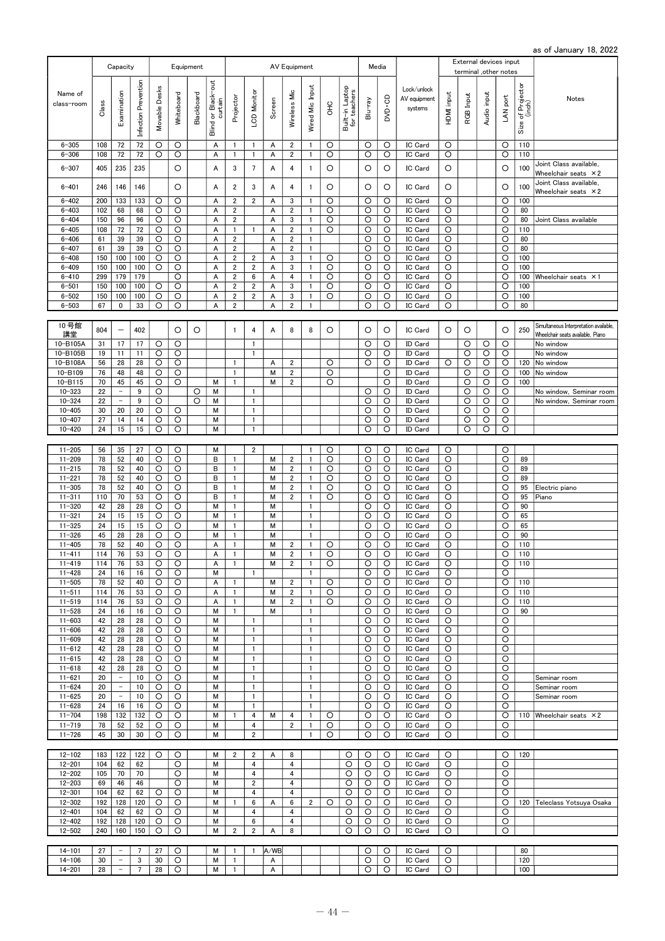as of January 18, 2022

|                       |       |                          |                      |               |            |            |                               |                         |                         |        |                         |                 |             |                                 |         |         |                                        |            |           | External devices input |                    |                             |                                        |
|-----------------------|-------|--------------------------|----------------------|---------------|------------|------------|-------------------------------|-------------------------|-------------------------|--------|-------------------------|-----------------|-------------|---------------------------------|---------|---------|----------------------------------------|------------|-----------|------------------------|--------------------|-----------------------------|----------------------------------------|
|                       |       | Capacity                 |                      |               |            | Equipment  |                               |                         |                         |        | AV Equipment            |                 |             |                                 |         | Media   |                                        |            |           | terminal ,other notes  |                    |                             |                                        |
| Name of<br>class-room | Class | Examination              | Infection Prevention | Movable Desks | Whiteboard | Blackboard | Blind or Black-out<br>curtain | Projector               | LCD Monitor             | Screen | Wireless Mic            | Wired Mic Input | $rac{C}{C}$ | Built-in Laptop<br>for teachers | Blu-ray | ap-co   | Lock/unlock<br>AV equipment<br>systems | HDMI input | RGB Input | Audio input            | LAN port           | Size of Projector<br>(inch) | Notes                                  |
| $6 - 305$             | 108   | 72                       | 72                   | O             | O          |            | A                             | $\mathbf{1}$            | 1                       | Α      | $\overline{2}$          | 1               | O           |                                 | O       | O       | IC Card                                | O          |           |                        | O                  | 110                         |                                        |
| $6 - 306$             | 108   | 72                       | 72                   | O             | O          |            | Α                             | $\mathbf{1}$            | $\mathbf{1}$            | А      | $\overline{2}$          | 1               | O           |                                 | O       | O       | IC Card                                | O          |           |                        | O                  | 110                         |                                        |
| $6 - 307$             | 405   | 235                      | 235                  |               | O          |            | Α                             | 3                       | $\overline{7}$          | Α      | 4                       | 1               | O           |                                 | O       | O       | IC Card                                | O          |           |                        | O                  | 100                         | Joint Class available.                 |
|                       |       |                          |                      |               |            |            |                               |                         |                         |        |                         |                 |             |                                 |         |         |                                        |            |           |                        |                    |                             | Wheelchair seats $\times 2$            |
| $6 - 401$             | 246   | 146                      | 146                  |               | O          |            | Α                             | $\overline{\mathbf{c}}$ | 3                       | Α      | 4                       | 1               | O           |                                 | O       | O       | IC Card                                | O          |           |                        | O                  | 100                         | Joint Class available,                 |
|                       |       |                          |                      |               |            |            |                               |                         |                         |        |                         |                 |             |                                 |         |         |                                        |            |           |                        |                    |                             | Wheelchair seats $\times 2$            |
| $6 - 402$             | 200   | 133                      | 133                  | O             | O          |            | A                             | $\overline{2}$          | $\overline{2}$          | Α      | 3                       | 1               | O           |                                 | O       | O       | IC Card                                | O          |           |                        | O                  | 100                         |                                        |
| $6 - 403$             | 102   | 68                       | 68                   | O             | O          |            | Α                             | $\overline{\mathbf{c}}$ |                         | Α      | $\overline{\mathbf{2}}$ | $\mathbf{1}$    | O           |                                 | O       | O       | IC Card                                | O          |           |                        | O                  | 80                          |                                        |
| $6 - 404$             | 150   | 96                       | 96                   | O             | O          |            | Α                             | $\overline{\mathbf{c}}$ |                         | Α      | 3                       | 1               | O           |                                 | O       | O       | IC Card                                | O          |           |                        | O                  | 80                          | Joint Class available                  |
| $6 - 405$             | 108   | 72                       | 72                   | $\circ$       | O          |            | Α                             | $\mathbf{1}$            | $\mathbf{1}$            | A      | $\overline{2}$          | $\mathbf{1}$    | O           |                                 | O       | O       | IC Card                                | O          |           |                        | O                  | 110                         |                                        |
| $6 - 406$             | 61    | 39                       | 39                   | O             | O          |            | A                             | $\boldsymbol{2}$        |                         | A      | $\overline{2}$          | $\mathbf{1}$    |             |                                 | $\circ$ | O       | IC Card                                | O          |           |                        | $\circ$            | 80                          |                                        |
| $6 - 407$             | 61    | 39                       | 39                   | O             | O          |            | Α                             | $\overline{2}$          |                         | Α      | $\overline{2}$          | $\mathbf{1}$    |             |                                 | O       | O       | IC Card                                | O          |           |                        | O                  | 80                          |                                        |
| $6 - 408$             | 150   | 100                      | 100                  | $\circ$       | O          |            | A                             | $\overline{2}$          | $\overline{\mathbf{c}}$ | A      | 3                       | $\mathbf{1}$    | O           |                                 | O       | O       | IC Card                                | O          |           |                        | O                  | 100                         |                                        |
| $6 - 409$             | 150   | 100                      | 100                  | $\circ$       | O          |            | A                             | $\boldsymbol{2}$        | $\sqrt{2}$              | Α      | 3                       | $\mathbf{1}$    | O           |                                 | O       | $\circ$ | IC Card                                | O          |           |                        | O                  | 100                         |                                        |
| $6 - 410$             | 299   | 179                      | 179                  |               | O          |            | Α                             | 2                       | 6                       | А      | 4                       | 1               | O           |                                 | O       | O       | IC Card                                | O          |           |                        | O                  | 100                         | Wheelchair seats × 1                   |
| $6 - 501$             | 150   | 100                      | 100                  | O             | O          |            | A                             | $\overline{2}$          | $\overline{2}$          | A      | 3                       | 1               | $\circ$     |                                 | $\circ$ | O       | IC Card                                | $\circ$    |           |                        | $\overline{\circ}$ | 100                         |                                        |
| $6 - 502$             | 150   | 100                      | 100                  | O             | O          |            | A                             | $\overline{\mathbf{c}}$ | $\overline{2}$          | Α      | 3                       | 1               | O           |                                 | O       | O       | IC Card                                | O          |           |                        | O                  | 100                         |                                        |
| $6 - 503$             | 67    | 0                        | 33                   | O             | O          |            | A                             | $\overline{2}$          |                         | A      | $\overline{2}$          | $\mathbf{1}$    |             |                                 | $\circ$ | O       | IC Card                                | O          |           |                        | $\circ$            | 80                          |                                        |
|                       |       |                          |                      |               |            |            |                               |                         |                         |        |                         |                 |             |                                 |         |         |                                        |            |           |                        |                    |                             |                                        |
| 10号館                  |       |                          |                      |               |            |            |                               |                         |                         |        |                         |                 |             |                                 |         |         |                                        |            |           |                        |                    |                             | Simultaneous Interpretation available, |
| 講堂                    | 804   | -                        | 402                  |               | O          | $\circ$    |                               | 1                       | 4                       | А      | 8                       | 8               | O           |                                 | O       | $\circ$ | IC Card                                | O          | O         |                        | O                  | 250                         | Wheelchair seats available, Piano      |
| 10-B105A              | 31    | 17                       | 17                   | O             | O          |            |                               |                         | $\mathbf{1}$            |        |                         |                 |             |                                 | O       | O       | <b>ID Card</b>                         |            | O         | O                      | O                  |                             | No window                              |
| 10-B105B              | 19    | 11                       | 11                   | $\circ$       | O          |            |                               |                         | $\mathbf{1}$            |        |                         |                 |             |                                 | $\circ$ | O       | ID Card                                |            | O         | $\circ$                | O                  |                             | No window                              |
| 10-B108A              | 56    | 28                       | 28                   | O             | O          |            |                               | 1                       |                         | Α      | $\overline{2}$          |                 | O           |                                 | O       | O       | ID Card                                | O          | O         | O                      | O                  | 120                         | No window                              |
| 10-B109               | 76    | 48                       | 48                   | O             | O          |            |                               | $\mathbf{1}$            |                         | M      | $\overline{2}$          |                 | O           |                                 |         | O       | ID Card                                |            | O         | O                      | O                  | 100                         | No window                              |
| 10-B115               | 70    | 45                       | 45                   | O             | O          |            | M                             | $\mathbf{1}$            |                         | М      | $\overline{2}$          |                 | O           |                                 |         | O       | ID Card                                |            | O         | O                      | O                  | 100                         |                                        |
|                       |       | $\overline{\phantom{a}}$ | 9                    |               |            |            |                               |                         | $\mathbf{1}$            |        |                         |                 |             |                                 |         |         | ID Card                                |            |           |                        |                    |                             |                                        |
| $10 - 323$            | 22    |                          |                      | O             |            | O          | М                             |                         |                         |        |                         |                 |             |                                 | O       | O       |                                        |            | O         | O                      | O                  |                             | No window, Seminar room                |
| $10 - 324$            | 22    | $\overline{\phantom{a}}$ | 9                    | $\circ$       |            | $\circ$    | М                             |                         | $\mathbf{1}$            |        |                         |                 |             |                                 | O       | O       | ID Card                                |            | O         | O                      | O                  |                             | No window, Seminar room                |
| $10 - 405$            | 30    | 20                       | 20                   | O             | O          |            | M                             |                         | $\mathbf{1}$            |        |                         |                 |             |                                 | O       | O       | <b>ID Card</b>                         |            | O         | O                      | O                  |                             |                                        |
| $10 - 407$            | 27    | 14                       | 14                   | O             | O          |            | М                             |                         | $\mathbf{1}$            |        |                         |                 |             |                                 | O       | O       | ID Card                                |            | O         | O                      | O                  |                             |                                        |
| $10 - 420$            | 24    | 15                       | 15                   | O             | O          |            | М                             |                         | $\mathbf{1}$            |        |                         |                 |             |                                 | O       | O       | ID Card                                |            | O         | O                      | O                  |                             |                                        |
|                       |       |                          |                      |               |            |            |                               |                         |                         |        |                         |                 |             |                                 |         |         |                                        |            |           |                        |                    |                             |                                        |
| $11 - 205$            | 56    | 35                       | 27                   | O             | O          |            | М                             |                         | $\overline{2}$          |        |                         | $\mathbf{1}$    | O           |                                 | $\circ$ | O       | IC Card                                | O          |           |                        | $\circ$            |                             |                                        |
| $11 - 209$            | 78    | 52                       | 40                   | O             | O          |            | B                             | $\mathbf{1}$            |                         | М      | $\overline{2}$          | 1               | O           |                                 | O       | O       | IC Card                                | O          |           |                        | O                  | 89                          |                                        |
| $11 - 215$            | 78    | 52                       | 40                   | $\circ$       | O          |            | B                             | $\mathbf{1}$            |                         | М      | $\overline{\mathbf{c}}$ | $\mathbf{1}$    | O           |                                 | O       | O       | IC Card                                | O          |           |                        | O                  | 89                          |                                        |
| $11 - 221$            | 78    | 52                       | 40                   | O             | O          |            | B                             | $\mathbf{1}$            |                         | M      | $\overline{2}$          | 1               | O           |                                 | O       | O       | IC Card                                | O          |           |                        | O                  | 89                          |                                        |
| $11 - 305$            | 78    | 52                       | 40                   | $\circ$       | O          |            | B                             | $\mathbf{1}$            |                         | M      | $\overline{2}$          | $\mathbf{1}$    | $\circ$     |                                 | O       | O       | IC Card                                | $\circ$    |           |                        | O                  | 95                          | Electric piano                         |
| $11 - 311$            | 110   | 70                       | 53                   | O             | O          |            | В                             | $\mathbf{1}$            |                         | М      | $\overline{2}$          | 1               | O           |                                 | O       | O       | IC Card                                | O          |           |                        | O                  | 95                          | Piano                                  |
| $11 - 320$            | 42    | 28                       | 28                   | O             | O          |            | M                             | $\mathbf{1}$            |                         | M      |                         | $\mathbf{1}$    |             |                                 | O       | O       | IC Card                                | O          |           |                        | O                  | 90                          |                                        |
| $11 - 321$            | 24    | 15                       | 15                   | O             | O          |            | M                             | $\mathbf{1}$            |                         | M      |                         | $\mathbf{1}$    |             |                                 | O       | O       | IC Card                                | O          |           |                        | O                  | 65                          |                                        |
| $11 - 325$            | 24    | 15                       | 15                   | O             | O          |            | M                             | $\mathbf{1}$            |                         | М      |                         | $\mathbf{1}$    |             |                                 | O       | O       | IC Card                                | O          |           |                        | O                  | 65                          |                                        |
| $11 - 326$            | 45    | 28                       | 28                   | $\circ$       | O          |            | M                             | $\mathbf{1}$            |                         | M      |                         | 1               |             |                                 | O       | O       | IC Card                                | O          |           |                        | $\circ$            | 90                          |                                        |
| $11 - 405$            | 78    | 52                       | 40                   | O             | O          |            | A                             | 1                       |                         | M      | $\overline{\mathbf{c}}$ | $\mathbf{1}$    | O           |                                 | O       | O       | IC Card                                | O          |           |                        | O                  | 110                         |                                        |
| $11 - 411$            | 114   | 76                       | 53                   | $\circ$       | O          |            | A                             | $\mathbf{1}$            |                         | М      | $\overline{2}$          | 1               | $\circ$     |                                 | $\circ$ | $\circ$ | IC Card                                | $\circ$    |           |                        | $\circ$            | 110                         |                                        |
| $11 - 419$            | 114   | 76                       | 53                   | O             | O          |            | Α                             | $\mathbf{1}$            |                         | М      | $\overline{2}$          | 1               | O           |                                 | O       | O       | IC Card                                | O          |           |                        | O                  | 110                         |                                        |
| $11 - 428$            | 24    | 16                       | 16                   | O             | O          |            | М                             |                         | $\mathbf{1}$            |        |                         | $\mathbf{1}$    |             |                                 | O       | O       | IC Card                                | O          |           |                        | O                  |                             |                                        |
| $11 - 505$            | 78    | 52                       | 40                   | O             | O          |            | Α                             | $\mathbf{1}$            |                         | М      | $\overline{\mathbf{c}}$ | $\mathbf{1}$    | O           |                                 | O       | O       | IC Card                                | O          |           |                        | O                  | 110                         |                                        |
| $11 - 511$            | 114   | 76                       | 53                   | $\circ$       | $\circ$    |            | Α                             | 1                       |                         | М      | $\overline{\mathbf{c}}$ | 1               | O           |                                 | O       | O       | IC Card                                | O          |           |                        | O                  | 110                         |                                        |
| $11 - 519$            | 114   | 76                       | 53                   | O             | O          |            | A                             | $\mathbf{1}$            |                         | М      | $\overline{2}$          | 1               | O           |                                 | O       | O       | IC Card                                | O          |           |                        | O                  | 110                         |                                        |
| $11 - 528$            | 24    | 16                       | 16                   | $\circ$       | O          |            | М                             | $\mathbf{1}$            |                         | М      |                         | 1               |             |                                 | O       | O       | IC Card                                | O          |           |                        | O                  | 90                          |                                        |
| $11 - 603$            | 42    | 28                       | 28                   | O             | O          |            | М                             |                         | $\mathbf{1}$            |        |                         | $\mathbf{1}$    |             |                                 | O       | O       | IC Card                                | O          |           |                        | O                  |                             |                                        |
| $11 - 606$            | 42    | 28                       | 28                   | O             | O          |            | М                             |                         | $\mathbf{1}$            |        |                         | 1               |             |                                 | O       | O       | IC Card                                | O          |           |                        | O                  |                             |                                        |
| $11 - 609$            | 42    | 28                       | 28                   | $\circ$       | $\circ$    |            | M                             |                         | $\mathbf{1}$            |        |                         | $\mathbf{1}$    |             |                                 | O       | O       | IC Card                                | O          |           |                        | O                  |                             |                                        |
| $11 - 612$            | 42    | 28                       | 28                   | O             | O          |            | М                             |                         | $\mathbf{1}$            |        |                         | $\mathbf{1}$    |             |                                 | O       | O       | IC Card                                | O          |           |                        | O                  |                             |                                        |
| $11 - 615$            | 42    | 28                       | 28                   | $\circ$       | O          |            | М                             |                         | $\mathbf{1}$            |        |                         | $\mathbf{1}$    |             |                                 | O       | O       | IC Card                                | O          |           |                        | O                  |                             |                                        |
| $11 - 618$            | 42    | 28                       | 28                   | O             | O          |            | м                             |                         | $\mathbf{1}$            |        |                         | 1               |             |                                 | O       | O       | <b>IC Card</b>                         | O          |           |                        | O                  |                             |                                        |
| $11 - 621$            | 20    | $\overline{\phantom{a}}$ | 10                   | O             | O          |            | М                             |                         | $\mathbf{1}$            |        |                         | $\mathbf{1}$    |             |                                 | O       | O       | IC Card                                | O          |           |                        | O                  |                             | Seminar room                           |
| $11 - 624$            | 20    | $\qquad \qquad -$        | 10                   | O             | O          |            | M                             |                         | $\mathbf{1}$            |        |                         | $\mathbf{1}$    |             |                                 | O       | O       | IC Card                                | O          |           |                        | O                  |                             | Seminar room                           |
| $11 - 625$            | 20    | $\overline{\phantom{a}}$ | 10                   | O             | O          |            | м                             |                         | $\mathbf{1}$            |        |                         | 1               |             |                                 | O       | O       | IC Card                                | O          |           |                        | O                  |                             | Seminar room                           |
| $11 - 628$            | 24    | 16                       | 16                   | O             | O          |            | М                             |                         | $\mathbf{1}$            |        |                         | 1               |             |                                 | O       | O       | IC Card                                | O          |           |                        | O                  |                             |                                        |
| $11 - 704$            | 198   | 132                      | 132                  | O             | O          |            | М                             | 1                       | 4                       | м      | 4                       | 1               | O           |                                 | O       | O       | IC Card                                | O          |           |                        | O                  |                             | 110 Wheelchair seats $\times 2$        |
| $11 - 719$            | 78    | 52                       | 52                   | O             | O          |            | М                             |                         | 4                       |        | 2                       | 1               | O           |                                 | O       | O       | IC Card                                | O          |           |                        | O                  |                             |                                        |
| $11 - 726$            | 45    | 30                       | 30                   | O             | O          |            | М                             |                         | $\overline{2}$          |        |                         | $\mathbf{1}$    | O           |                                 | O       | O       | IC Card                                | O          |           |                        | O                  |                             |                                        |
|                       |       |                          |                      |               |            |            |                               |                         |                         |        |                         |                 |             |                                 |         |         |                                        |            |           |                        |                    |                             |                                        |
| $12 - 102$            | 183   | 122                      | 122                  | O             | O          |            | М                             | $\overline{2}$          | $\overline{2}$          | Α      | 8                       |                 |             | O                               | O       | O       | IC Card                                | O          |           |                        | O                  | 120                         |                                        |
| $12 - 201$            | 104   | 62                       | 62                   |               | O          |            | M                             |                         | 4                       |        | $\overline{4}$          |                 |             | O                               | O       | O       | IC Card                                | O          |           |                        | O                  |                             |                                        |
| $12 - 202$            | 105   | 70                       | 70                   |               | O          |            | М                             |                         | 4                       |        | 4                       |                 |             | O                               | O       | O       | IC Card                                | O          |           |                        | O                  |                             |                                        |
|                       |       |                          |                      |               |            |            |                               |                         | $\overline{\mathbf{c}}$ |        |                         |                 |             |                                 |         |         |                                        |            |           |                        |                    |                             |                                        |
| $12 - 203$            | 69    | 46                       | 46                   |               | O          |            | М                             |                         |                         |        | 4                       |                 |             | O                               | O       | O       | IC Card                                | O          |           |                        | O                  |                             |                                        |
| $12 - 301$            | 104   | 62                       | 62                   | O             | O          |            | М                             |                         | 4                       |        | 4                       |                 |             | O                               | O       | O       | IC Card                                | O          |           |                        | O                  |                             |                                        |
| $12 - 302$            | 192   | 128                      | 120                  | O             | O          |            | М                             | 1                       | 6                       | Α      | 6                       | $\overline{c}$  | O           | O                               | O       | O       | <b>IC Card</b>                         | O          |           |                        | O                  |                             | 120   Teleclass Yotsuya Osaka          |
| $12 - 401$            | 104   | 62                       | 62                   | O             | O          |            | М                             |                         | 4                       |        | 4                       |                 |             | O                               | O       | O       | IC Card                                | O          |           |                        | O                  |                             |                                        |
| $12 - 402$            | 192   | 128                      | 120                  | O             | O          |            | M                             |                         | 6                       |        | 4                       |                 |             | O                               | O       | O       | IC Card                                | O          |           |                        | O                  |                             |                                        |
| $12 - 502$            | 240   | 160                      | 150                  | $\circ$       | O          |            | М                             | $\overline{2}$          | $\overline{2}$          | A      | 8                       |                 |             | O                               | O       | O       | IC Card                                | O          |           |                        | O                  |                             |                                        |
|                       |       |                          |                      |               |            |            |                               |                         |                         |        |                         |                 |             |                                 |         |         |                                        |            |           |                        |                    |                             |                                        |
| $14 - 101$            | 27    | $\qquad \qquad -$        | 7                    | 27            | O          |            | М                             | 1                       | $\mathbf{1}$            | A/WB   |                         |                 |             |                                 | O       | O       | IC Card                                | O          |           |                        |                    | 80                          |                                        |
| $14 - 106$            | 30    | $\overline{\phantom{a}}$ | 3                    | 30            | O          |            | М                             | $\mathbf{1}$            |                         | Α      |                         |                 |             |                                 | O       | O       | IC Card                                | O          |           |                        |                    | 120                         |                                        |
| $14 - 201$            | 28    | $\overline{\phantom{a}}$ | 7                    | 28            | $\circ$    |            | М                             | 1                       |                         | A      |                         |                 |             |                                 | O       | $\circ$ | IC Card                                | $\circ$    |           |                        |                    | 100                         |                                        |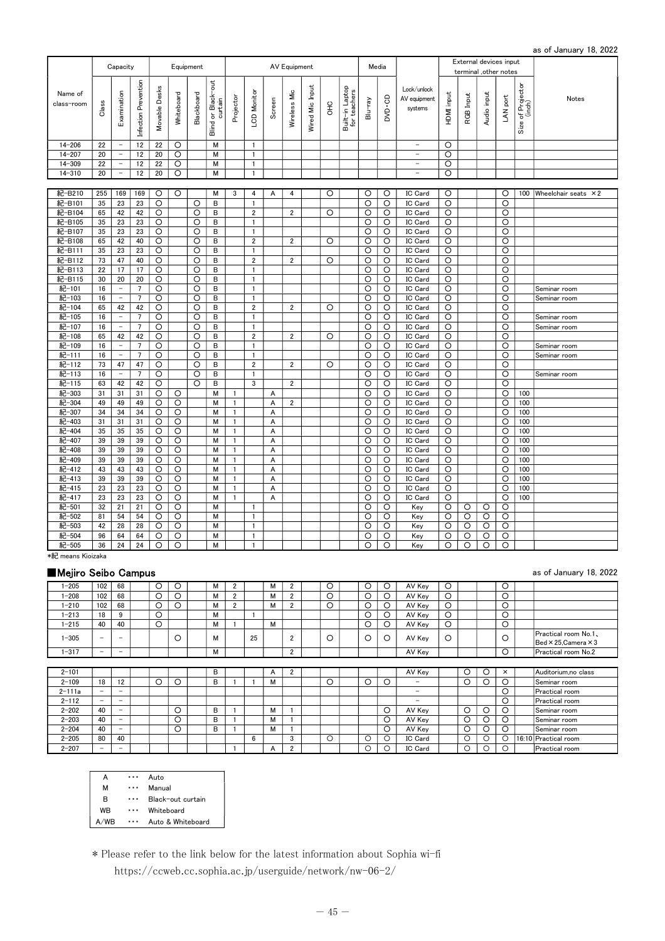|                       |          | Capacity                                             |                      |                    |                    | Equipment  |                               |              |                                |        | AV Equipment   |                        |             |                                 |                    | Media        |                                        |                    |           | External devices input<br>terminal ,other notes |                    |                             |                                 |
|-----------------------|----------|------------------------------------------------------|----------------------|--------------------|--------------------|------------|-------------------------------|--------------|--------------------------------|--------|----------------|------------------------|-------------|---------------------------------|--------------------|--------------|----------------------------------------|--------------------|-----------|-------------------------------------------------|--------------------|-----------------------------|---------------------------------|
| Name of<br>class-room | Class    | Examination                                          | Infection Prevention | Movable Desks      | Whiteboard         | Blackboard | Blind or Black-out<br>curtain | Projector    | -CD Monitor                    | Screen | Wireless Mic   | <b>Nired Mic Input</b> | $rac{C}{C}$ | Built-in Laptop<br>for teachers | Blu-ray            | DVD-CD       | Lock/unlock<br>AV equipment<br>systems | HDMI input         | RGB Input | Audio input                                     | LAN port           | Size of Projector<br>(inch) | Notes                           |
| $14 - 206$            | 22       | $\sim$                                               | 12                   | 22                 | O                  |            | M                             |              | $\mathbf{1}$                   |        |                |                        |             |                                 |                    |              | $\overline{\phantom{a}}$               | $\circ$            |           |                                                 |                    |                             |                                 |
| $14 - 207$            | 20       | $\overline{\phantom{a}}$                             | 12                   | 20                 | $\circ$            |            | M                             |              | $\mathbf{1}$                   |        |                |                        |             |                                 |                    |              | $\qquad \qquad -$                      | $\circ$            |           |                                                 |                    |                             |                                 |
| $14 - 309$            | 22       | $\overline{\phantom{a}}$                             | 12                   | 22                 | $\circ$            |            | M                             |              | $\mathbf{1}$                   |        |                |                        |             |                                 |                    |              | $\qquad \qquad -$                      | $\circ$            |           |                                                 |                    |                             |                                 |
| $14 - 310$            | 20       | $\overline{\phantom{a}}$                             | 12                   | 20                 | O                  |            | M                             |              | $\mathbf{1}$                   |        |                |                        |             |                                 |                    |              | $\qquad \qquad -$                      | $\circ$            |           |                                                 |                    |                             |                                 |
|                       |          |                                                      |                      |                    |                    |            |                               |              |                                |        |                |                        |             |                                 |                    |              |                                        |                    |           |                                                 |                    |                             |                                 |
| 紀-B210                | 255      | 169                                                  | 169                  | $\circ$            | $\circ$            |            | M                             | 3            | 4                              | A      | 4              |                        | O           |                                 | $\circ$            | $\circ$      | IC Card                                | $\circ$            |           |                                                 | $\circ$            |                             | 100 Wheelchair seats $\times 2$ |
| 紀-B101                | 35       | 23                                                   | 23                   | O                  |                    | O          | В                             |              | $\mathbf{1}$                   |        |                |                        |             |                                 | O                  | O            | IC Card                                | O                  |           |                                                 | O                  |                             |                                 |
| 紀-B104                | 65       | 42                                                   | 42                   | O                  |                    | $\circ$    | B                             |              | $\overline{2}$                 |        | $\overline{2}$ |                        | O           |                                 | O                  | $\circ$      | IC Card                                | $\circ$            |           |                                                 | O                  |                             |                                 |
| 紀-B105                | 35       | 23                                                   | 23                   | $\circ$            |                    | $\circ$    | B                             |              | $\mathbf{1}$                   |        |                |                        |             |                                 | $\circ$            | $\circ$      | IC Card                                | $\circ$            |           |                                                 | $\circ$            |                             |                                 |
| 紀-B107                | 35       | 23                                                   | 23                   | $\circ$            |                    | O          | В                             |              | $\mathbf{1}$                   |        |                |                        |             |                                 | O                  | O            | IC Card                                | $\circ$            |           |                                                 | $\circ$            |                             |                                 |
| 紀-B108                | 65       | 42                                                   | 40                   | $\circ$            |                    | O          | В                             |              | $\overline{2}$                 |        | $\overline{2}$ |                        | $\circ$     |                                 | O                  | O            | IC Card                                | $\circ$            |           |                                                 | O                  |                             |                                 |
| 紀-B111                | 35       | 23                                                   | 23                   | $\circ$            |                    | O          | В                             |              | $\mathbf{1}$                   |        |                |                        |             |                                 | $\circ$            | $\circ$      | IC Card                                | $\circ$            |           |                                                 | $\circ$            |                             |                                 |
| 紀-B112                | 73       | 47                                                   | 40                   | O                  |                    | O          | В                             |              | $\overline{2}$                 |        | $\overline{2}$ |                        | O           |                                 | O                  | O            | IC Card                                | O                  |           |                                                 | O                  |                             |                                 |
| 紀-B113                | 22       | 17                                                   | 17                   | O                  |                    | O          | В                             |              | $\mathbf{1}$                   |        |                |                        |             |                                 | O                  | O            | IC Card                                | O                  |           |                                                 | O                  |                             |                                 |
| 紀-B115                | 30       | 20                                                   | 20                   | $\circ$            |                    | $\circ$    | B                             |              | $\mathbf{1}$                   |        |                |                        |             |                                 | O                  | $\circ$      | IC Card                                | $\circ$            |           |                                                 | O                  |                             |                                 |
| 紀-101                 | 16       | $\overline{\phantom{a}}$<br>$\overline{\phantom{a}}$ | $\overline{7}$       | $\circ$            |                    | $\circ$    | B                             |              | $\mathbf{1}$                   |        |                |                        |             |                                 | $\circ$            | $\circ$      | IC Card                                | $\circ$            |           |                                                 | $\circ$            |                             | Seminar room                    |
| 紀-103                 | 16       |                                                      | $7\overline{ }$      | $\circ$            |                    | O          | В                             |              | $\mathbf{1}$<br>$\overline{2}$ |        | $\overline{2}$ |                        |             |                                 | $\circ$            | $\circ$      | IC Card                                | $\circ$            |           |                                                 | O                  |                             | Seminar room                    |
| 紀-104<br>紀-105        | 65<br>16 | 42<br>$\overline{\phantom{a}}$                       | 42<br>$\overline{7}$ | $\circ$<br>$\circ$ |                    | O<br>O     | В<br>В                        |              | 1                              |        |                |                        | O           |                                 | $\circ$<br>$\circ$ | O<br>$\circ$ | IC Card<br>IC Card                     | $\circ$<br>O       |           |                                                 | O<br>$\circ$       |                             |                                 |
| 紀-107                 | 16       | $\overline{\phantom{a}}$                             | 7                    | O                  |                    | O          | B                             |              | $\mathbf{1}$                   |        |                |                        |             |                                 | O                  | O            | IC Card                                | O                  |           |                                                 | O                  |                             | Seminar room                    |
| 紀-108                 | 65       | 42                                                   | 42                   | $\circ$            |                    | O          | В                             |              | $\overline{\mathbf{c}}$        |        | $\overline{2}$ |                        | O           |                                 | O                  | $\circ$      | IC Card                                | $\circ$            |           |                                                 | O                  |                             | Seminar room                    |
| 紀-109                 | 16       | $\bar{\phantom{a}}$                                  | $\overline{7}$       | $\circ$            |                    | $\circ$    | B                             |              | $\mathbf{1}$                   |        |                |                        |             |                                 | O                  | $\circ$      | IC Card                                | $\circ$            |           |                                                 | $\circ$            |                             | Seminar room                    |
| 紀-111                 | 16       | $\overline{\phantom{a}}$                             | $\overline{7}$       | $\circ$            |                    | $\circ$    | B                             |              | $\mathbf{1}$                   |        |                |                        |             |                                 | $\circ$            | $\circ$      | IC Card                                | $\circ$            |           |                                                 | $\circ$            |                             | Seminar room                    |
| 紀-112                 | 73       | 47                                                   | 47                   | $\circ$            |                    | $\circ$    | В                             |              | $\overline{2}$                 |        | $\overline{2}$ |                        | $\circ$     |                                 | $\circ$            | $\circ$      | IC Card                                | $\circ$            |           |                                                 | $\circ$            |                             |                                 |
| 紀-113                 | 16       | $\overline{\phantom{a}}$                             | $\overline{7}$       | O                  |                    | O          | В                             |              | $\mathbf{1}$                   |        |                |                        |             |                                 | O                  | O            | IC Card                                | $\circ$            |           |                                                 | O                  |                             | Seminar room                    |
| 紀-115                 | 63       | 42                                                   | 42                   | $\circ$            |                    | O          | В                             |              | 3                              |        | $\overline{2}$ |                        |             |                                 | O                  | $\circ$      | IC Card                                | $\circ$            |           |                                                 | O                  |                             |                                 |
| 紀-303                 | 31       | 31                                                   | 31                   | O                  | O                  |            | М                             | $\mathbf{1}$ |                                | A      |                |                        |             |                                 | O                  | O            | IC Card                                | O                  |           |                                                 | O                  | 100                         |                                 |
| 紀-304                 | 49       | 49                                                   | 49                   | O                  | $\circ$            |            | М                             | $\mathbf{1}$ |                                | A      | $\overline{2}$ |                        |             |                                 | O                  | O            | IC Card                                | O                  |           |                                                 | O                  | 100                         |                                 |
| 紀-307                 | 34       | 34                                                   | 34                   | $\circ$            | O                  |            | M                             | $\mathbf{1}$ |                                | A      |                |                        |             |                                 | O                  | O            | IC Card                                | O                  |           |                                                 | $\circ$            | 100                         |                                 |
| 紀-403                 | 31       | 31                                                   | 31                   | $\circ$            | $\circ$            |            | M                             | $\mathbf{1}$ |                                | A      |                |                        |             |                                 | $\circ$            | $\circ$      | IC Card                                | $\circ$            |           |                                                 | $\circ$            | 100                         |                                 |
| 紀-404                 | 35       | 35                                                   | 35                   | $\circ$            | $\overline{\circ}$ |            | M                             | $\mathbf{1}$ |                                | A      |                |                        |             |                                 | $\overline{\circ}$ | $\circ$      | IC Card                                | $\circ$            |           |                                                 | $\overline{\circ}$ | 100                         |                                 |
| 紀-407                 | 39       | 39                                                   | 39                   | $\circ$            | $\circ$            |            | M                             | 1            |                                | A      |                |                        |             |                                 | O                  | $\circ$      | IC Card                                | $\circ$            |           |                                                 | O                  | 100                         |                                 |
| 紀-408                 | 39       | 39                                                   | 39                   | $\circ$            | $\circ$            |            | М                             | $\mathbf{1}$ |                                | A      |                |                        |             |                                 | $\circ$            | O            | IC Card                                | $\circ$            |           |                                                 | O                  | 100                         |                                 |
| 紀-409                 | 39       | 39                                                   | 39                   | O                  | O                  |            | M                             | $\mathbf{1}$ |                                | A      |                |                        |             |                                 | O                  | O            | IC Card                                | O                  |           |                                                 | $\circ$            | 100                         |                                 |
| 紀-412                 | 43       | 43                                                   | 43                   | $\circ$            | O                  |            | М                             | $\mathbf{1}$ |                                | A      |                |                        |             |                                 | $\circ$            | O            | IC Card                                | O                  |           |                                                 | $\circ$            | 100                         |                                 |
| 紀-413                 | 39       | 39                                                   | 39                   | $\circ$            | $\circ$            |            | M                             | $\mathbf{1}$ |                                | A      |                |                        |             |                                 | O                  | O            | IC Card                                | $\circ$            |           |                                                 | $\circ$            | 100                         |                                 |
| 紀-415                 | 23       | 23                                                   | 23                   | $\circ$            | $\circ$            |            | M                             | $\mathbf{1}$ |                                | A      |                |                        |             |                                 | $\circ$            | $\circ$      | IC Card                                | $\circ$            |           |                                                 | $\circ$            | 100                         |                                 |
| 紀-417                 | 23       | 23                                                   | 23                   | $\overline{\circ}$ | $\overline{\circ}$ |            | M                             | $\mathbf{1}$ |                                | A      |                |                        |             |                                 | $\overline{\circ}$ | O            | IC Card                                | $\overline{\circ}$ |           |                                                 | $\overline{\circ}$ | 100                         |                                 |
| 紀-501                 | 32       | 21                                                   | 21                   | $\circ$            | $\circ$            |            | M                             |              | $\mathbf{1}$                   |        |                |                        |             |                                 | $\circ$            | O            | Key                                    | $\circ$            | O         | $\circ$                                         | $\circ$            |                             |                                 |
| 紀-502                 | 81       | 54                                                   | 54                   | $\circ$            | $\circ$            |            | M                             |              | $\mathbf{1}$                   |        |                |                        |             |                                 | $\circ$            | O            | Key                                    | $\circ$            | O         | O                                               | $\circ$            |                             |                                 |
| 紀-503                 | 42       | 28                                                   | 28                   | O                  | O                  |            | M                             |              | $\mathbf{1}$                   |        |                |                        |             |                                 | O                  | O            | Key                                    | O                  | O         | O                                               | O                  |                             |                                 |
| 紀-504                 | 96       | 64                                                   | 64                   | O                  | O                  |            | М                             |              | $\mathbf{1}$                   |        |                |                        |             |                                 | $\circ$            | O            | Key                                    | $\circ$            | $\circ$   | O                                               | O                  |                             |                                 |
| 紀-505                 | 36       | 24                                                   | 24                   | $\circ$            | $\circ$            |            | M                             |              | $\mathbf{1}$                   |        |                |                        |             |                                 | $\circ$            | O            | Key                                    | O                  | $\circ$   | $\circ$                                         | $\circ$            |                             |                                 |

# \*紀 means Kioizaka

# ■Mejiro Seibo Campus as of January 18, 2022

| $-205$    | 102                      | 68                       |   | ◡ | M |    | ΙVΙ        |        | U | U | Ő | AV Kev | O       |        | ◡                             |                                                      |
|-----------|--------------------------|--------------------------|---|---|---|----|------------|--------|---|---|---|--------|---------|--------|-------------------------------|------------------------------------------------------|
| $-208$    | 102                      | 68                       |   | ◡ | M |    | ΙVΙ        |        | U | O | Ő | AV Kev | $\circ$ |        |                               |                                                      |
| $1 - 210$ | 102                      | 68                       |   | ◡ | M |    | <b>IVI</b> |        | U | O | Ő | AV Key | $\circ$ |        | $\check{ }$                   |                                                      |
| $1 - 213$ | 18                       | 9                        |   |   | M |    |            |        |   | О | O | AV Key | $\circ$ |        | $\sim$<br>◡                   |                                                      |
| $1 - 215$ | 40                       | 40                       | ◡ |   | M |    | M          |        |   | О | O | AV Key | $\circ$ |        | $\overline{\phantom{0}}$<br>◡ |                                                      |
| $1 - 305$ | $\overline{\phantom{a}}$ | -                        |   |   | M | 25 |            | $\sim$ | U | О | O | AV Key |         |        | ◡                             | Practical room No.1、<br>$\vert$ Bed × 25, Camera × 3 |
| $1 - 317$ | -                        | $\overline{\phantom{a}}$ |   |   | M |    |            | $\sim$ |   |   |   | AV Key |         |        |                               | Practical room No.2                                  |
|           |                          |                          |   |   |   |    |            |        |   |   |   |        |         | $\sim$ |                               |                                                      |

| $2 - 101$  |    |                          |  |   | D |  |   | c |  |  | AV Kev  |  |  | Auditorium,no class   |
|------------|----|--------------------------|--|---|---|--|---|---|--|--|---------|--|--|-----------------------|
| $2 - 109$  | 18 | $\overline{10}$          |  |   |   |  | м |   |  |  | -       |  |  | Seminar room          |
| $2 - 111a$ |    | -                        |  |   |   |  |   |   |  |  | -       |  |  | Practical room        |
| $2 - 112$  | -  | -                        |  |   |   |  |   |   |  |  | -       |  |  | Practical room        |
| $2 - 202$  | 40 | -                        |  |   |   |  | М |   |  |  | AV Kev  |  |  | Seminar room          |
| $2 - 203$  | 40 | -                        |  |   |   |  | М |   |  |  | AV Kev  |  |  | Seminar room          |
| $2 - 204$  | 40 | -                        |  | ◡ |   |  | м |   |  |  | AV Kev  |  |  | Seminar room          |
| $2 - 205$  | 80 | 40                       |  |   |   |  |   |   |  |  | IC Card |  |  | 16:10 Practical room  |
| $2 - 207$  |    | $\overline{\phantom{a}}$ |  |   |   |  |   |   |  |  | IC Card |  |  | <b>Practical room</b> |

| А   | Auto              |
|-----|-------------------|
| м   | Manual            |
| R   | Black-out curtain |
| WR  | Whiteboard        |
| /WR | Auto & Whiteboard |
|     |                   |

\* Please refer to the link below for the latest information about Sophia wi-fi https://ccweb.cc.sophia.ac.jp/userguide/network/nw-06-2/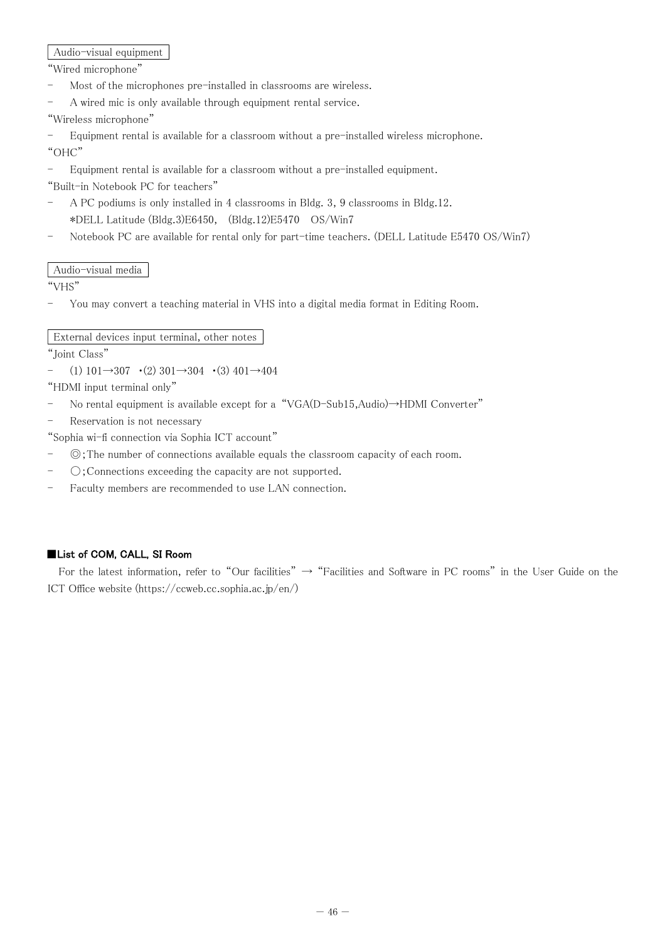Audio-visual equipment

"Wired microphone"

- Most of the microphones pre-installed in classrooms are wireless.
- A wired mic is only available through equipment rental service.

"Wireless microphone"

- Equipment rental is available for a classroom without a pre-installed wireless microphone. "OHC"

- Equipment rental is available for a classroom without a pre-installed equipment.

"Built-in Notebook PC for teachers"

- A PC podiums is only installed in 4 classrooms in Bldg. 3, 9 classrooms in Bldg.12. \*DELL Latitude (Bldg.3)E6450, (Bldg.12)E5470 OS/Win7
- Notebook PC are available for rental only for part-time teachers. (DELL Latitude E5470 OS/Win7)

# Audio-visual media

"VHS"

- You may convert a teaching material in VHS into a digital media format in Editing Room.

# External devices input terminal, other notes

"Joint Class"

- (1)  $101 \rightarrow 307$  · (2)  $301 \rightarrow 304$  · (3)  $401 \rightarrow 404$ 

"HDMI input terminal only"

- No rental equipment is available except for a "VGA(D-Sub15,Audio)→HDMI Converter"
- Reservation is not necessary

"Sophia wi-fi connection via Sophia ICT account"

- ◎;The number of connections available equals the classroom capacity of each room.
- 〇;Connections exceeding the capacity are not supported.
- Faculty members are recommended to use LAN connection.

# ■List of COM, CALL, SI Room

For the latest information, refer to "Our facilities"  $\rightarrow$  "Facilities and Software in PC rooms" in the User Guide on the ICT Office website (https://ccweb.cc.sophia.ac.jp/en/)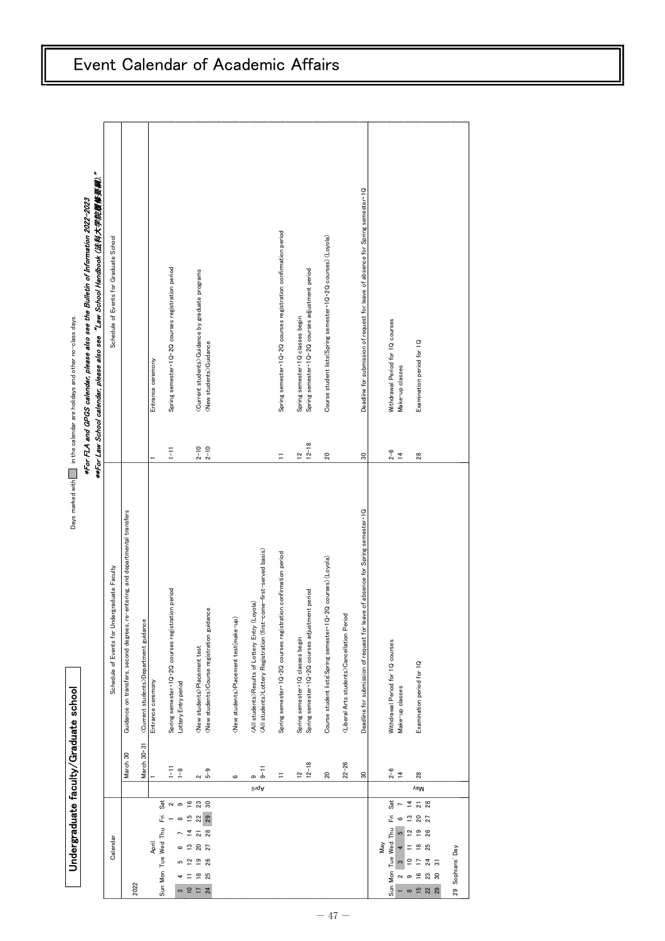| Undergraduate faculty/Graduate school                                                                                                                                                                            |                                |                                                                                                                                          |                                | Days marked with $\Box$ in the calendar are holidays and other no-class days.                                                                                      |
|------------------------------------------------------------------------------------------------------------------------------------------------------------------------------------------------------------------|--------------------------------|------------------------------------------------------------------------------------------------------------------------------------------|--------------------------------|--------------------------------------------------------------------------------------------------------------------------------------------------------------------|
|                                                                                                                                                                                                                  |                                |                                                                                                                                          |                                | **For Law School calendar, please also see "Law School Handbook (法科大学院履修要綱)."<br>*For FLA and GPGS calendar, please also see the Bulletin of Information 2022-2023 |
| Calendar                                                                                                                                                                                                         |                                | Schedule of Events for Undergraduate Faculty                                                                                             |                                | Schedule of Events for Graduate School                                                                                                                             |
| 2022                                                                                                                                                                                                             | March 30                       | Guidance on transfers, second degrees, re-entering, and departmental transfers                                                           |                                |                                                                                                                                                                    |
|                                                                                                                                                                                                                  | March 30-31                    | <current students="">Department guidance</current>                                                                                       |                                |                                                                                                                                                                    |
| April                                                                                                                                                                                                            |                                | Entrance ceremony                                                                                                                        |                                | Entrance ceremony                                                                                                                                                  |
| Sat<br>ΪË<br>Sun Mon Tue Wed Thu                                                                                                                                                                                 | E                              | Spring semester 1Q-2Q courses registration period                                                                                        | $\overline{1}$                 | Spring semester 1Q .2Q courses registration period                                                                                                                 |
| $\sim$ $\circ$<br>$\infty$<br>$\overline{ }$<br>6<br>S<br>4                                                                                                                                                      | $\frac{9}{1}$                  | Lottery Entry period                                                                                                                     |                                |                                                                                                                                                                    |
| $\overline{\phantom{a}}$<br>$\overline{z}$<br>$\tilde{c}$                                                                                                                                                        |                                | <new students="">Placement test</new>                                                                                                    |                                |                                                                                                                                                                    |
| $^{23}$ s<br>$152$<br>22<br>$\frac{5}{2}$ 8<br>$\frac{20}{27}$<br>$\overset{\circ}{=}\overset{\circ}{=}\overset{\circ}{\approx}$<br>$\overset{\circ}{=}$<br>25                                                   | $2 - 9$                        | <new students="">Course registration guidance</new>                                                                                      | $2 - 10$<br>$2 - 10$           | <current students="">Guidance by graduate programs<br/><new students="">Guidance</new></current>                                                                   |
|                                                                                                                                                                                                                  |                                |                                                                                                                                          |                                |                                                                                                                                                                    |
|                                                                                                                                                                                                                  | ဖ                              | <new students="">Placement test(make-up)</new>                                                                                           |                                |                                                                                                                                                                    |
|                                                                                                                                                                                                                  | $9-11$<br>თ<br>lingA           | <all students="">Lottery Registration (first-come-first-served basis)<br/><all students="">Results of Lottery Entry (Loyola)</all></all> |                                |                                                                                                                                                                    |
|                                                                                                                                                                                                                  | Ξ                              | Spring semester 1Q .2Q courses registration confirmation period                                                                          | Ξ                              | Spring semester 1Q .2Q courses registration confirmation period                                                                                                    |
|                                                                                                                                                                                                                  |                                | Spring semester 1Q classes begin                                                                                                         |                                | Spring semester 1Q classes begin                                                                                                                                   |
|                                                                                                                                                                                                                  | $\frac{12}{12} - \frac{8}{18}$ | Spring semester 1Q · 2Q courses adjustment period                                                                                        | $\frac{12}{12} - \frac{8}{18}$ | Spring semester 1Q .2Q courses adjustment period                                                                                                                   |
|                                                                                                                                                                                                                  | 20                             | Course student lists(Spring semester · 1Q · 2Q courses) (Loyola)                                                                         | $20\,$                         | Course student lists(Spring semester · 1Q · 2Q courses) (Loyola)                                                                                                   |
|                                                                                                                                                                                                                  | $22 - 26$                      | <liberal arts="" students="">Cancellation Period</liberal>                                                                               |                                |                                                                                                                                                                    |
|                                                                                                                                                                                                                  | $\boldsymbol{\mathcal{S}}$     | Deadline for submission of request for leave of absence for Spring semester 1Q                                                           | $\boldsymbol{30}$              | Deadline for submission of request for leave of absence for Spring semester 1Q                                                                                     |
| Sat<br>$\overline{4}$<br>$\overline{\phantom{a}}$<br>ΪĚ<br>$\circ$ 2<br>Sun Mon Tue Wed Thu<br>$\overline{2}$<br>G<br>May<br>$\overline{a}$<br>$\equiv$<br>$\tilde{\mathbf{c}}$<br>$\tilde{=}$<br>പത<br>$\infty$ | $\frac{2}{14}$                 | Withdrawal Period for 1Q courses<br>Make-up classes                                                                                      | $2 - 6$<br>$\overline{4}$      | Withdrawal Period for 1Q courses<br>Make-up classes                                                                                                                |
| $\frac{2}{2}$ 8<br>$\frac{20}{27}$<br>$\frac{9}{26}$<br>$\frac{8}{25}$<br>$\overline{\phantom{0}}$<br>$\frac{4}{3}$<br>$\frac{6}{1}$<br>$^{23}$ $^8$<br>$\begin{array}{c} 52 \\ 20 \end{array}$                  | 28<br><b>VaM</b>               | Examination period for 1Q                                                                                                                | 28                             | Examination period for 1Q                                                                                                                                          |
| 29 Sophians' Day                                                                                                                                                                                                 |                                |                                                                                                                                          |                                |                                                                                                                                                                    |
|                                                                                                                                                                                                                  |                                |                                                                                                                                          |                                |                                                                                                                                                                    |

# Event Calendar of Academic Affairs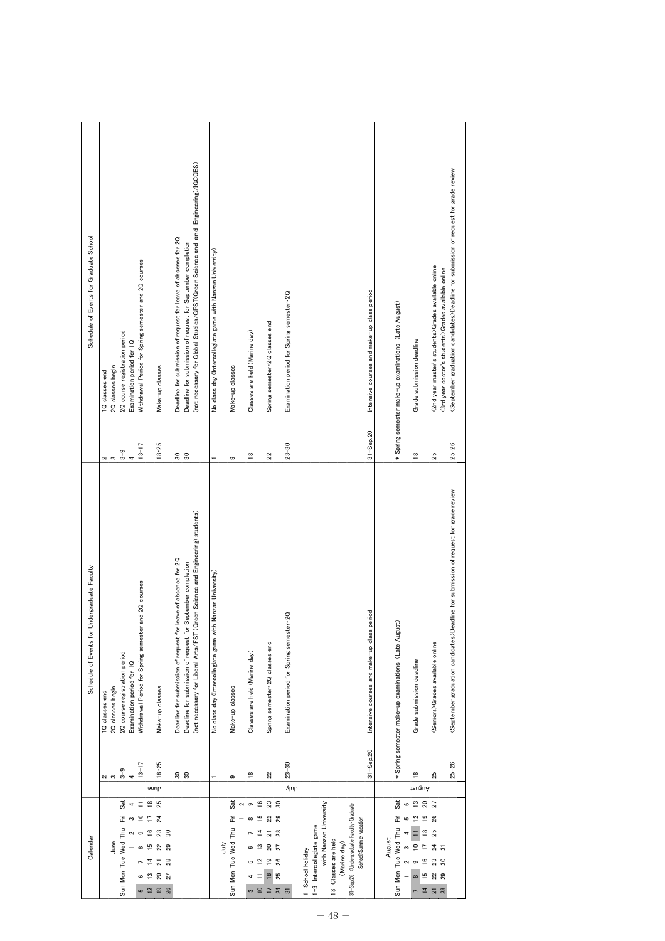| Schedule of Events for Graduate School       | (not necessary for Global Studies/GPST(Green Science and and Engineering)/IGCGES)<br>Deadline for submission of request for leave of absence for 2Q<br>Deadline for submission of request for September completion<br>Withdrawal Period for Spring semester and 2Q courses<br>2Q course registration period<br>Examination period for 1Q<br>2Q classes begin<br>Make-up classes<br>1Q classes end                                                        | No class day (Intercollegiate game with Nanzan University)<br>Classes are held (Marine day)<br>Make-up classes                                | Spring semester 2Q classes end                                                                                                                                                             | Intensive courses and make-up class period<br>Examination period for Spring semester 2Q<br>$31 -$ Sep. $20$                                                                                                       | September graduation candidates>Deadline for submission of request for grade review<br><2nd year master's students>Grades available online<br><3rd year doctor's students>Grades available online<br>* Spring semester make-up examinations (Late August)<br>Grade submission deadline                     |
|----------------------------------------------|----------------------------------------------------------------------------------------------------------------------------------------------------------------------------------------------------------------------------------------------------------------------------------------------------------------------------------------------------------------------------------------------------------------------------------------------------------|-----------------------------------------------------------------------------------------------------------------------------------------------|--------------------------------------------------------------------------------------------------------------------------------------------------------------------------------------------|-------------------------------------------------------------------------------------------------------------------------------------------------------------------------------------------------------------------|------------------------------------------------------------------------------------------------------------------------------------------------------------------------------------------------------------------------------------------------------------------------------------------------------------|
|                                              | $13 - 17$<br>$18 - 25$<br>$3 - 9$<br>88<br>$\ddot{\phantom{0}}$<br>ດ ຕ                                                                                                                                                                                                                                                                                                                                                                                   | $\frac{8}{10}$<br>ၜ                                                                                                                           | $\overline{2}$                                                                                                                                                                             | $23 - 30$                                                                                                                                                                                                         | $25 - 26$<br>$\frac{8}{10}$<br>25                                                                                                                                                                                                                                                                          |
| Schedule of Events for Undergraduate Faculty | (not necessary for Liberal Arts/FST (Green Science and Engineering) students)<br>Deadline for submission of request for leave of absence for 2Q<br>Deadline for submission of request for September completion<br>Withdrawal Period for Spring semester and 2Q courses<br>2Q course registration period<br>Examination period for 1Q<br>2Q classes begin<br>Make-up classes<br>1Q classes end<br>$18 - 25$<br>$13 - 17$<br>$3-9$<br><u>ន ន</u><br>$\sim$ | Nanzan University<br>No class day (Intercollegiate game with<br>Classes are held (Marine day)<br>Make-up classes<br>$\frac{8}{1}$<br>$\sigma$ | Spring semester 2Q classes end<br>22                                                                                                                                                       | Intensive courses and make-up class period<br>Examination period for Spring semester 2Q<br>$31 -$ Sep. $20$<br>$23 - 30$                                                                                          | <september candidates="" graduation="">Deadline for submission of request for grade review<br/>* Spring semester make-up examinations (Late August)<br/><seniors>Grades available online<br/>Grade submission deadline<br/><math>25 - 26</math><br/><math>\frac{8}{16}</math><br/>25</seniors></september> |
|                                              | <b>June</b><br>Sat<br>$\overset{\circ}{=}$<br>25<br>Ξ                                                                                                                                                                                                                                                                                                                                                                                                    | Sat<br>ၜ<br>$\sim$                                                                                                                            | $\frac{6}{1}$<br>$^{23}$ so                                                                                                                                                                | վակ                                                                                                                                                                                                               | August<br>Sat<br>$\overline{\mathbf{c}}$<br>$20^{2}$<br>$\circ$                                                                                                                                                                                                                                            |
| Calendar                                     | 굽<br>22<br>24<br>S<br>Sun Mon Tue Wed Thu<br>$\frac{6}{2}$<br>$\mathop{^{23} }$ so<br>ၜ<br>$\sim$<br>June<br>15<br>22<br>$\infty$<br>$\frac{2}{8}$<br>±<br>$\frac{20}{27}$<br>≌<br><b>5 12 10</b><br>26                                                                                                                                                                                                                                                  | Ë<br>$\infty$<br>Sun Mon Tue Wed Thu<br>July<br>6<br>5                                                                                        | 15<br>$22$<br>$\vec{a}$<br>$\frac{21}{28}$<br>$\frac{20}{27}$<br>$\mathbf{r}$<br>$\frac{9}{26}$<br>$\tilde{a}$<br>$\frac{8}{2}$<br>25<br>Ξ<br>$\frac{4}{3}$<br>$\frac{1}{2}$ $\frac{1}{2}$ | with Nanzan University<br>31-Sep.26 <undergraduate faculty="" graduate<br="">School&gt;Summer vacation<br/>1-3 Intercollegiate game<br/>18 Classes are held<br/>(Marine day)<br/>1 School holiday</undergraduate> | ュ<br>$\overline{12}$<br>$\frac{9}{2}$<br>26<br>5<br>Sun Mon Tue Wed Thu<br>$\frac{8}{2}$<br>25<br>$\equiv$<br>4<br>August<br>22<br>$\frac{4}{3}$<br>S<br>$\frac{6}{1}$<br>$^{23}$ s<br>$\sim$<br>ၜ<br>$\frac{15}{2}$<br>22<br>$\infty$<br>ក <u>។</u><br>28                                                 |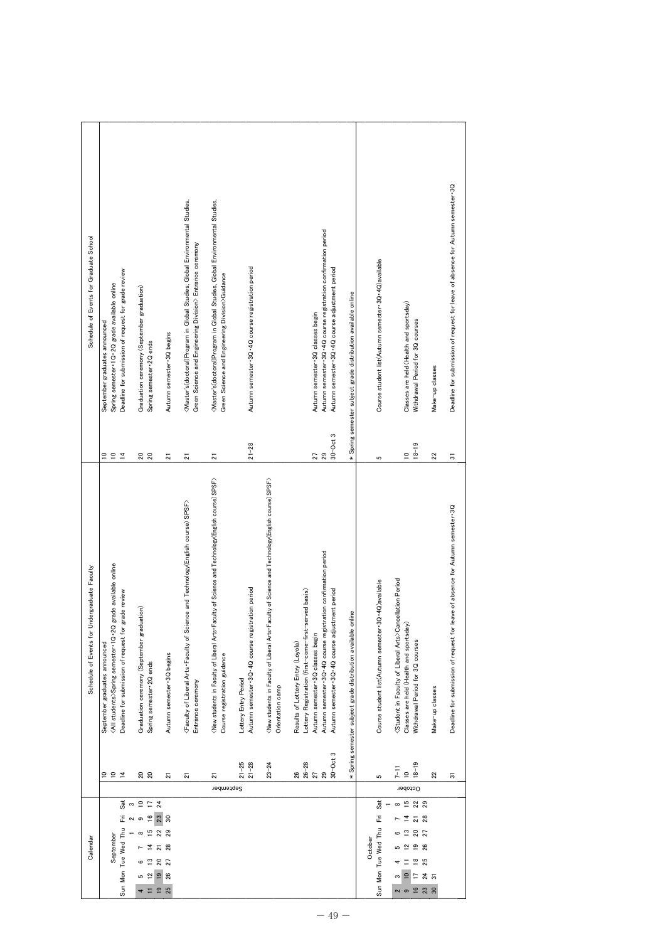| Schedule of Events for Graduate School       | Deadline for submission of request for grade review<br>Spring semester 1Q-2Q grade available online<br>September graduates announced<br>₽<br>54                                                                                                              | Graduation ceremony (September graduation)<br>Spring semester 2Q ends<br><u>ន</u> ន                                           | Autumn semester 3Q begins                                  | (Master's(doctoral)Program in Global Studies, Global Environmental Studies,<br>Green Science and Engineering Division> Entrance ceremony                               | <master's(doctoral)program environmental="" global="" in="" studies,="" studies,<br="">Green Science and Engineering Division&gt;Guidance</master's(doctoral)program> | Autumn semester 3Q-4Q course registration period<br>$21 - 28$                                       |                                                                                                                                    | Autumn semester 3Q .4Q course registration confirmation period<br>Autumn semester 3Q · 4Q course adjustment period<br>Autumn semester 3Q classes begin<br>$30$ – $Oct3$<br>29                                                                                                                              | * Spring semester subject grade distribution available online | Course student list(Autumn semester 3Q 4Q)available           | Classes are held (Health and sportsday)<br>Withdrawal Period for 3Q courses<br>$18 - 19$<br>$\cong$                                                                                                                              | Make-up classes<br>22 | Deadline for submission of request for leave of absence for Autumn semester 3Q           |
|----------------------------------------------|--------------------------------------------------------------------------------------------------------------------------------------------------------------------------------------------------------------------------------------------------------------|-------------------------------------------------------------------------------------------------------------------------------|------------------------------------------------------------|------------------------------------------------------------------------------------------------------------------------------------------------------------------------|-----------------------------------------------------------------------------------------------------------------------------------------------------------------------|-----------------------------------------------------------------------------------------------------|------------------------------------------------------------------------------------------------------------------------------------|------------------------------------------------------------------------------------------------------------------------------------------------------------------------------------------------------------------------------------------------------------------------------------------------------------|---------------------------------------------------------------|---------------------------------------------------------------|----------------------------------------------------------------------------------------------------------------------------------------------------------------------------------------------------------------------------------|-----------------------|------------------------------------------------------------------------------------------|
| Schedule of Events for Undergraduate Faculty | grade available online<br>Deadline for submission of request for grade review<br><all students="">Spring semester 1Q-2Q<br/>September graduates announced<br/><math display="inline">\overline{\phantom{a}}</math><br/>₽<br/><math>\overline{a}</math></all> | Graduation ceremony (September graduation)<br>Spring semester 2Q ends<br><u>ន</u>                                             | 21<br>Autumn semester 3Q begins<br>$\overline{\mathbf{z}}$ | $\overline{\mathbf{z}}$<br><faculty and="" arts-faculty="" course)="" liberal="" of="" science="" spsf="" technology(english=""><br/>Entrance ceremony<br/>ត</faculty> | 21<br>(New students in Faculty of Liberal Arts.Faculty of Science and Technology(English course) SPSF><br>Course registration guidance<br>21<br>September             | Autumn semester 3Q -4Q course registration period<br>Lottery Entry Period<br>$21 - 28$<br>$21 - 25$ | (New students in Faculty of Liberal Arts. Faculty of Science and Technology(English course) SPSF><br>Orientation camp<br>$23 - 24$ | 27<br>Autumn semester 3Q-4Q course registration confirmation period<br>Autumn semester 3Q .4Q course adjustment period<br>Lottery Registration (first-come-first-served basis)<br>Autumn semester 3Q classes begin<br>Results of Lottery Entry (Loyola)<br>$30$ – $Oct3$<br>$\frac{26-28}{27}$<br>29<br>26 | * Spring semester subject grade distribution available online | 5<br>Course student list(Autumn semester 3Q+4Q)available<br>ယ | Student in Faculty of Liberal Arts>Cancellation Period<br>Classes are held (Health and sportsday)<br>Withdrawal Period for 3Q courses<br>$18 - 19$<br>$7 - 11$<br>$\approx$<br>October                                           | Make-up classes<br>22 | 5<br>Deadline for submission of request for leave of absence for Autumn semester 3Q<br>5 |
| Calendar                                     | Sat<br>$\mathfrak{S}$<br>Ë<br>$\sim$<br>Sun Mon Tue Wed Thu<br>September                                                                                                                                                                                     | 254<br>$\frac{6}{1}$<br>23<br>ၜ<br>51<br>∞<br>ᅼ<br>$20\,$<br>≌<br>ဖ<br>$\frac{9}{2}$<br>$\mathbf{r}$<br>5<br>$\Xi$ $\Xi$<br>4 | $30^{\circ}$<br>22<br>$\frac{2}{2}$ 8<br>27<br>26<br>25    |                                                                                                                                                                        |                                                                                                                                                                       |                                                                                                     |                                                                                                                                    |                                                                                                                                                                                                                                                                                                            |                                                               | Sat<br>Ë<br>Sun Mon Tue Wed Thu<br>October                    | $\frac{15}{2}$<br>22<br>$\infty$<br>$\overline{4}$<br>$\frac{21}{28}$<br>$20^{2}$<br>$\frac{3}{2}$<br>$\frac{9}{26}$<br>$\mathbf{r}$<br>5<br>$\frac{8}{25}$<br>$\overline{10}$<br>$\overline{\phantom{0}}$<br>ω<br>$16$ 23<br>പെ | $\frac{4}{3}$         |                                                                                          |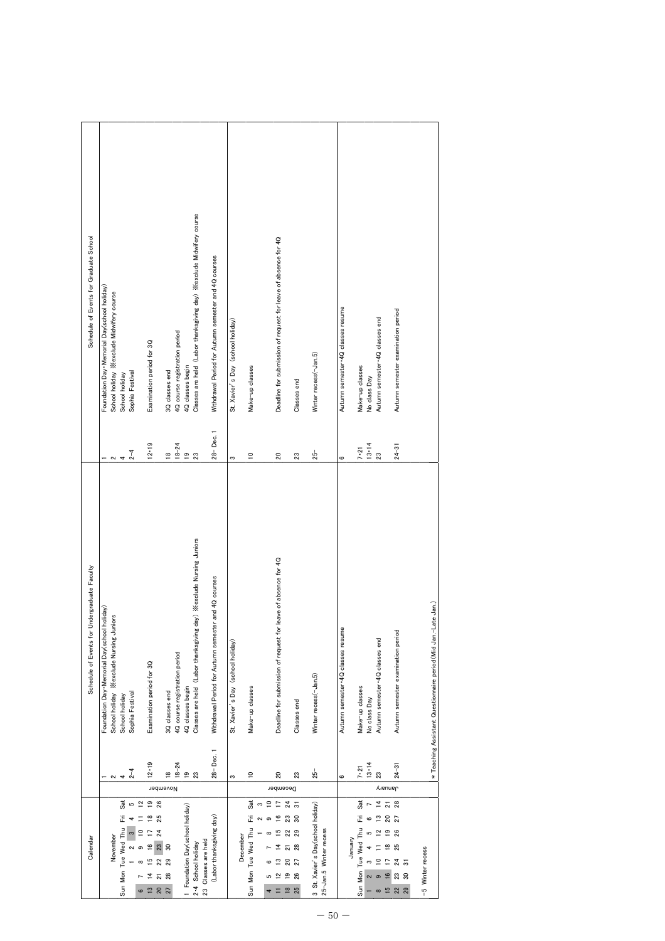| Foundation Day Memorial Day(school holiday)<br>School holiday ※exclude Midwifery course | School holiday |                                    | Examination period for 3Q                                               | 3Q classes end                                                       |                               | 4Q classes begin                        | Classes are held (Labor thanksgiving day) ※exclude Midwifery course                | Withdrawal Period for Autumn semester and 4Q courses                                              | St. Xavier's Day (school holiday)                  | Make-up classes      | Deadline for submission of request for leave of absence for 4Q |                                                             | Winter recess(-Jan.5)                                 |                                                                                        |                        | Make-up classes                                                             |                                            | Autumn semester-4Q classes end                    | Autumn semester examination period |                                                                                                                            |                                                                |
|-----------------------------------------------------------------------------------------|----------------|------------------------------------|-------------------------------------------------------------------------|----------------------------------------------------------------------|-------------------------------|-----------------------------------------|------------------------------------------------------------------------------------|---------------------------------------------------------------------------------------------------|----------------------------------------------------|----------------------|----------------------------------------------------------------|-------------------------------------------------------------|-------------------------------------------------------|----------------------------------------------------------------------------------------|------------------------|-----------------------------------------------------------------------------|--------------------------------------------|---------------------------------------------------|------------------------------------|----------------------------------------------------------------------------------------------------------------------------|----------------------------------------------------------------|
| Foundation Day Memorial Day(school holiday)<br>School holiday ※exclude Nursing Juniors  | School holiday |                                    | Examination period for 3Q                                               |                                                                      | 4Q course registration period |                                         | Classes are held (Labor thanksgiving day) ※exclude Nursing Juniors                 | and 4Q courses<br>Withdrawal Period for Autumn semester                                           | St. Xavier's Day (school holiday)                  | Make-up classes      | Deadline for submission of request for leave of absence for 4Q |                                                             | Winter recess(-Jan.5)                                 |                                                                                        |                        | Make-up classes                                                             | No class Day                               | Autumn semester-4Q classes end                    | Autumn semester examination period |                                                                                                                            | * Teaching Assistant Questionnaire period (Mid Jan.-Late Jan.) |
| $\sim$                                                                                  |                |                                    | $12 - 19$                                                               | $\frac{8}{1}$                                                        | $18 - 24$                     | $\frac{9}{2}$                           |                                                                                    |                                                                                                   | S                                                  | $\mathop{=}^{\circ}$ | 20                                                             |                                                             | $25 -$                                                |                                                                                        | G                      | $7 - 21$                                                                    | $13 - 14$                                  | 23                                                | $24 - 31$                          |                                                                                                                            |                                                                |
| November                                                                                | Sat<br>Ë       | $\overline{2}$<br>$\subseteq$<br>ၜ | 26<br>$\frac{8}{10}$<br>25<br>24<br>23<br>$\overline{6}$                | 30                                                                   |                               |                                         |                                                                                    |                                                                                                   |                                                    | Sat<br>ΞÏ            | ₽<br>F<br>$\tilde{=}$<br>15<br>4                               | $\overline{5}$<br>23<br>$\boldsymbol{30}$<br>22<br>28<br>21 |                                                       |                                                                                        |                        | Sat<br>٦Ï,                                                                  |                                            | $\overline{4}$<br>$\frac{1}{2}$<br>$\overline{2}$ | 28<br>27<br>26<br>25               |                                                                                                                            |                                                                |
|                                                                                         | $\sim$         | 4<br>Sun Mon Tue Wed Thu           | Sophia Festival<br>$2 - 4$<br>Sophia Festival<br>$2 - 4$<br>S<br>$\sim$ | $12 - 19$<br>$\frac{9}{2}$<br>Þ<br>S<br>ᅼ<br>$\overline{\mathbf{2}}$ | ≌<br>22<br>28                 | $18 - 24$<br>3Q classes end<br>November | 4Q course registration period<br>$\frac{9}{2}$<br>1 Foundation Day(school holiday) | 23<br>4Q classes begin<br>$\boldsymbol{\mathcal{Z}}$<br>23 Classes are held<br>2-4 School holiday | 28-Dec. 1<br>28-Dec. 1<br>(Labor thanksgiving day) | s                    | ₽<br>Sun Mon Tue Wed Thu<br>December                           | $\overline{20}$<br>S<br>≌<br>G<br>5                         | December<br>24<br>$20\,$<br>27<br>$\frac{9}{2}$<br>26 | Classes end<br>$25 -$<br>23<br>Classes end<br>23<br>3 St. Xavier's Day(school holiday) | 25-Jan.5 Winter recess | Autumn semester 4Q classes resume<br>G<br>Autumn semester 4Q classes resume | $7 - 21$<br>Sun Mon Tue Wed Thu<br>Vanuary | No class Day<br>$13 - 14$<br>s                    | 23<br>o                            | $24 - 31$<br><b>Auenuer</b><br>$\overline{\mathbf{2}}$<br>20<br>$\frac{9}{2}$<br>$\frac{8}{1}$<br>F<br>$\frac{6}{1}$<br>23 | -5 Winter recess<br>$\frac{4}{3}$<br>$\boldsymbol{\mathsf{S}}$ |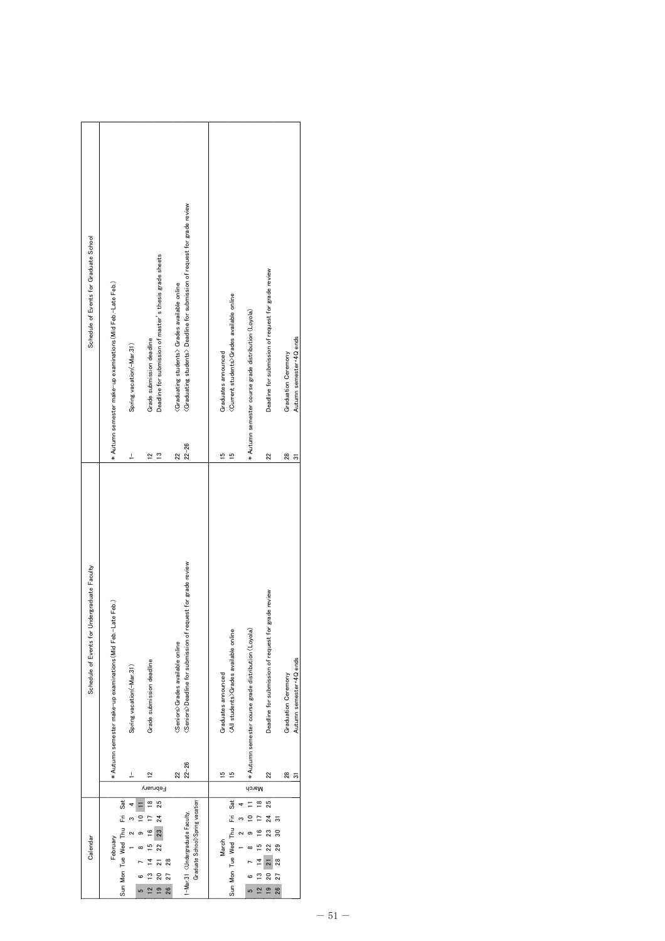| Schedule of Events for Graduate School       | * Autumn semester make-up examinations (Mid Feb.-Late Feb.)<br>Spring vacation(-Mar.31)<br>Ļ             | Deadline for submission of master's thesis grade sheets<br>Grade submission deadline<br>$\tilde{ }$<br>$\tilde{c}$ | <graduating students=""> Deadline for submission of request for grade review<br/><graduating students=""> Grades available online<br/><math>22 - 26</math><br/><math>\overline{2}</math></graduating></graduating> | <current students="">Grades available online<br/>Graduates announced<br/>15<br/>مِ</current>                | * Autumn semester course grade distribution (Loyola) | Deadline for submission of request for grade review<br>22                                             | Autumn semester 4Q ends<br><b>Graduation Ceremony</b><br>28<br>5 |
|----------------------------------------------|----------------------------------------------------------------------------------------------------------|--------------------------------------------------------------------------------------------------------------------|--------------------------------------------------------------------------------------------------------------------------------------------------------------------------------------------------------------------|-------------------------------------------------------------------------------------------------------------|------------------------------------------------------|-------------------------------------------------------------------------------------------------------|------------------------------------------------------------------|
| Schedule of Events for Undergraduate Faculty | * Autumn semester make-up examinations (Mid Feb.-Late Feb.)<br>Spring vacation(-Mar.31)<br>$\frac{1}{2}$ | Grade submission deadline<br>$\mathbf{r}$                                                                          | <seniors>Deadline for submission of request for grade review<br/><seniors>Grades available online<br/><math>22 - 26</math><br/>22</seniors></seniors>                                                              | <all students="">Grades available online<br/>Graduates announced<br/><math>\frac{15}{2}</math><br/>15</all> | * Autumn semester course grade distribution (Loyola) | Deadline for submission of request for grade review<br>22                                             | Autumn semester 4Q ends<br>Graduation Ceremony<br>28<br>5        |
| Calendar                                     | Sun Mon Tue Wed Thu Fri Sat<br>February                                                                  | Februar<br>≌<br>25<br>24<br>23<br>22<br>28<br>27<br>S<br>ຂ<br>$\overline{2}$<br>$\frac{9}{2}$<br>26<br>5           | Graduate School>Spring vacation<br>1-Mar.31 < Undergraduate Faculty,                                                                                                                                               | Sun Mon Tue Wed Thu Fri Sat<br>March                                                                        | March<br>≌<br>m<br>$\overline{\mathbf{C}}$<br>5      | 25<br>$^{24}$<br>5<br>30<br>23<br>29<br>22<br>28<br>$\overline{2}$<br>ຊ<br>27<br>26<br>$\overline{9}$ |                                                                  |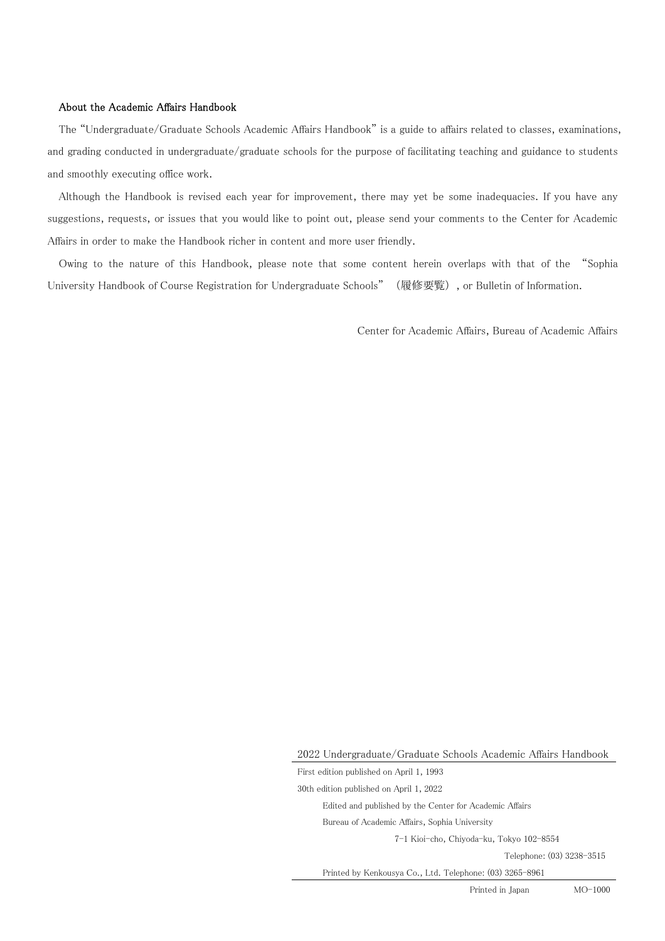#### About the Academic Affairs Handbook

The "Undergraduate/Graduate Schools Academic Affairs Handbook" is a guide to affairs related to classes, examinations, and grading conducted in undergraduate/graduate schools for the purpose of facilitating teaching and guidance to students and smoothly executing office work.

Although the Handbook is revised each year for improvement, there may yet be some inadequacies. If you have any suggestions, requests, or issues that you would like to point out, please send your comments to the Center for Academic Affairs in order to make the Handbook richer in content and more user friendly.

Owing to the nature of this Handbook, please note that some content herein overlaps with that of the "Sophia University Handbook of Course Registration for Undergraduate Schools" (履修要覧), or Bulletin of Information.

Center for Academic Affairs, Bureau of Academic Affairs

Printed in Japan MO-1000

<sup>2022</sup> Undergraduate/Graduate Schools Academic Affairs Handbook

First edition published on April 1, 1993

<sup>30</sup>th edition published on April 1, 2022

Edited and published by the Center for Academic Affairs

Bureau of Academic Affairs, Sophia University

<sup>7-1</sup> Kioi-cho, Chiyoda-ku, Tokyo 102-8554

Telephone: (03) 3238-3515

Printed by Kenkousya Co., Ltd. Telephone: (03) 3265-8961